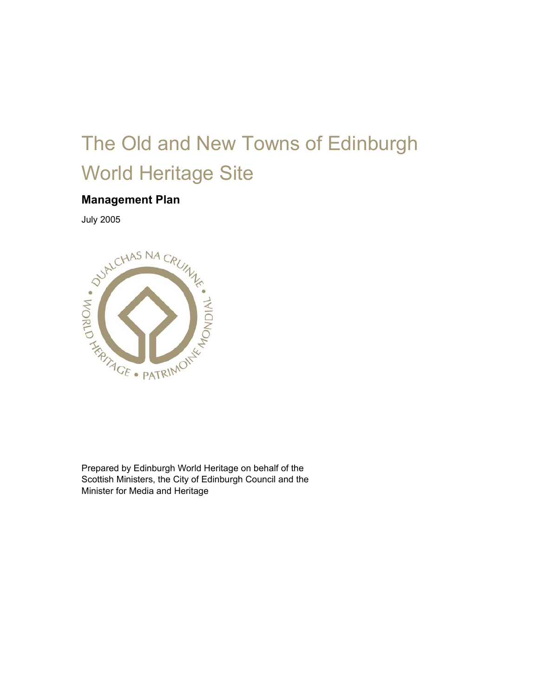# The Old and New Towns of Edinburgh World Heritage Site

### **Management Plan**



Prepared by Edinburgh World Heritage on behalf of the Scottish Ministers, the City of Edinburgh Council and the Minister for Media and Heritage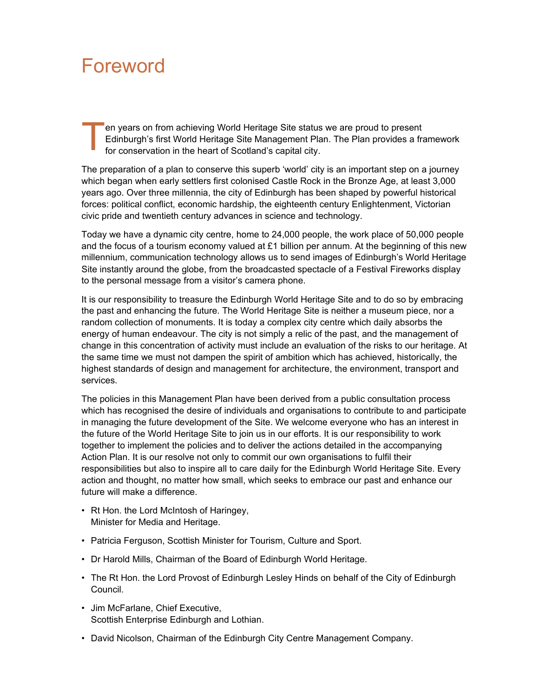### Foreword

en years on from achieving World Heritage Site status we are proud to present Edinburgh's first World Heritage Site Management Plan. The Plan provides a framework for conservation in the heart of Scotland's capital city. Ten<br>Ted<br>for

The preparation of a plan to conserve this superb 'world' city is an important step on a journey which began when early settlers first colonised Castle Rock in the Bronze Age, at least 3,000 years ago. Over three millennia, the city of Edinburgh has been shaped by powerful historical forces: political conflict, economic hardship, the eighteenth century Enlightenment, Victorian civic pride and twentieth century advances in science and technology.

Today we have a dynamic city centre, home to 24,000 people, the work place of 50,000 people and the focus of a tourism economy valued at £1 billion per annum. At the beginning of this new millennium, communication technology allows us to send images of Edinburgh's World Heritage Site instantly around the globe, from the broadcasted spectacle of a Festival Fireworks display to the personal message from a visitor's camera phone.

It is our responsibility to treasure the Edinburgh World Heritage Site and to do so by embracing the past and enhancing the future. The World Heritage Site is neither a museum piece, nor a random collection of monuments. It is today a complex city centre which daily absorbs the energy of human endeavour. The city is not simply a relic of the past, and the management of change in this concentration of activity must include an evaluation of the risks to our heritage. At the same time we must not dampen the spirit of ambition which has achieved, historically, the highest standards of design and management for architecture, the environment, transport and services.

The policies in this Management Plan have been derived from a public consultation process which has recognised the desire of individuals and organisations to contribute to and participate in managing the future development of the Site. We welcome everyone who has an interest in the future of the World Heritage Site to join us in our efforts. It is our responsibility to work together to implement the policies and to deliver the actions detailed in the accompanying Action Plan. It is our resolve not only to commit our own organisations to fulfil their responsibilities but also to inspire all to care daily for the Edinburgh World Heritage Site. Every action and thought, no matter how small, which seeks to embrace our past and enhance our future will make a difference.

- Rt Hon. the Lord McIntosh of Haringey, Minister for Media and Heritage.
- Patricia Ferguson, Scottish Minister for Tourism, Culture and Sport.
- Dr Harold Mills, Chairman of the Board of Edinburgh World Heritage.
- The Rt Hon. the Lord Provost of Edinburgh Lesley Hinds on behalf of the City of Edinburgh Council.
- Jim McFarlane, Chief Executive, Scottish Enterprise Edinburgh and Lothian.
- David Nicolson, Chairman of the Edinburgh City Centre Management Company.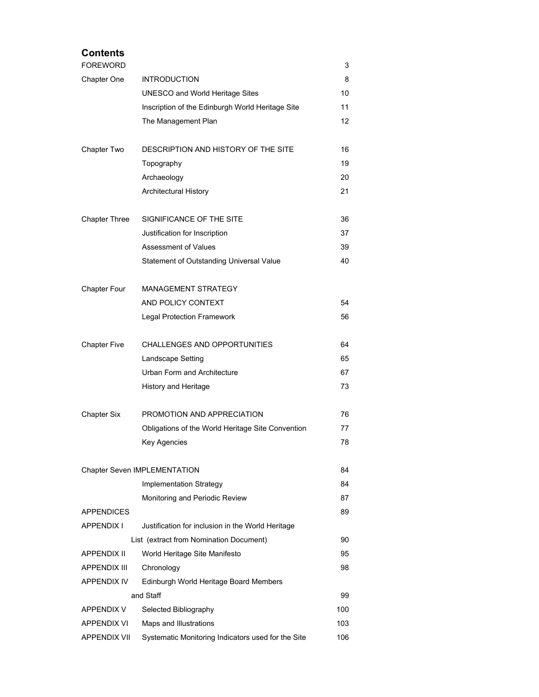### **Contents**  FOREWORD 3 Chapter One INTRODUCTION 8 UNESCO and World Heritage Sites 10 Inscription of the Edinburgh World Heritage Site 11 The Management Plan 12 Chapter Two DESCRIPTION AND HISTORY OF THE SITE 16 Topography 19 Archaeology 20 Architectural History 21 Chapter Three SIGNIFICANCE OF THE SITE 36 Justification for Inscription 37 Assessment of Values 39 Statement of Outstanding Universal Value 40 Chapter Four MANAGEMENT STRATEGY AND POLICY CONTEXT 54 Legal Protection Framework 66 Chapter Five CHALLENGES AND OPPORTUNITIES 64 Landscape Setting 65 Urban Form and Architecture 67 History and Heritage 73 Chapter Six PROMOTION AND APPRECIATION 76 Obligations of the World Heritage Site Convention 77 Key Agencies 78 Chapter Seven IMPLEMENTATION 84 Implementation Strategy 84 Monitoring and Periodic Review **87** APPENDICES 89 APPENDIX I Justification for inclusion in the World Heritage List (extract from Nomination Document) 90 APPENDIX II World Heritage Site Manifesto **95** APPENDIX III Chronology 98 APPENDIX IV Edinburgh World Heritage Board Members and Staff 99 APPENDIX V Selected Bibliography 100 APPENDIX VI Maps and Illustrations 103 APPENDIX VII Systematic Monitoring Indicators used for the Site 106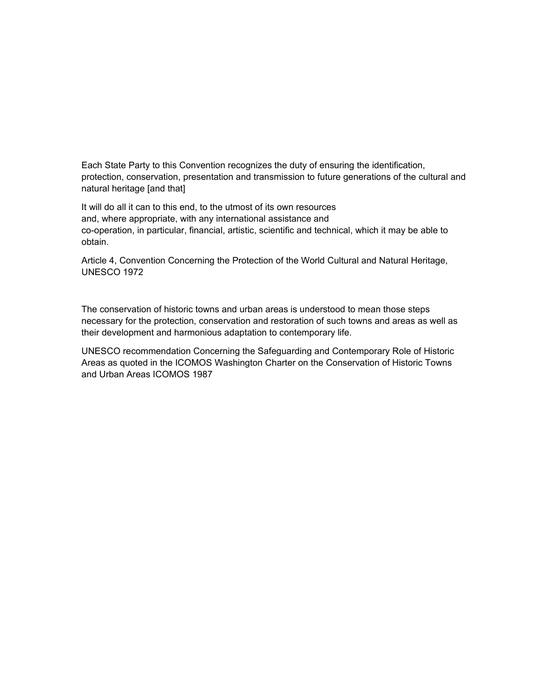Each State Party to this Convention recognizes the duty of ensuring the identification, protection, conservation, presentation and transmission to future generations of the cultural and natural heritage [and that]

It will do all it can to this end, to the utmost of its own resources and, where appropriate, with any international assistance and co-operation, in particular, financial, artistic, scientific and technical, which it may be able to obtain.

Article 4, Convention Concerning the Protection of the World Cultural and Natural Heritage, UNESCO 1972

The conservation of historic towns and urban areas is understood to mean those steps necessary for the protection, conservation and restoration of such towns and areas as well as their development and harmonious adaptation to contemporary life.

UNESCO recommendation Concerning the Safeguarding and Contemporary Role of Historic Areas as quoted in the ICOMOS Washington Charter on the Conservation of Historic Towns and Urban Areas ICOMOS 1987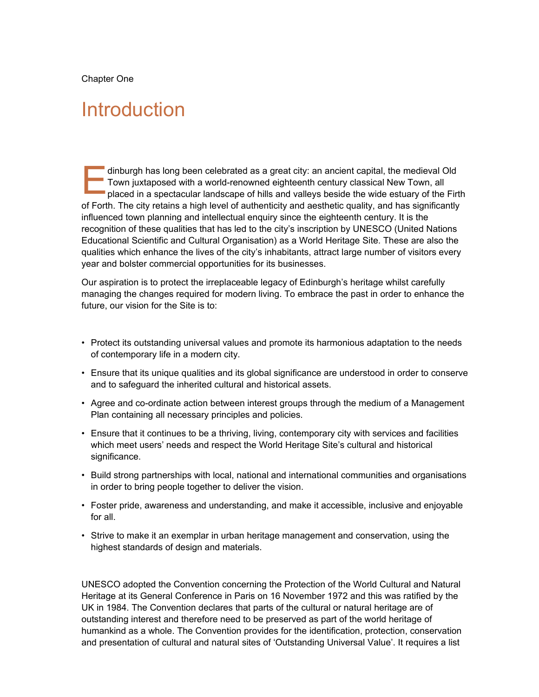Chapter One

### Introduction

dinburgh has long been celebrated as a great city: an ancient capital, the medieval Old Town juxtaposed with a world-renowned eighteenth century classical New Town, all placed in a spectacular landscape of hills and valleys beside the wide estuary of the Firth of Forth. The city retains a high level of authenticity and aesthetic quality, and has significantly influenced town planning and intellectual enquiry since the eighteenth century. It is the recognition of these qualities that has led to the city's inscription by UNESCO (United Nations Educational Scientific and Cultural Organisation) as a World Heritage Site. These are also the qualities which enhance the lives of the city's inhabitants, attract large number of visitors every year and bolster commercial opportunities for its businesses. E

Our aspiration is to protect the irreplaceable legacy of Edinburgh's heritage whilst carefully managing the changes required for modern living. To embrace the past in order to enhance the future, our vision for the Site is to:

- Protect its outstanding universal values and promote its harmonious adaptation to the needs of contemporary life in a modern city.
- Ensure that its unique qualities and its global significance are understood in order to conserve and to safeguard the inherited cultural and historical assets.
- Agree and co-ordinate action between interest groups through the medium of a Management Plan containing all necessary principles and policies.
- Ensure that it continues to be a thriving, living, contemporary city with services and facilities which meet users' needs and respect the World Heritage Site's cultural and historical significance.
- Build strong partnerships with local, national and international communities and organisations in order to bring people together to deliver the vision.
- Foster pride, awareness and understanding, and make it accessible, inclusive and enjoyable for all.
- Strive to make it an exemplar in urban heritage management and conservation, using the highest standards of design and materials.

UNESCO adopted the Convention concerning the Protection of the World Cultural and Natural Heritage at its General Conference in Paris on 16 November 1972 and this was ratified by the UK in 1984. The Convention declares that parts of the cultural or natural heritage are of outstanding interest and therefore need to be preserved as part of the world heritage of humankind as a whole. The Convention provides for the identification, protection, conservation and presentation of cultural and natural sites of 'Outstanding Universal Value'. It requires a list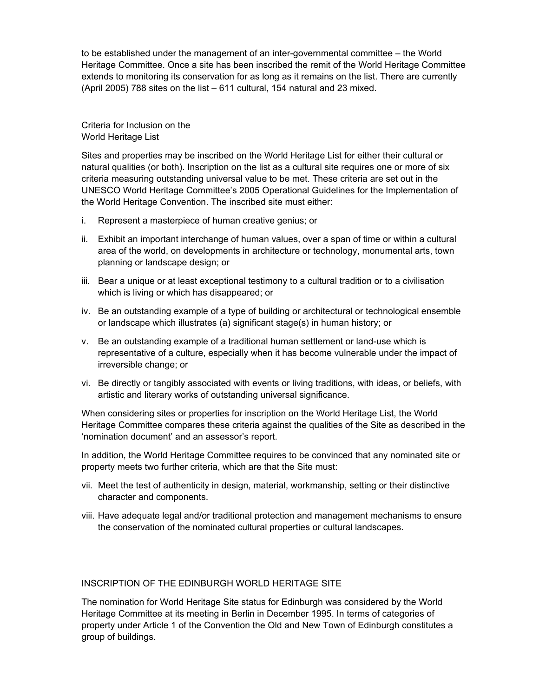to be established under the management of an inter-governmental committee – the World Heritage Committee. Once a site has been inscribed the remit of the World Heritage Committee extends to monitoring its conservation for as long as it remains on the list. There are currently (April 2005) 788 sites on the list – 611 cultural, 154 natural and 23 mixed.

Criteria for Inclusion on the World Heritage List

Sites and properties may be inscribed on the World Heritage List for either their cultural or natural qualities (or both). Inscription on the list as a cultural site requires one or more of six criteria measuring outstanding universal value to be met. These criteria are set out in the UNESCO World Heritage Committee's 2005 Operational Guidelines for the Implementation of the World Heritage Convention. The inscribed site must either:

- i. Represent a masterpiece of human creative genius; or
- ii. Exhibit an important interchange of human values, over a span of time or within a cultural area of the world, on developments in architecture or technology, monumental arts, town planning or landscape design; or
- iii. Bear a unique or at least exceptional testimony to a cultural tradition or to a civilisation which is living or which has disappeared; or
- iv. Be an outstanding example of a type of building or architectural or technological ensemble or landscape which illustrates (a) significant stage(s) in human history; or
- v. Be an outstanding example of a traditional human settlement or land-use which is representative of a culture, especially when it has become vulnerable under the impact of irreversible change; or
- vi. Be directly or tangibly associated with events or living traditions, with ideas, or beliefs, with artistic and literary works of outstanding universal significance.

When considering sites or properties for inscription on the World Heritage List, the World Heritage Committee compares these criteria against the qualities of the Site as described in the 'nomination document' and an assessor's report.

In addition, the World Heritage Committee requires to be convinced that any nominated site or property meets two further criteria, which are that the Site must:

- vii. Meet the test of authenticity in design, material, workmanship, setting or their distinctive character and components.
- viii. Have adequate legal and/or traditional protection and management mechanisms to ensure the conservation of the nominated cultural properties or cultural landscapes.

#### INSCRIPTION OF THE EDINBURGH WORLD HERITAGE SITE

The nomination for World Heritage Site status for Edinburgh was considered by the World Heritage Committee at its meeting in Berlin in December 1995. In terms of categories of property under Article 1 of the Convention the Old and New Town of Edinburgh constitutes a group of buildings.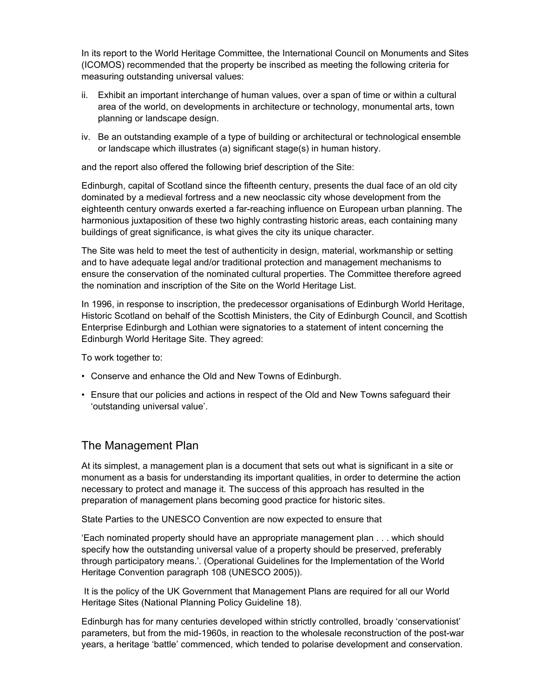In its report to the World Heritage Committee, the International Council on Monuments and Sites (ICOMOS) recommended that the property be inscribed as meeting the following criteria for measuring outstanding universal values:

- ii. Exhibit an important interchange of human values, over a span of time or within a cultural area of the world, on developments in architecture or technology, monumental arts, town planning or landscape design.
- iv. Be an outstanding example of a type of building or architectural or technological ensemble or landscape which illustrates (a) significant stage(s) in human history.

and the report also offered the following brief description of the Site:

Edinburgh, capital of Scotland since the fifteenth century, presents the dual face of an old city dominated by a medieval fortress and a new neoclassic city whose development from the eighteenth century onwards exerted a far-reaching influence on European urban planning. The harmonious juxtaposition of these two highly contrasting historic areas, each containing many buildings of great significance, is what gives the city its unique character.

The Site was held to meet the test of authenticity in design, material, workmanship or setting and to have adequate legal and/or traditional protection and management mechanisms to ensure the conservation of the nominated cultural properties. The Committee therefore agreed the nomination and inscription of the Site on the World Heritage List.

In 1996, in response to inscription, the predecessor organisations of Edinburgh World Heritage, Historic Scotland on behalf of the Scottish Ministers, the City of Edinburgh Council, and Scottish Enterprise Edinburgh and Lothian were signatories to a statement of intent concerning the Edinburgh World Heritage Site. They agreed:

To work together to:

- Conserve and enhance the Old and New Towns of Edinburgh.
- Ensure that our policies and actions in respect of the Old and New Towns safeguard their 'outstanding universal value'.

### The Management Plan

At its simplest, a management plan is a document that sets out what is significant in a site or monument as a basis for understanding its important qualities, in order to determine the action necessary to protect and manage it. The success of this approach has resulted in the preparation of management plans becoming good practice for historic sites.

State Parties to the UNESCO Convention are now expected to ensure that

'Each nominated property should have an appropriate management plan . . . which should specify how the outstanding universal value of a property should be preserved, preferably through participatory means.'. (Operational Guidelines for the Implementation of the World Heritage Convention paragraph 108 (UNESCO 2005)).

 It is the policy of the UK Government that Management Plans are required for all our World Heritage Sites (National Planning Policy Guideline 18).

Edinburgh has for many centuries developed within strictly controlled, broadly 'conservationist' parameters, but from the mid-1960s, in reaction to the wholesale reconstruction of the post-war years, a heritage 'battle' commenced, which tended to polarise development and conservation.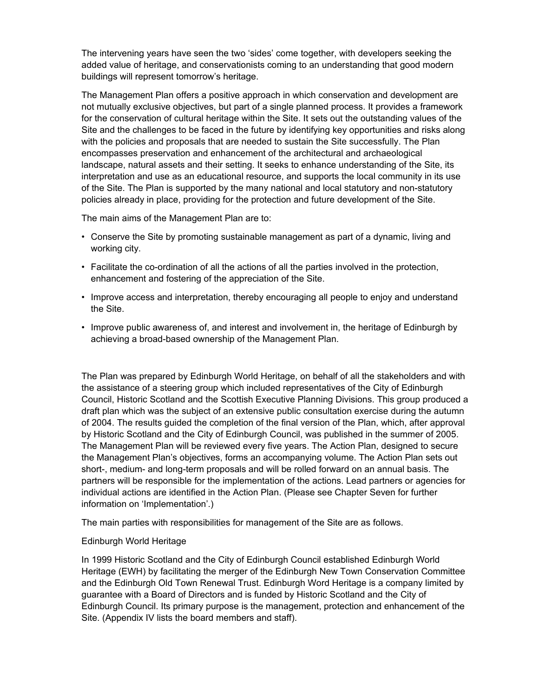The intervening years have seen the two 'sides' come together, with developers seeking the added value of heritage, and conservationists coming to an understanding that good modern buildings will represent tomorrow's heritage.

The Management Plan offers a positive approach in which conservation and development are not mutually exclusive objectives, but part of a single planned process. It provides a framework for the conservation of cultural heritage within the Site. It sets out the outstanding values of the Site and the challenges to be faced in the future by identifying key opportunities and risks along with the policies and proposals that are needed to sustain the Site successfully. The Plan encompasses preservation and enhancement of the architectural and archaeological landscape, natural assets and their setting. It seeks to enhance understanding of the Site, its interpretation and use as an educational resource, and supports the local community in its use of the Site. The Plan is supported by the many national and local statutory and non-statutory policies already in place, providing for the protection and future development of the Site.

The main aims of the Management Plan are to:

- Conserve the Site by promoting sustainable management as part of a dynamic, living and working city.
- Facilitate the co-ordination of all the actions of all the parties involved in the protection, enhancement and fostering of the appreciation of the Site.
- Improve access and interpretation, thereby encouraging all people to enjoy and understand the Site.
- Improve public awareness of, and interest and involvement in, the heritage of Edinburgh by achieving a broad-based ownership of the Management Plan.

The Plan was prepared by Edinburgh World Heritage, on behalf of all the stakeholders and with the assistance of a steering group which included representatives of the City of Edinburgh Council, Historic Scotland and the Scottish Executive Planning Divisions. This group produced a draft plan which was the subject of an extensive public consultation exercise during the autumn of 2004. The results guided the completion of the final version of the Plan, which, after approval by Historic Scotland and the City of Edinburgh Council, was published in the summer of 2005. The Management Plan will be reviewed every five years. The Action Plan, designed to secure the Management Plan's objectives, forms an accompanying volume. The Action Plan sets out short-, medium- and long-term proposals and will be rolled forward on an annual basis. The partners will be responsible for the implementation of the actions. Lead partners or agencies for individual actions are identified in the Action Plan. (Please see Chapter Seven for further information on 'Implementation'.)

The main parties with responsibilities for management of the Site are as follows.

#### Edinburgh World Heritage

In 1999 Historic Scotland and the City of Edinburgh Council established Edinburgh World Heritage (EWH) by facilitating the merger of the Edinburgh New Town Conservation Committee and the Edinburgh Old Town Renewal Trust. Edinburgh Word Heritage is a company limited by guarantee with a Board of Directors and is funded by Historic Scotland and the City of Edinburgh Council. Its primary purpose is the management, protection and enhancement of the Site. (Appendix IV lists the board members and staff).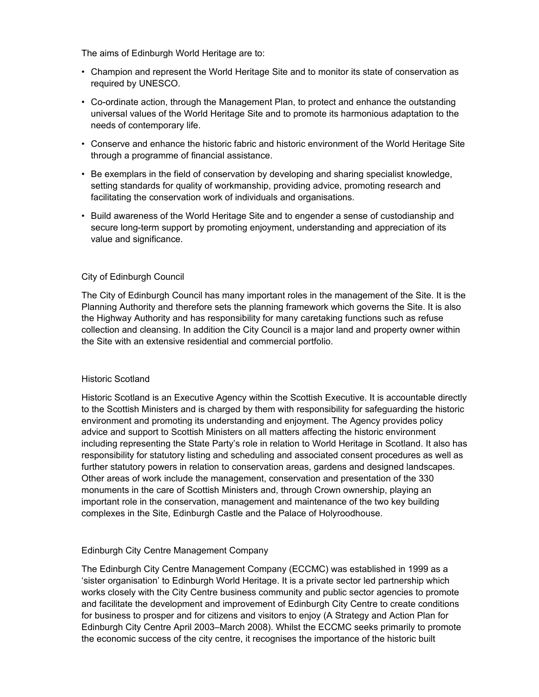The aims of Edinburgh World Heritage are to:

- Champion and represent the World Heritage Site and to monitor its state of conservation as required by UNESCO.
- Co-ordinate action, through the Management Plan, to protect and enhance the outstanding universal values of the World Heritage Site and to promote its harmonious adaptation to the needs of contemporary life.
- Conserve and enhance the historic fabric and historic environment of the World Heritage Site through a programme of financial assistance.
- Be exemplars in the field of conservation by developing and sharing specialist knowledge, setting standards for quality of workmanship, providing advice, promoting research and facilitating the conservation work of individuals and organisations.
- Build awareness of the World Heritage Site and to engender a sense of custodianship and secure long-term support by promoting enjoyment, understanding and appreciation of its value and significance.

#### City of Edinburgh Council

The City of Edinburgh Council has many important roles in the management of the Site. It is the Planning Authority and therefore sets the planning framework which governs the Site. It is also the Highway Authority and has responsibility for many caretaking functions such as refuse collection and cleansing. In addition the City Council is a major land and property owner within the Site with an extensive residential and commercial portfolio.

#### Historic Scotland

Historic Scotland is an Executive Agency within the Scottish Executive. It is accountable directly to the Scottish Ministers and is charged by them with responsibility for safeguarding the historic environment and promoting its understanding and enjoyment. The Agency provides policy advice and support to Scottish Ministers on all matters affecting the historic environment including representing the State Party's role in relation to World Heritage in Scotland. It also has responsibility for statutory listing and scheduling and associated consent procedures as well as further statutory powers in relation to conservation areas, gardens and designed landscapes. Other areas of work include the management, conservation and presentation of the 330 monuments in the care of Scottish Ministers and, through Crown ownership, playing an important role in the conservation, management and maintenance of the two key building complexes in the Site, Edinburgh Castle and the Palace of Holyroodhouse.

#### Edinburgh City Centre Management Company

The Edinburgh City Centre Management Company (ECCMC) was established in 1999 as a 'sister organisation' to Edinburgh World Heritage. It is a private sector led partnership which works closely with the City Centre business community and public sector agencies to promote and facilitate the development and improvement of Edinburgh City Centre to create conditions for business to prosper and for citizens and visitors to enjoy (A Strategy and Action Plan for Edinburgh City Centre April 2003–March 2008). Whilst the ECCMC seeks primarily to promote the economic success of the city centre, it recognises the importance of the historic built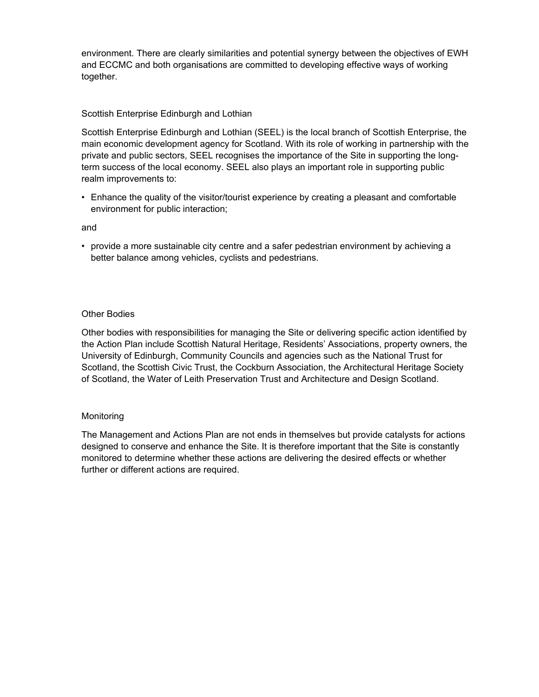environment. There are clearly similarities and potential synergy between the objectives of EWH and ECCMC and both organisations are committed to developing effective ways of working together.

#### Scottish Enterprise Edinburgh and Lothian

Scottish Enterprise Edinburgh and Lothian (SEEL) is the local branch of Scottish Enterprise, the main economic development agency for Scotland. With its role of working in partnership with the private and public sectors, SEEL recognises the importance of the Site in supporting the longterm success of the local economy. SEEL also plays an important role in supporting public realm improvements to:

• Enhance the quality of the visitor/tourist experience by creating a pleasant and comfortable environment for public interaction;

and

• provide a more sustainable city centre and a safer pedestrian environment by achieving a better balance among vehicles, cyclists and pedestrians.

#### Other Bodies

Other bodies with responsibilities for managing the Site or delivering specific action identified by the Action Plan include Scottish Natural Heritage, Residents' Associations, property owners, the University of Edinburgh, Community Councils and agencies such as the National Trust for Scotland, the Scottish Civic Trust, the Cockburn Association, the Architectural Heritage Society of Scotland, the Water of Leith Preservation Trust and Architecture and Design Scotland.

#### Monitoring

The Management and Actions Plan are not ends in themselves but provide catalysts for actions designed to conserve and enhance the Site. It is therefore important that the Site is constantly monitored to determine whether these actions are delivering the desired effects or whether further or different actions are required.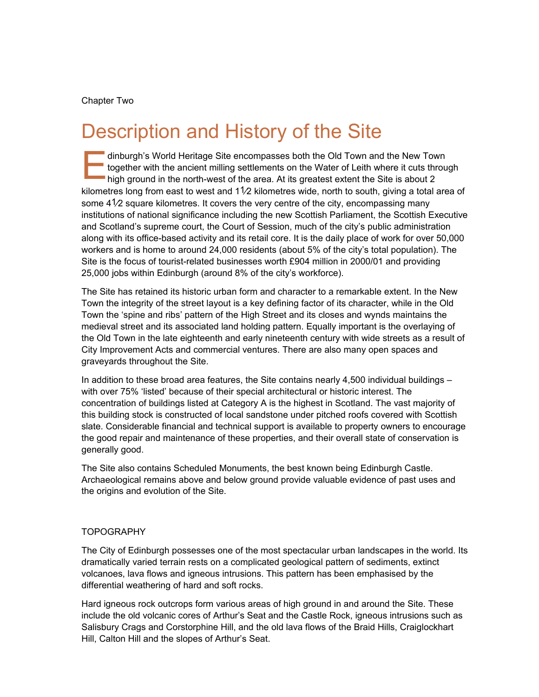#### Chapter Two

### Description and History of the Site

dinburgh's World Heritage Site encompasses both the Old Town and the New Town together with the ancient milling settlements on the Water of Leith where it cuts through high ground in the north-west of the area. At its grea together with the ancient milling settlements on the Water of Leith where it cuts through high ground in the north-west of the area. At its greatest extent the Site is about 2 kilometres long from east to west and  $1/2$  kilometres wide, north to south, giving a total area of some 41/2 square kilometres. It covers the very centre of the city, encompassing many institutions of national significance including the new Scottish Parliament, the Scottish Executive and Scotland's supreme court, the Court of Session, much of the city's public administration along with its office-based activity and its retail core. It is the daily place of work for over 50,000 workers and is home to around 24,000 residents (about 5% of the city's total population). The Site is the focus of tourist-related businesses worth £904 million in 2000/01 and providing 25,000 jobs within Edinburgh (around 8% of the city's workforce).

The Site has retained its historic urban form and character to a remarkable extent. In the New Town the integrity of the street layout is a key defining factor of its character, while in the Old Town the 'spine and ribs' pattern of the High Street and its closes and wynds maintains the medieval street and its associated land holding pattern. Equally important is the overlaying of the Old Town in the late eighteenth and early nineteenth century with wide streets as a result of City Improvement Acts and commercial ventures. There are also many open spaces and graveyards throughout the Site.

In addition to these broad area features, the Site contains nearly 4,500 individual buildings – with over 75% 'listed' because of their special architectural or historic interest. The concentration of buildings listed at Category A is the highest in Scotland. The vast majority of this building stock is constructed of local sandstone under pitched roofs covered with Scottish slate. Considerable financial and technical support is available to property owners to encourage the good repair and maintenance of these properties, and their overall state of conservation is generally good.

The Site also contains Scheduled Monuments, the best known being Edinburgh Castle. Archaeological remains above and below ground provide valuable evidence of past uses and the origins and evolution of the Site.

#### TOPOGRAPHY

The City of Edinburgh possesses one of the most spectacular urban landscapes in the world. Its dramatically varied terrain rests on a complicated geological pattern of sediments, extinct volcanoes, lava flows and igneous intrusions. This pattern has been emphasised by the differential weathering of hard and soft rocks.

Hard igneous rock outcrops form various areas of high ground in and around the Site. These include the old volcanic cores of Arthur's Seat and the Castle Rock, igneous intrusions such as Salisbury Crags and Corstorphine Hill, and the old lava flows of the Braid Hills, Craiglockhart Hill, Calton Hill and the slopes of Arthur's Seat.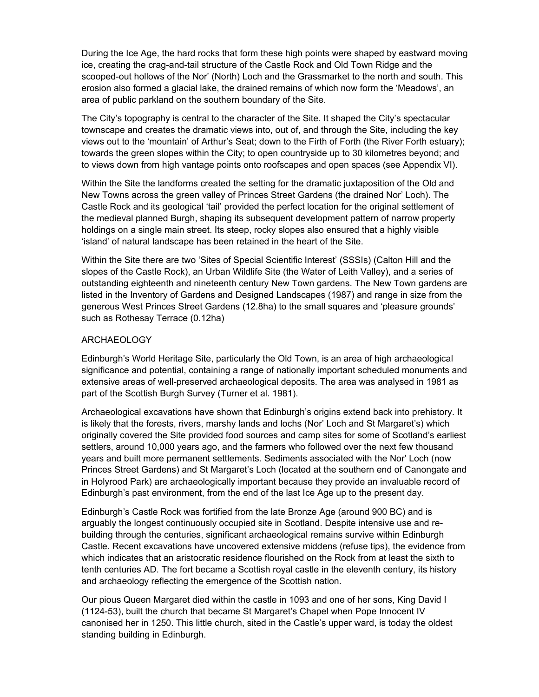During the Ice Age, the hard rocks that form these high points were shaped by eastward moving ice, creating the crag-and-tail structure of the Castle Rock and Old Town Ridge and the scooped-out hollows of the Nor' (North) Loch and the Grassmarket to the north and south. This erosion also formed a glacial lake, the drained remains of which now form the 'Meadows', an area of public parkland on the southern boundary of the Site.

The City's topography is central to the character of the Site. It shaped the City's spectacular townscape and creates the dramatic views into, out of, and through the Site, including the key views out to the 'mountain' of Arthur's Seat; down to the Firth of Forth (the River Forth estuary); towards the green slopes within the City; to open countryside up to 30 kilometres beyond; and to views down from high vantage points onto roofscapes and open spaces (see Appendix VI).

Within the Site the landforms created the setting for the dramatic juxtaposition of the Old and New Towns across the green valley of Princes Street Gardens (the drained Nor' Loch). The Castle Rock and its geological 'tail' provided the perfect location for the original settlement of the medieval planned Burgh, shaping its subsequent development pattern of narrow property holdings on a single main street. Its steep, rocky slopes also ensured that a highly visible 'island' of natural landscape has been retained in the heart of the Site.

Within the Site there are two 'Sites of Special Scientific Interest' (SSSIs) (Calton Hill and the slopes of the Castle Rock), an Urban Wildlife Site (the Water of Leith Valley), and a series of outstanding eighteenth and nineteenth century New Town gardens. The New Town gardens are listed in the Inventory of Gardens and Designed Landscapes (1987) and range in size from the generous West Princes Street Gardens (12.8ha) to the small squares and 'pleasure grounds' such as Rothesay Terrace (0.12ha)

#### ARCHAEOLOGY

Edinburgh's World Heritage Site, particularly the Old Town, is an area of high archaeological significance and potential, containing a range of nationally important scheduled monuments and extensive areas of well-preserved archaeological deposits. The area was analysed in 1981 as part of the Scottish Burgh Survey (Turner et al. 1981).

Archaeological excavations have shown that Edinburgh's origins extend back into prehistory. It is likely that the forests, rivers, marshy lands and lochs (Nor' Loch and St Margaret's) which originally covered the Site provided food sources and camp sites for some of Scotland's earliest settlers, around 10,000 years ago, and the farmers who followed over the next few thousand years and built more permanent settlements. Sediments associated with the Nor' Loch (now Princes Street Gardens) and St Margaret's Loch (located at the southern end of Canongate and in Holyrood Park) are archaeologically important because they provide an invaluable record of Edinburgh's past environment, from the end of the last Ice Age up to the present day.

Edinburgh's Castle Rock was fortified from the late Bronze Age (around 900 BC) and is arguably the longest continuously occupied site in Scotland. Despite intensive use and rebuilding through the centuries, significant archaeological remains survive within Edinburgh Castle. Recent excavations have uncovered extensive middens (refuse tips), the evidence from which indicates that an aristocratic residence flourished on the Rock from at least the sixth to tenth centuries AD. The fort became a Scottish royal castle in the eleventh century, its history and archaeology reflecting the emergence of the Scottish nation.

Our pious Queen Margaret died within the castle in 1093 and one of her sons, King David I (1124-53), built the church that became St Margaret's Chapel when Pope Innocent IV canonised her in 1250. This little church, sited in the Castle's upper ward, is today the oldest standing building in Edinburgh.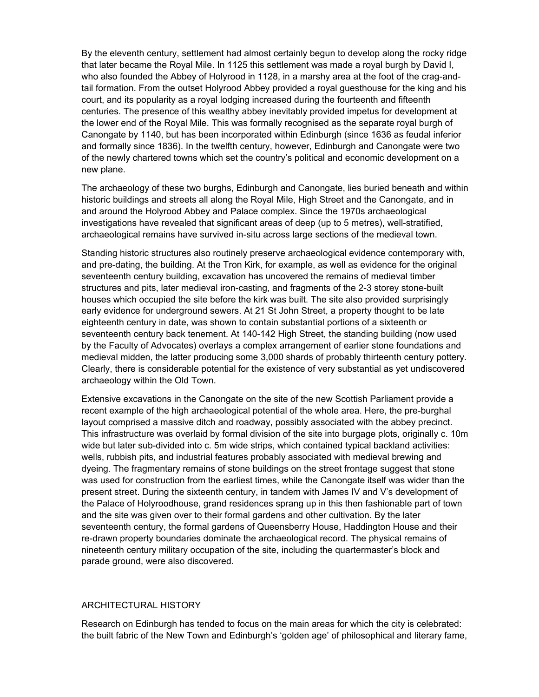By the eleventh century, settlement had almost certainly begun to develop along the rocky ridge that later became the Royal Mile. In 1125 this settlement was made a royal burgh by David I, who also founded the Abbey of Holyrood in 1128, in a marshy area at the foot of the crag-andtail formation. From the outset Holyrood Abbey provided a royal guesthouse for the king and his court, and its popularity as a royal lodging increased during the fourteenth and fifteenth centuries. The presence of this wealthy abbey inevitably provided impetus for development at the lower end of the Royal Mile. This was formally recognised as the separate royal burgh of Canongate by 1140, but has been incorporated within Edinburgh (since 1636 as feudal inferior and formally since 1836). In the twelfth century, however, Edinburgh and Canongate were two of the newly chartered towns which set the country's political and economic development on a new plane.

The archaeology of these two burghs, Edinburgh and Canongate, lies buried beneath and within historic buildings and streets all along the Royal Mile, High Street and the Canongate, and in and around the Holyrood Abbey and Palace complex. Since the 1970s archaeological investigations have revealed that significant areas of deep (up to 5 metres), well-stratified, archaeological remains have survived in-situ across large sections of the medieval town.

Standing historic structures also routinely preserve archaeological evidence contemporary with, and pre-dating, the building. At the Tron Kirk, for example, as well as evidence for the original seventeenth century building, excavation has uncovered the remains of medieval timber structures and pits, later medieval iron-casting, and fragments of the 2-3 storey stone-built houses which occupied the site before the kirk was built. The site also provided surprisingly early evidence for underground sewers. At 21 St John Street, a property thought to be late eighteenth century in date, was shown to contain substantial portions of a sixteenth or seventeenth century back tenement. At 140-142 High Street, the standing building (now used by the Faculty of Advocates) overlays a complex arrangement of earlier stone foundations and medieval midden, the latter producing some 3,000 shards of probably thirteenth century pottery. Clearly, there is considerable potential for the existence of very substantial as yet undiscovered archaeology within the Old Town.

Extensive excavations in the Canongate on the site of the new Scottish Parliament provide a recent example of the high archaeological potential of the whole area. Here, the pre-burghal layout comprised a massive ditch and roadway, possibly associated with the abbey precinct. This infrastructure was overlaid by formal division of the site into burgage plots, originally c. 10m wide but later sub-divided into c. 5m wide strips, which contained typical backland activities: wells, rubbish pits, and industrial features probably associated with medieval brewing and dyeing. The fragmentary remains of stone buildings on the street frontage suggest that stone was used for construction from the earliest times, while the Canongate itself was wider than the present street. During the sixteenth century, in tandem with James IV and V's development of the Palace of Holyroodhouse, grand residences sprang up in this then fashionable part of town and the site was given over to their formal gardens and other cultivation. By the later seventeenth century, the formal gardens of Queensberry House, Haddington House and their re-drawn property boundaries dominate the archaeological record. The physical remains of nineteenth century military occupation of the site, including the quartermaster's block and parade ground, were also discovered.

#### ARCHITECTURAL HISTORY

Research on Edinburgh has tended to focus on the main areas for which the city is celebrated: the built fabric of the New Town and Edinburgh's 'golden age' of philosophical and literary fame,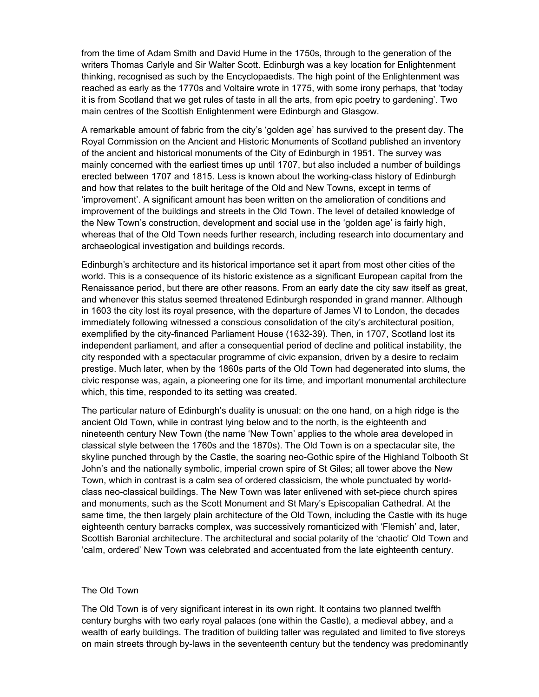from the time of Adam Smith and David Hume in the 1750s, through to the generation of the writers Thomas Carlyle and Sir Walter Scott. Edinburgh was a key location for Enlightenment thinking, recognised as such by the Encyclopaedists. The high point of the Enlightenment was reached as early as the 1770s and Voltaire wrote in 1775, with some irony perhaps, that 'today it is from Scotland that we get rules of taste in all the arts, from epic poetry to gardening'. Two main centres of the Scottish Enlightenment were Edinburgh and Glasgow.

A remarkable amount of fabric from the city's 'golden age' has survived to the present day. The Royal Commission on the Ancient and Historic Monuments of Scotland published an inventory of the ancient and historical monuments of the City of Edinburgh in 1951. The survey was mainly concerned with the earliest times up until 1707, but also included a number of buildings erected between 1707 and 1815. Less is known about the working-class history of Edinburgh and how that relates to the built heritage of the Old and New Towns, except in terms of 'improvement'. A significant amount has been written on the amelioration of conditions and improvement of the buildings and streets in the Old Town. The level of detailed knowledge of the New Town's construction, development and social use in the 'golden age' is fairly high, whereas that of the Old Town needs further research, including research into documentary and archaeological investigation and buildings records.

Edinburgh's architecture and its historical importance set it apart from most other cities of the world. This is a consequence of its historic existence as a significant European capital from the Renaissance period, but there are other reasons. From an early date the city saw itself as great, and whenever this status seemed threatened Edinburgh responded in grand manner. Although in 1603 the city lost its royal presence, with the departure of James VI to London, the decades immediately following witnessed a conscious consolidation of the city's architectural position, exemplified by the city-financed Parliament House (1632-39). Then, in 1707, Scotland lost its independent parliament, and after a consequential period of decline and political instability, the city responded with a spectacular programme of civic expansion, driven by a desire to reclaim prestige. Much later, when by the 1860s parts of the Old Town had degenerated into slums, the civic response was, again, a pioneering one for its time, and important monumental architecture which, this time, responded to its setting was created.

The particular nature of Edinburgh's duality is unusual: on the one hand, on a high ridge is the ancient Old Town, while in contrast lying below and to the north, is the eighteenth and nineteenth century New Town (the name 'New Town' applies to the whole area developed in classical style between the 1760s and the 1870s). The Old Town is on a spectacular site, the skyline punched through by the Castle, the soaring neo-Gothic spire of the Highland Tolbooth St John's and the nationally symbolic, imperial crown spire of St Giles; all tower above the New Town, which in contrast is a calm sea of ordered classicism, the whole punctuated by worldclass neo-classical buildings. The New Town was later enlivened with set-piece church spires and monuments, such as the Scott Monument and St Mary's Episcopalian Cathedral. At the same time, the then largely plain architecture of the Old Town, including the Castle with its huge eighteenth century barracks complex, was successively romanticized with 'Flemish' and, later, Scottish Baronial architecture. The architectural and social polarity of the 'chaotic' Old Town and 'calm, ordered' New Town was celebrated and accentuated from the late eighteenth century.

#### The Old Town

The Old Town is of very significant interest in its own right. It contains two planned twelfth century burghs with two early royal palaces (one within the Castle), a medieval abbey, and a wealth of early buildings. The tradition of building taller was regulated and limited to five storeys on main streets through by-laws in the seventeenth century but the tendency was predominantly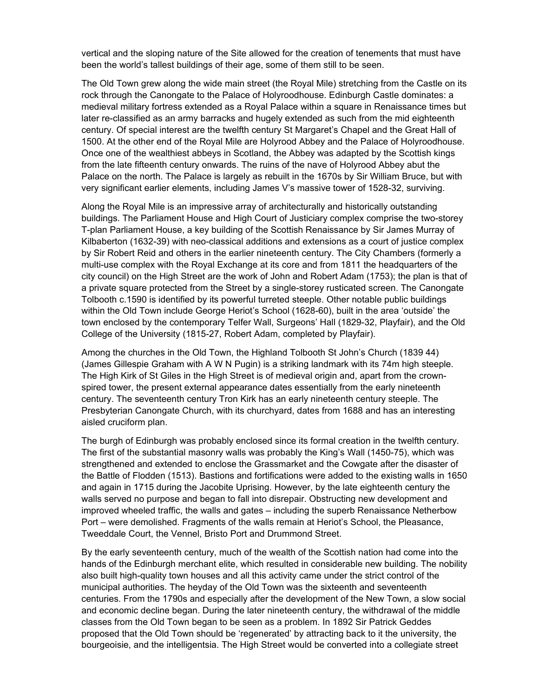vertical and the sloping nature of the Site allowed for the creation of tenements that must have been the world's tallest buildings of their age, some of them still to be seen.

The Old Town grew along the wide main street (the Royal Mile) stretching from the Castle on its rock through the Canongate to the Palace of Holyroodhouse. Edinburgh Castle dominates: a medieval military fortress extended as a Royal Palace within a square in Renaissance times but later re-classified as an army barracks and hugely extended as such from the mid eighteenth century. Of special interest are the twelfth century St Margaret's Chapel and the Great Hall of 1500. At the other end of the Royal Mile are Holyrood Abbey and the Palace of Holyroodhouse. Once one of the wealthiest abbeys in Scotland, the Abbey was adapted by the Scottish kings from the late fifteenth century onwards. The ruins of the nave of Holyrood Abbey abut the Palace on the north. The Palace is largely as rebuilt in the 1670s by Sir William Bruce, but with very significant earlier elements, including James V's massive tower of 1528-32, surviving.

Along the Royal Mile is an impressive array of architecturally and historically outstanding buildings. The Parliament House and High Court of Justiciary complex comprise the two-storey T-plan Parliament House, a key building of the Scottish Renaissance by Sir James Murray of Kilbaberton (1632-39) with neo-classical additions and extensions as a court of justice complex by Sir Robert Reid and others in the earlier nineteenth century. The City Chambers (formerly a multi-use complex with the Royal Exchange at its core and from 1811 the headquarters of the city council) on the High Street are the work of John and Robert Adam (1753); the plan is that of a private square protected from the Street by a single-storey rusticated screen. The Canongate Tolbooth c.1590 is identified by its powerful turreted steeple. Other notable public buildings within the Old Town include George Heriot's School (1628-60), built in the area 'outside' the town enclosed by the contemporary Telfer Wall, Surgeons' Hall (1829-32, Playfair), and the Old College of the University (1815-27, Robert Adam, completed by Playfair).

Among the churches in the Old Town, the Highland Tolbooth St John's Church (1839 44) (James Gillespie Graham with A W N Pugin) is a striking landmark with its 74m high steeple. The High Kirk of St Giles in the High Street is of medieval origin and, apart from the crownspired tower, the present external appearance dates essentially from the early nineteenth century. The seventeenth century Tron Kirk has an early nineteenth century steeple. The Presbyterian Canongate Church, with its churchyard, dates from 1688 and has an interesting aisled cruciform plan.

The burgh of Edinburgh was probably enclosed since its formal creation in the twelfth century. The first of the substantial masonry walls was probably the King's Wall (1450-75), which was strengthened and extended to enclose the Grassmarket and the Cowgate after the disaster of the Battle of Flodden (1513). Bastions and fortifications were added to the existing walls in 1650 and again in 1715 during the Jacobite Uprising. However, by the late eighteenth century the walls served no purpose and began to fall into disrepair. Obstructing new development and improved wheeled traffic, the walls and gates – including the superb Renaissance Netherbow Port – were demolished. Fragments of the walls remain at Heriot's School, the Pleasance, Tweeddale Court, the Vennel, Bristo Port and Drummond Street.

By the early seventeenth century, much of the wealth of the Scottish nation had come into the hands of the Edinburgh merchant elite, which resulted in considerable new building. The nobility also built high-quality town houses and all this activity came under the strict control of the municipal authorities. The heyday of the Old Town was the sixteenth and seventeenth centuries. From the 1790s and especially after the development of the New Town, a slow social and economic decline began. During the later nineteenth century, the withdrawal of the middle classes from the Old Town began to be seen as a problem. In 1892 Sir Patrick Geddes proposed that the Old Town should be 'regenerated' by attracting back to it the university, the bourgeoisie, and the intelligentsia. The High Street would be converted into a collegiate street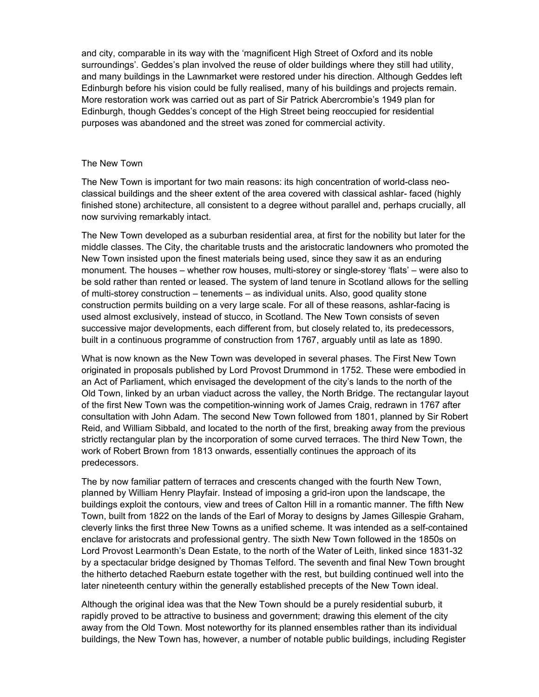and city, comparable in its way with the 'magnificent High Street of Oxford and its noble surroundings'. Geddes's plan involved the reuse of older buildings where they still had utility, and many buildings in the Lawnmarket were restored under his direction. Although Geddes left Edinburgh before his vision could be fully realised, many of his buildings and projects remain. More restoration work was carried out as part of Sir Patrick Abercrombie's 1949 plan for Edinburgh, though Geddes's concept of the High Street being reoccupied for residential purposes was abandoned and the street was zoned for commercial activity.

#### The New Town

The New Town is important for two main reasons: its high concentration of world-class neoclassical buildings and the sheer extent of the area covered with classical ashlar- faced (highly finished stone) architecture, all consistent to a degree without parallel and, perhaps crucially, all now surviving remarkably intact.

The New Town developed as a suburban residential area, at first for the nobility but later for the middle classes. The City, the charitable trusts and the aristocratic landowners who promoted the New Town insisted upon the finest materials being used, since they saw it as an enduring monument. The houses – whether row houses, multi-storey or single-storey 'flats' – were also to be sold rather than rented or leased. The system of land tenure in Scotland allows for the selling of multi-storey construction – tenements – as individual units. Also, good quality stone construction permits building on a very large scale. For all of these reasons, ashlar-facing is used almost exclusively, instead of stucco, in Scotland. The New Town consists of seven successive major developments, each different from, but closely related to, its predecessors, built in a continuous programme of construction from 1767, arguably until as late as 1890.

What is now known as the New Town was developed in several phases. The First New Town originated in proposals published by Lord Provost Drummond in 1752. These were embodied in an Act of Parliament, which envisaged the development of the city's lands to the north of the Old Town, linked by an urban viaduct across the valley, the North Bridge. The rectangular layout of the first New Town was the competition-winning work of James Craig, redrawn in 1767 after consultation with John Adam. The second New Town followed from 1801, planned by Sir Robert Reid, and William Sibbald, and located to the north of the first, breaking away from the previous strictly rectangular plan by the incorporation of some curved terraces. The third New Town, the work of Robert Brown from 1813 onwards, essentially continues the approach of its predecessors.

The by now familiar pattern of terraces and crescents changed with the fourth New Town, planned by William Henry Playfair. Instead of imposing a grid-iron upon the landscape, the buildings exploit the contours, view and trees of Calton Hill in a romantic manner. The fifth New Town, built from 1822 on the lands of the Earl of Moray to designs by James Gillespie Graham, cleverly links the first three New Towns as a unified scheme. It was intended as a self-contained enclave for aristocrats and professional gentry. The sixth New Town followed in the 1850s on Lord Provost Learmonth's Dean Estate, to the north of the Water of Leith, linked since 1831-32 by a spectacular bridge designed by Thomas Telford. The seventh and final New Town brought the hitherto detached Raeburn estate together with the rest, but building continued well into the later nineteenth century within the generally established precepts of the New Town ideal.

Although the original idea was that the New Town should be a purely residential suburb, it rapidly proved to be attractive to business and government; drawing this element of the city away from the Old Town. Most noteworthy for its planned ensembles rather than its individual buildings, the New Town has, however, a number of notable public buildings, including Register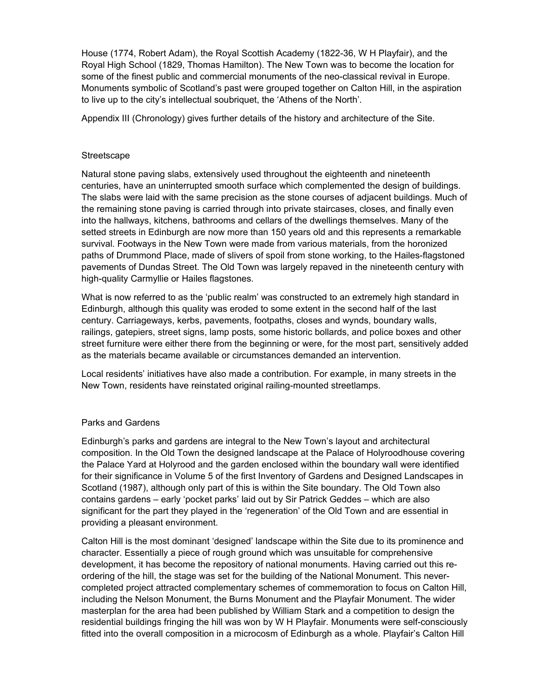House (1774, Robert Adam), the Royal Scottish Academy (1822-36, W H Playfair), and the Royal High School (1829, Thomas Hamilton). The New Town was to become the location for some of the finest public and commercial monuments of the neo-classical revival in Europe. Monuments symbolic of Scotland's past were grouped together on Calton Hill, in the aspiration to live up to the city's intellectual soubriquet, the 'Athens of the North'.

Appendix III (Chronology) gives further details of the history and architecture of the Site.

#### **Streetscape**

Natural stone paving slabs, extensively used throughout the eighteenth and nineteenth centuries, have an uninterrupted smooth surface which complemented the design of buildings. The slabs were laid with the same precision as the stone courses of adjacent buildings. Much of the remaining stone paving is carried through into private staircases, closes, and finally even into the hallways, kitchens, bathrooms and cellars of the dwellings themselves. Many of the setted streets in Edinburgh are now more than 150 years old and this represents a remarkable survival. Footways in the New Town were made from various materials, from the horonized paths of Drummond Place, made of slivers of spoil from stone working, to the Hailes-flagstoned pavements of Dundas Street. The Old Town was largely repaved in the nineteenth century with high-quality Carmyllie or Hailes flagstones.

What is now referred to as the 'public realm' was constructed to an extremely high standard in Edinburgh, although this quality was eroded to some extent in the second half of the last century. Carriageways, kerbs, pavements, footpaths, closes and wynds, boundary walls, railings, gatepiers, street signs, lamp posts, some historic bollards, and police boxes and other street furniture were either there from the beginning or were, for the most part, sensitively added as the materials became available or circumstances demanded an intervention.

Local residents' initiatives have also made a contribution. For example, in many streets in the New Town, residents have reinstated original railing-mounted streetlamps.

#### Parks and Gardens

Edinburgh's parks and gardens are integral to the New Town's layout and architectural composition. In the Old Town the designed landscape at the Palace of Holyroodhouse covering the Palace Yard at Holyrood and the garden enclosed within the boundary wall were identified for their significance in Volume 5 of the first Inventory of Gardens and Designed Landscapes in Scotland (1987), although only part of this is within the Site boundary. The Old Town also contains gardens – early 'pocket parks' laid out by Sir Patrick Geddes – which are also significant for the part they played in the 'regeneration' of the Old Town and are essential in providing a pleasant environment.

Calton Hill is the most dominant 'designed' landscape within the Site due to its prominence and character. Essentially a piece of rough ground which was unsuitable for comprehensive development, it has become the repository of national monuments. Having carried out this reordering of the hill, the stage was set for the building of the National Monument. This nevercompleted project attracted complementary schemes of commemoration to focus on Calton Hill, including the Nelson Monument, the Burns Monument and the Playfair Monument. The wider masterplan for the area had been published by William Stark and a competition to design the residential buildings fringing the hill was won by W H Playfair. Monuments were self-consciously fitted into the overall composition in a microcosm of Edinburgh as a whole. Playfair's Calton Hill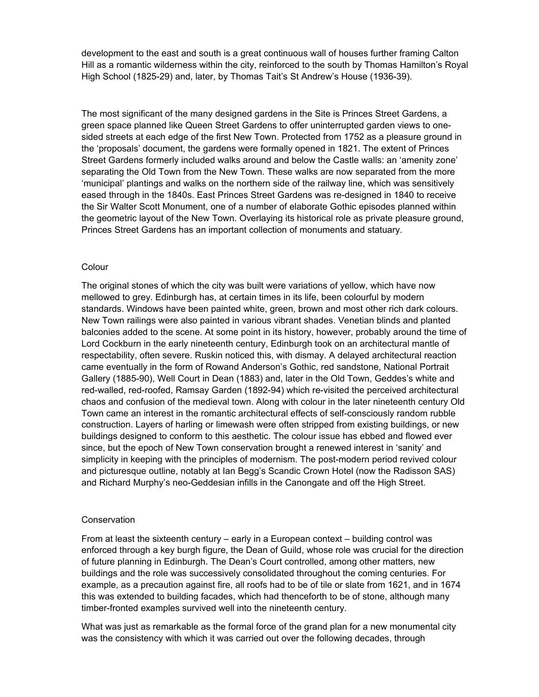development to the east and south is a great continuous wall of houses further framing Calton Hill as a romantic wilderness within the city, reinforced to the south by Thomas Hamilton's Royal High School (1825-29) and, later, by Thomas Tait's St Andrew's House (1936-39).

The most significant of the many designed gardens in the Site is Princes Street Gardens, a green space planned like Queen Street Gardens to offer uninterrupted garden views to onesided streets at each edge of the first New Town. Protected from 1752 as a pleasure ground in the 'proposals' document, the gardens were formally opened in 1821. The extent of Princes Street Gardens formerly included walks around and below the Castle walls: an 'amenity zone' separating the Old Town from the New Town. These walks are now separated from the more 'municipal' plantings and walks on the northern side of the railway line, which was sensitively eased through in the 1840s. East Princes Street Gardens was re-designed in 1840 to receive the Sir Walter Scott Monument, one of a number of elaborate Gothic episodes planned within the geometric layout of the New Town. Overlaying its historical role as private pleasure ground, Princes Street Gardens has an important collection of monuments and statuary.

#### Colour

The original stones of which the city was built were variations of yellow, which have now mellowed to grey. Edinburgh has, at certain times in its life, been colourful by modern standards. Windows have been painted white, green, brown and most other rich dark colours. New Town railings were also painted in various vibrant shades. Venetian blinds and planted balconies added to the scene. At some point in its history, however, probably around the time of Lord Cockburn in the early nineteenth century, Edinburgh took on an architectural mantle of respectability, often severe. Ruskin noticed this, with dismay. A delayed architectural reaction came eventually in the form of Rowand Anderson's Gothic, red sandstone, National Portrait Gallery (1885-90), Well Court in Dean (1883) and, later in the Old Town, Geddes's white and red-walled, red-roofed, Ramsay Garden (1892-94) which re-visited the perceived architectural chaos and confusion of the medieval town. Along with colour in the later nineteenth century Old Town came an interest in the romantic architectural effects of self-consciously random rubble construction. Layers of harling or limewash were often stripped from existing buildings, or new buildings designed to conform to this aesthetic. The colour issue has ebbed and flowed ever since, but the epoch of New Town conservation brought a renewed interest in 'sanity' and simplicity in keeping with the principles of modernism. The post-modern period revived colour and picturesque outline, notably at Ian Begg's Scandic Crown Hotel (now the Radisson SAS) and Richard Murphy's neo-Geddesian infills in the Canongate and off the High Street.

#### Conservation

From at least the sixteenth century – early in a European context – building control was enforced through a key burgh figure, the Dean of Guild, whose role was crucial for the direction of future planning in Edinburgh. The Dean's Court controlled, among other matters, new buildings and the role was successively consolidated throughout the coming centuries. For example, as a precaution against fire, all roofs had to be of tile or slate from 1621, and in 1674 this was extended to building facades, which had thenceforth to be of stone, although many timber-fronted examples survived well into the nineteenth century.

What was just as remarkable as the formal force of the grand plan for a new monumental city was the consistency with which it was carried out over the following decades, through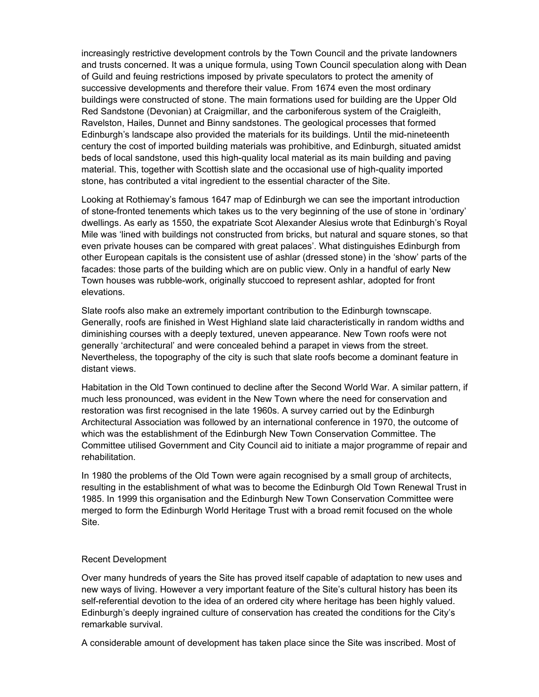increasingly restrictive development controls by the Town Council and the private landowners and trusts concerned. It was a unique formula, using Town Council speculation along with Dean of Guild and feuing restrictions imposed by private speculators to protect the amenity of successive developments and therefore their value. From 1674 even the most ordinary buildings were constructed of stone. The main formations used for building are the Upper Old Red Sandstone (Devonian) at Craigmillar, and the carboniferous system of the Craigleith, Ravelston, Hailes, Dunnet and Binny sandstones. The geological processes that formed Edinburgh's landscape also provided the materials for its buildings. Until the mid-nineteenth century the cost of imported building materials was prohibitive, and Edinburgh, situated amidst beds of local sandstone, used this high-quality local material as its main building and paving material. This, together with Scottish slate and the occasional use of high-quality imported stone, has contributed a vital ingredient to the essential character of the Site.

Looking at Rothiemay's famous 1647 map of Edinburgh we can see the important introduction of stone-fronted tenements which takes us to the very beginning of the use of stone in 'ordinary' dwellings. As early as 1550, the expatriate Scot Alexander Alesius wrote that Edinburgh's Royal Mile was 'lined with buildings not constructed from bricks, but natural and square stones, so that even private houses can be compared with great palaces'. What distinguishes Edinburgh from other European capitals is the consistent use of ashlar (dressed stone) in the 'show' parts of the facades: those parts of the building which are on public view. Only in a handful of early New Town houses was rubble-work, originally stuccoed to represent ashlar, adopted for front elevations.

Slate roofs also make an extremely important contribution to the Edinburgh townscape. Generally, roofs are finished in West Highland slate laid characteristically in random widths and diminishing courses with a deeply textured, uneven appearance. New Town roofs were not generally 'architectural' and were concealed behind a parapet in views from the street. Nevertheless, the topography of the city is such that slate roofs become a dominant feature in distant views.

Habitation in the Old Town continued to decline after the Second World War. A similar pattern, if much less pronounced, was evident in the New Town where the need for conservation and restoration was first recognised in the late 1960s. A survey carried out by the Edinburgh Architectural Association was followed by an international conference in 1970, the outcome of which was the establishment of the Edinburgh New Town Conservation Committee. The Committee utilised Government and City Council aid to initiate a major programme of repair and rehabilitation.

In 1980 the problems of the Old Town were again recognised by a small group of architects, resulting in the establishment of what was to become the Edinburgh Old Town Renewal Trust in 1985. In 1999 this organisation and the Edinburgh New Town Conservation Committee were merged to form the Edinburgh World Heritage Trust with a broad remit focused on the whole Site.

#### Recent Development

Over many hundreds of years the Site has proved itself capable of adaptation to new uses and new ways of living. However a very important feature of the Site's cultural history has been its self-referential devotion to the idea of an ordered city where heritage has been highly valued. Edinburgh's deeply ingrained culture of conservation has created the conditions for the City's remarkable survival.

A considerable amount of development has taken place since the Site was inscribed. Most of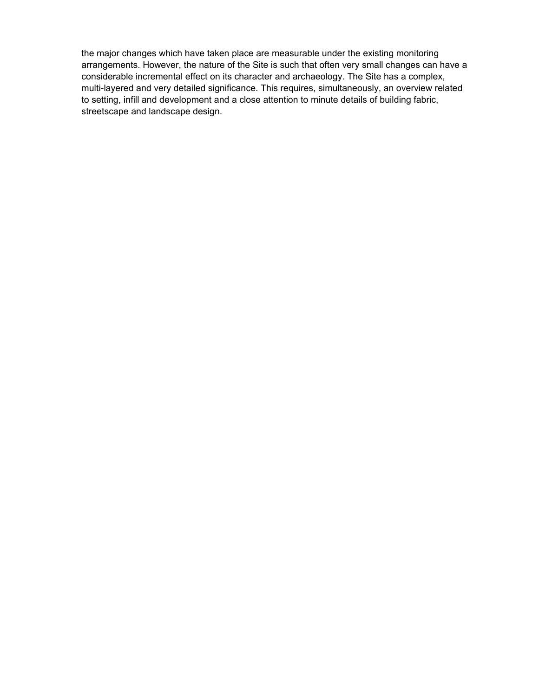the major changes which have taken place are measurable under the existing monitoring arrangements. However, the nature of the Site is such that often very small changes can have a considerable incremental effect on its character and archaeology. The Site has a complex, multi-layered and very detailed significance. This requires, simultaneously, an overview related to setting, infill and development and a close attention to minute details of building fabric, streetscape and landscape design.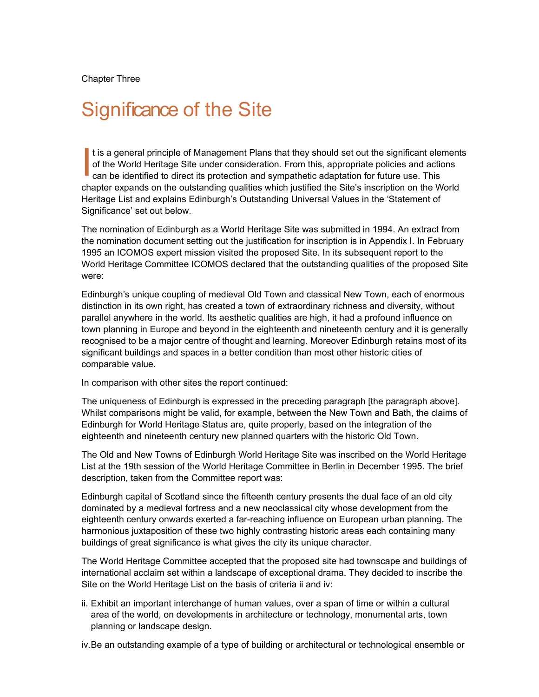Chapter Three

## Significance of the Site

t is a general principle of Management Plans that they should set out the significant elements of the World Heritage Site under consideration. From this, appropriate policies and actions can be identified to direct its protection and sympathetic adaptation for future use. This chapter expands on the outstanding qualities which justified the Site's inscription on the World Heritage List and explains Edinburgh's Outstanding Universal Values in the 'Statement of Significance' set out below. I

The nomination of Edinburgh as a World Heritage Site was submitted in 1994. An extract from the nomination document setting out the justification for inscription is in Appendix I. In February 1995 an ICOMOS expert mission visited the proposed Site. In its subsequent report to the World Heritage Committee ICOMOS declared that the outstanding qualities of the proposed Site were:

Edinburgh's unique coupling of medieval Old Town and classical New Town, each of enormous distinction in its own right, has created a town of extraordinary richness and diversity, without parallel anywhere in the world. Its aesthetic qualities are high, it had a profound influence on town planning in Europe and beyond in the eighteenth and nineteenth century and it is generally recognised to be a major centre of thought and learning. Moreover Edinburgh retains most of its significant buildings and spaces in a better condition than most other historic cities of comparable value.

In comparison with other sites the report continued:

The uniqueness of Edinburgh is expressed in the preceding paragraph [the paragraph above]. Whilst comparisons might be valid, for example, between the New Town and Bath, the claims of Edinburgh for World Heritage Status are, quite properly, based on the integration of the eighteenth and nineteenth century new planned quarters with the historic Old Town.

The Old and New Towns of Edinburgh World Heritage Site was inscribed on the World Heritage List at the 19th session of the World Heritage Committee in Berlin in December 1995. The brief description, taken from the Committee report was:

Edinburgh capital of Scotland since the fifteenth century presents the dual face of an old city dominated by a medieval fortress and a new neoclassical city whose development from the eighteenth century onwards exerted a far-reaching influence on European urban planning. The harmonious juxtaposition of these two highly contrasting historic areas each containing many buildings of great significance is what gives the city its unique character.

The World Heritage Committee accepted that the proposed site had townscape and buildings of international acclaim set within a landscape of exceptional drama. They decided to inscribe the Site on the World Heritage List on the basis of criteria ii and iv:

ii. Exhibit an important interchange of human values, over a span of time or within a cultural area of the world, on developments in architecture or technology, monumental arts, town planning or landscape design.

iv. Be an outstanding example of a type of building or architectural or technological ensemble or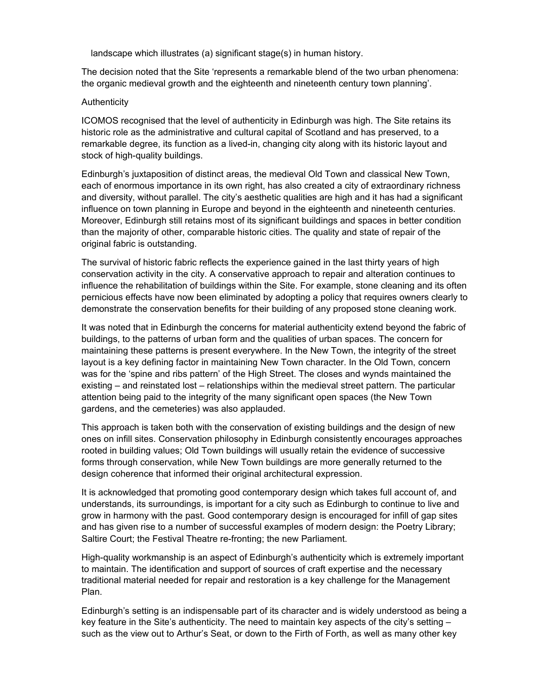landscape which illustrates (a) significant stage(s) in human history.

The decision noted that the Site 'represents a remarkable blend of the two urban phenomena: the organic medieval growth and the eighteenth and nineteenth century town planning'.

#### Authenticity

ICOMOS recognised that the level of authenticity in Edinburgh was high. The Site retains its historic role as the administrative and cultural capital of Scotland and has preserved, to a remarkable degree, its function as a lived-in, changing city along with its historic layout and stock of high-quality buildings.

Edinburgh's juxtaposition of distinct areas, the medieval Old Town and classical New Town, each of enormous importance in its own right, has also created a city of extraordinary richness and diversity, without parallel. The city's aesthetic qualities are high and it has had a significant influence on town planning in Europe and beyond in the eighteenth and nineteenth centuries. Moreover, Edinburgh still retains most of its significant buildings and spaces in better condition than the majority of other, comparable historic cities. The quality and state of repair of the original fabric is outstanding.

The survival of historic fabric reflects the experience gained in the last thirty years of high conservation activity in the city. A conservative approach to repair and alteration continues to influence the rehabilitation of buildings within the Site. For example, stone cleaning and its often pernicious effects have now been eliminated by adopting a policy that requires owners clearly to demonstrate the conservation benefits for their building of any proposed stone cleaning work.

It was noted that in Edinburgh the concerns for material authenticity extend beyond the fabric of buildings, to the patterns of urban form and the qualities of urban spaces. The concern for maintaining these patterns is present everywhere. In the New Town, the integrity of the street layout is a key defining factor in maintaining New Town character. In the Old Town, concern was for the 'spine and ribs pattern' of the High Street. The closes and wynds maintained the existing – and reinstated lost – relationships within the medieval street pattern. The particular attention being paid to the integrity of the many significant open spaces (the New Town gardens, and the cemeteries) was also applauded.

This approach is taken both with the conservation of existing buildings and the design of new ones on infill sites. Conservation philosophy in Edinburgh consistently encourages approaches rooted in building values; Old Town buildings will usually retain the evidence of successive forms through conservation, while New Town buildings are more generally returned to the design coherence that informed their original architectural expression.

It is acknowledged that promoting good contemporary design which takes full account of, and understands, its surroundings, is important for a city such as Edinburgh to continue to live and grow in harmony with the past. Good contemporary design is encouraged for infill of gap sites and has given rise to a number of successful examples of modern design: the Poetry Library; Saltire Court; the Festival Theatre re-fronting; the new Parliament.

High-quality workmanship is an aspect of Edinburgh's authenticity which is extremely important to maintain. The identification and support of sources of craft expertise and the necessary traditional material needed for repair and restoration is a key challenge for the Management Plan.

Edinburgh's setting is an indispensable part of its character and is widely understood as being a key feature in the Site's authenticity. The need to maintain key aspects of the city's setting – such as the view out to Arthur's Seat, or down to the Firth of Forth, as well as many other key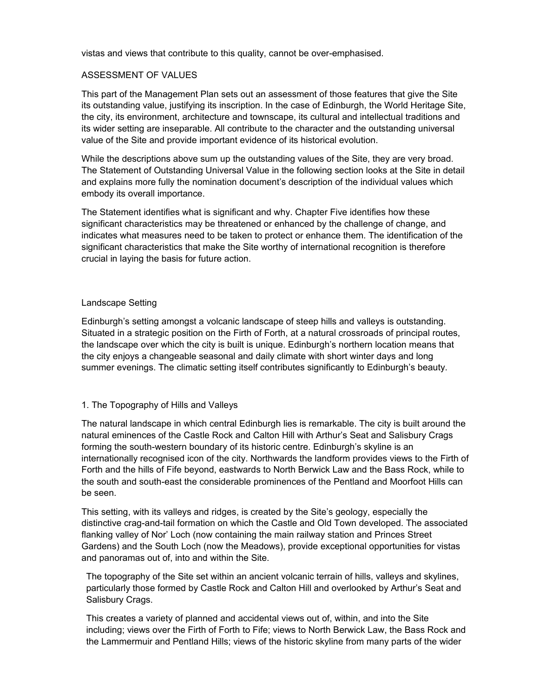vistas and views that contribute to this quality, cannot be over-emphasised.

#### ASSESSMENT OF VALUES

This part of the Management Plan sets out an assessment of those features that give the Site its outstanding value, justifying its inscription. In the case of Edinburgh, the World Heritage Site, the city, its environment, architecture and townscape, its cultural and intellectual traditions and its wider setting are inseparable. All contribute to the character and the outstanding universal value of the Site and provide important evidence of its historical evolution.

While the descriptions above sum up the outstanding values of the Site, they are very broad. The Statement of Outstanding Universal Value in the following section looks at the Site in detail and explains more fully the nomination document's description of the individual values which embody its overall importance.

The Statement identifies what is significant and why. Chapter Five identifies how these significant characteristics may be threatened or enhanced by the challenge of change, and indicates what measures need to be taken to protect or enhance them. The identification of the significant characteristics that make the Site worthy of international recognition is therefore crucial in laying the basis for future action.

#### Landscape Setting

Edinburgh's setting amongst a volcanic landscape of steep hills and valleys is outstanding. Situated in a strategic position on the Firth of Forth, at a natural crossroads of principal routes, the landscape over which the city is built is unique. Edinburgh's northern location means that the city enjoys a changeable seasonal and daily climate with short winter days and long summer evenings. The climatic setting itself contributes significantly to Edinburgh's beauty.

#### 1. The Topography of Hills and Valleys

The natural landscape in which central Edinburgh lies is remarkable. The city is built around the natural eminences of the Castle Rock and Calton Hill with Arthur's Seat and Salisbury Crags forming the south-western boundary of its historic centre. Edinburgh's skyline is an internationally recognised icon of the city. Northwards the landform provides views to the Firth of Forth and the hills of Fife beyond, eastwards to North Berwick Law and the Bass Rock, while to the south and south-east the considerable prominences of the Pentland and Moorfoot Hills can be seen.

This setting, with its valleys and ridges, is created by the Site's geology, especially the distinctive crag-and-tail formation on which the Castle and Old Town developed. The associated flanking valley of Nor' Loch (now containing the main railway station and Princes Street Gardens) and the South Loch (now the Meadows), provide exceptional opportunities for vistas and panoramas out of, into and within the Site.

The topography of the Site set within an ancient volcanic terrain of hills, valleys and skylines, particularly those formed by Castle Rock and Calton Hill and overlooked by Arthur's Seat and Salisbury Crags.

This creates a variety of planned and accidental views out of, within, and into the Site including; views over the Firth of Forth to Fife; views to North Berwick Law, the Bass Rock and the Lammermuir and Pentland Hills; views of the historic skyline from many parts of the wider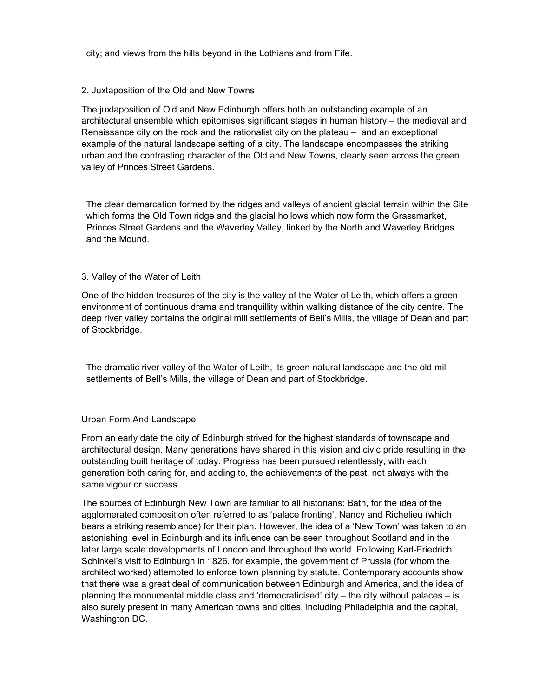city; and views from the hills beyond in the Lothians and from Fife.

#### 2. Juxtaposition of the Old and New Towns

The juxtaposition of Old and New Edinburgh offers both an outstanding example of an architectural ensemble which epitomises significant stages in human history – the medieval and Renaissance city on the rock and the rationalist city on the plateau – and an exceptional example of the natural landscape setting of a city. The landscape encompasses the striking urban and the contrasting character of the Old and New Towns, clearly seen across the green valley of Princes Street Gardens.

The clear demarcation formed by the ridges and valleys of ancient glacial terrain within the Site which forms the Old Town ridge and the glacial hollows which now form the Grassmarket, Princes Street Gardens and the Waverley Valley, linked by the North and Waverley Bridges and the Mound.

#### 3. Valley of the Water of Leith

One of the hidden treasures of the city is the valley of the Water of Leith, which offers a green environment of continuous drama and tranquillity within walking distance of the city centre. The deep river valley contains the original mill settlements of Bell's Mills, the village of Dean and part of Stockbridge.

The dramatic river valley of the Water of Leith, its green natural landscape and the old mill settlements of Bell's Mills, the village of Dean and part of Stockbridge.

#### Urban Form And Landscape

From an early date the city of Edinburgh strived for the highest standards of townscape and architectural design. Many generations have shared in this vision and civic pride resulting in the outstanding built heritage of today. Progress has been pursued relentlessly, with each generation both caring for, and adding to, the achievements of the past, not always with the same vigour or success.

The sources of Edinburgh New Town are familiar to all historians: Bath, for the idea of the agglomerated composition often referred to as 'palace fronting', Nancy and Richelieu (which bears a striking resemblance) for their plan. However, the idea of a 'New Town' was taken to an astonishing level in Edinburgh and its influence can be seen throughout Scotland and in the later large scale developments of London and throughout the world. Following Karl-Friedrich Schinkel's visit to Edinburgh in 1826, for example, the government of Prussia (for whom the architect worked) attempted to enforce town planning by statute. Contemporary accounts show that there was a great deal of communication between Edinburgh and America, and the idea of planning the monumental middle class and 'democraticised' city – the city without palaces – is also surely present in many American towns and cities, including Philadelphia and the capital, Washington DC.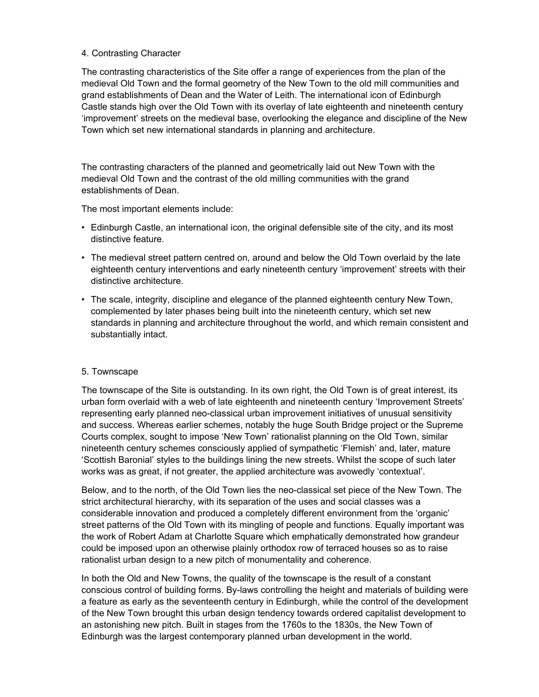#### 4. Contrasting Character

The contrasting characteristics of the Site offer a range of experiences from the plan of the medieval Old Town and the formal geometry of the New Town to the old mill communities and grand establishments of Dean and the Water of Leith. The international icon of Edinburgh Castle stands high over the Old Town with its overlay of late eighteenth and nineteenth century 'improvement' streets on the medieval base, overlooking the elegance and discipline of the New Town which set new international standards in planning and architecture.

The contrasting characters of the planned and geometrically laid out New Town with the medieval Old Town and the contrast of the old milling communities with the grand establishments of Dean.

The most important elements include:

- Edinburgh Castle, an international icon, the original defensible site of the city, and its most distinctive feature.
- The medieval street pattern centred on, around and below the Old Town overlaid by the late eighteenth century interventions and early nineteenth century 'improvement' streets with their distinctive architecture.
- The scale, integrity, discipline and elegance of the planned eighteenth century New Town, complemented by later phases being built into the nineteenth century, which set new standards in planning and architecture throughout the world, and which remain consistent and substantially intact.

#### 5. Townscape

The townscape of the Site is outstanding. In its own right, the Old Town is of great interest, its urban form overlaid with a web of late eighteenth and nineteenth century 'Improvement Streets' representing early planned neo-classical urban improvement initiatives of unusual sensitivity and success. Whereas earlier schemes, notably the huge South Bridge project or the Supreme Courts complex, sought to impose 'New Town' rationalist planning on the Old Town, similar nineteenth century schemes consciously applied of sympathetic 'Flemish' and, later, mature 'Scottish Baronial' styles to the buildings lining the new streets. Whilst the scope of such later works was as great, if not greater, the applied architecture was avowedly 'contextual'.

Below, and to the north, of the Old Town lies the neo-classical set piece of the New Town. The strict architectural hierarchy, with its separation of the uses and social classes was a considerable innovation and produced a completely different environment from the 'organic' street patterns of the Old Town with its mingling of people and functions. Equally important was the work of Robert Adam at Charlotte Square which emphatically demonstrated how grandeur could be imposed upon an otherwise plainly orthodox row of terraced houses so as to raise rationalist urban design to a new pitch of monumentality and coherence.

In both the Old and New Towns, the quality of the townscape is the result of a constant conscious control of building forms. By-laws controlling the height and materials of building were a feature as early as the seventeenth century in Edinburgh, while the control of the development of the New Town brought this urban design tendency towards ordered capitalist development to an astonishing new pitch. Built in stages from the 1760s to the 1830s, the New Town of Edinburgh was the largest contemporary planned urban development in the world.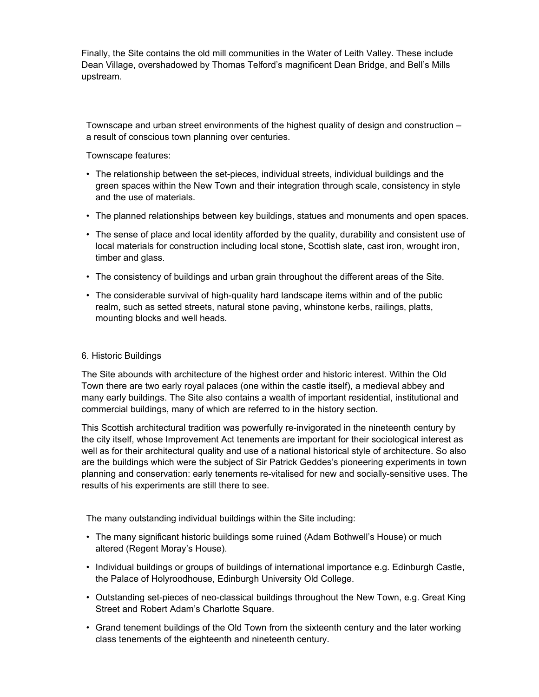Finally, the Site contains the old mill communities in the Water of Leith Valley. These include Dean Village, overshadowed by Thomas Telford's magnificent Dean Bridge, and Bell's Mills upstream.

Townscape and urban street environments of the highest quality of design and construction – a result of conscious town planning over centuries.

Townscape features:

- The relationship between the set-pieces, individual streets, individual buildings and the green spaces within the New Town and their integration through scale, consistency in style and the use of materials.
- The planned relationships between key buildings, statues and monuments and open spaces.
- The sense of place and local identity afforded by the quality, durability and consistent use of local materials for construction including local stone, Scottish slate, cast iron, wrought iron, timber and glass.
- The consistency of buildings and urban grain throughout the different areas of the Site.
- The considerable survival of high-quality hard landscape items within and of the public realm, such as setted streets, natural stone paving, whinstone kerbs, railings, platts, mounting blocks and well heads.

#### 6. Historic Buildings

The Site abounds with architecture of the highest order and historic interest. Within the Old Town there are two early royal palaces (one within the castle itself), a medieval abbey and many early buildings. The Site also contains a wealth of important residential, institutional and commercial buildings, many of which are referred to in the history section.

This Scottish architectural tradition was powerfully re-invigorated in the nineteenth century by the city itself, whose Improvement Act tenements are important for their sociological interest as well as for their architectural quality and use of a national historical style of architecture. So also are the buildings which were the subject of Sir Patrick Geddes's pioneering experiments in town planning and conservation: early tenements re-vitalised for new and socially-sensitive uses. The results of his experiments are still there to see.

The many outstanding individual buildings within the Site including:

- The many significant historic buildings some ruined (Adam Bothwell's House) or much altered (Regent Moray's House).
- Individual buildings or groups of buildings of international importance e.g. Edinburgh Castle, the Palace of Holyroodhouse, Edinburgh University Old College.
- Outstanding set-pieces of neo-classical buildings throughout the New Town, e.g. Great King Street and Robert Adam's Charlotte Square.
- Grand tenement buildings of the Old Town from the sixteenth century and the later working class tenements of the eighteenth and nineteenth century.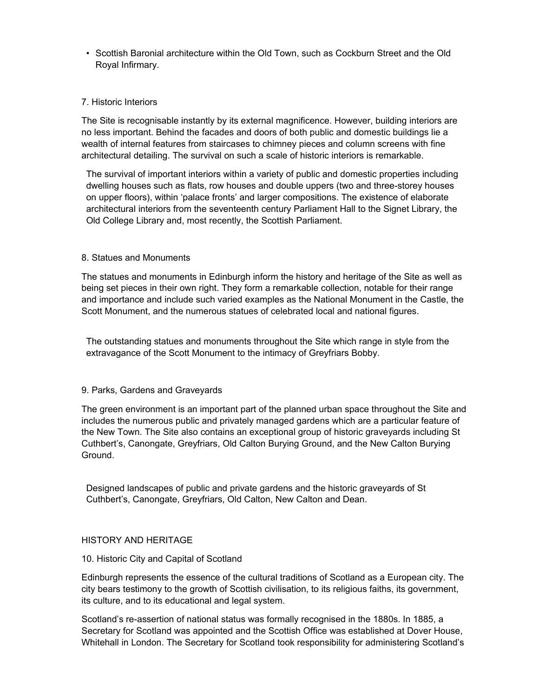• Scottish Baronial architecture within the Old Town, such as Cockburn Street and the Old Royal Infirmary.

#### 7. Historic Interiors

The Site is recognisable instantly by its external magnificence. However, building interiors are no less important. Behind the facades and doors of both public and domestic buildings lie a wealth of internal features from staircases to chimney pieces and column screens with fine architectural detailing. The survival on such a scale of historic interiors is remarkable.

The survival of important interiors within a variety of public and domestic properties including dwelling houses such as flats, row houses and double uppers (two and three-storey houses on upper floors), within 'palace fronts' and larger compositions. The existence of elaborate architectural interiors from the seventeenth century Parliament Hall to the Signet Library, the Old College Library and, most recently, the Scottish Parliament.

#### 8. Statues and Monuments

The statues and monuments in Edinburgh inform the history and heritage of the Site as well as being set pieces in their own right. They form a remarkable collection, notable for their range and importance and include such varied examples as the National Monument in the Castle, the Scott Monument, and the numerous statues of celebrated local and national figures.

The outstanding statues and monuments throughout the Site which range in style from the extravagance of the Scott Monument to the intimacy of Greyfriars Bobby.

#### 9. Parks, Gardens and Graveyards

The green environment is an important part of the planned urban space throughout the Site and includes the numerous public and privately managed gardens which are a particular feature of the New Town. The Site also contains an exceptional group of historic graveyards including St Cuthbert's, Canongate, Greyfriars, Old Calton Burying Ground, and the New Calton Burying Ground.

Designed landscapes of public and private gardens and the historic graveyards of St Cuthbert's, Canongate, Greyfriars, Old Calton, New Calton and Dean.

#### HISTORY AND HERITAGE

#### 10. Historic City and Capital of Scotland

Edinburgh represents the essence of the cultural traditions of Scotland as a European city. The city bears testimony to the growth of Scottish civilisation, to its religious faiths, its government, its culture, and to its educational and legal system.

Scotland's re-assertion of national status was formally recognised in the 1880s. In 1885, a Secretary for Scotland was appointed and the Scottish Office was established at Dover House, Whitehall in London. The Secretary for Scotland took responsibility for administering Scotland's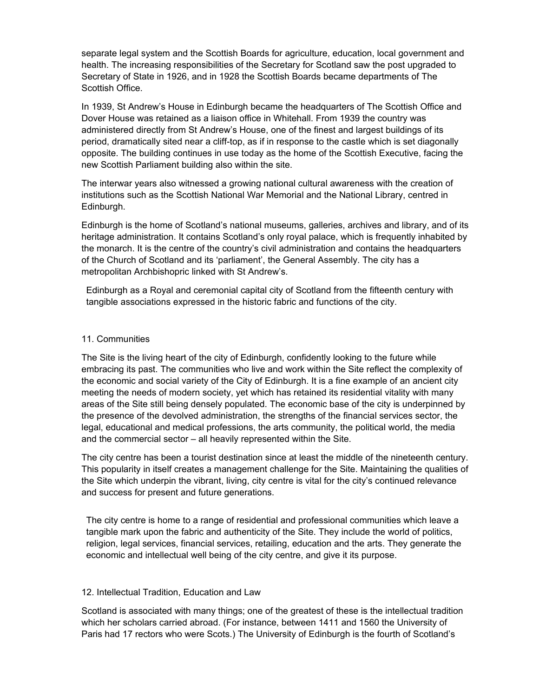separate legal system and the Scottish Boards for agriculture, education, local government and health. The increasing responsibilities of the Secretary for Scotland saw the post upgraded to Secretary of State in 1926, and in 1928 the Scottish Boards became departments of The Scottish Office.

In 1939, St Andrew's House in Edinburgh became the headquarters of The Scottish Office and Dover House was retained as a liaison office in Whitehall. From 1939 the country was administered directly from St Andrew's House, one of the finest and largest buildings of its period, dramatically sited near a cliff-top, as if in response to the castle which is set diagonally opposite. The building continues in use today as the home of the Scottish Executive, facing the new Scottish Parliament building also within the site.

The interwar years also witnessed a growing national cultural awareness with the creation of institutions such as the Scottish National War Memorial and the National Library, centred in Edinburgh.

Edinburgh is the home of Scotland's national museums, galleries, archives and library, and of its heritage administration. It contains Scotland's only royal palace, which is frequently inhabited by the monarch. It is the centre of the country's civil administration and contains the headquarters of the Church of Scotland and its 'parliament', the General Assembly. The city has a metropolitan Archbishopric linked with St Andrew's.

Edinburgh as a Royal and ceremonial capital city of Scotland from the fifteenth century with tangible associations expressed in the historic fabric and functions of the city.

#### 11. Communities

The Site is the living heart of the city of Edinburgh, confidently looking to the future while embracing its past. The communities who live and work within the Site reflect the complexity of the economic and social variety of the City of Edinburgh. It is a fine example of an ancient city meeting the needs of modern society, yet which has retained its residential vitality with many areas of the Site still being densely populated. The economic base of the city is underpinned by the presence of the devolved administration, the strengths of the financial services sector, the legal, educational and medical professions, the arts community, the political world, the media and the commercial sector – all heavily represented within the Site.

The city centre has been a tourist destination since at least the middle of the nineteenth century. This popularity in itself creates a management challenge for the Site. Maintaining the qualities of the Site which underpin the vibrant, living, city centre is vital for the city's continued relevance and success for present and future generations.

The city centre is home to a range of residential and professional communities which leave a tangible mark upon the fabric and authenticity of the Site. They include the world of politics, religion, legal services, financial services, retailing, education and the arts. They generate the economic and intellectual well being of the city centre, and give it its purpose.

#### 12. Intellectual Tradition, Education and Law

Scotland is associated with many things; one of the greatest of these is the intellectual tradition which her scholars carried abroad. (For instance, between 1411 and 1560 the University of Paris had 17 rectors who were Scots.) The University of Edinburgh is the fourth of Scotland's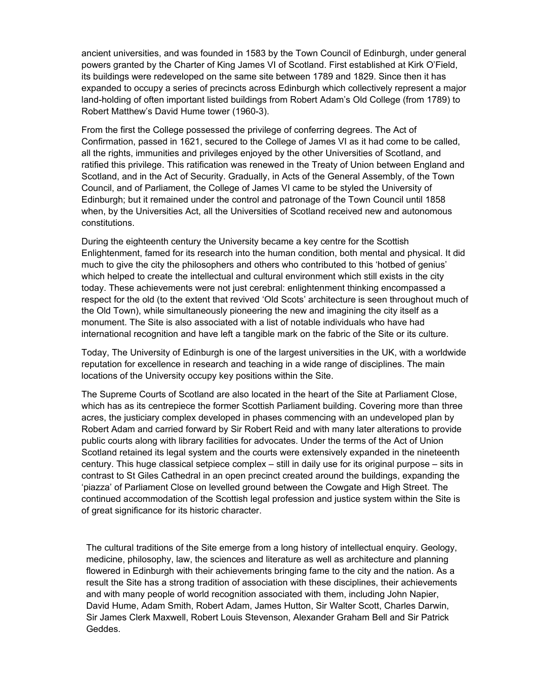ancient universities, and was founded in 1583 by the Town Council of Edinburgh, under general powers granted by the Charter of King James VI of Scotland. First established at Kirk O'Field, its buildings were redeveloped on the same site between 1789 and 1829. Since then it has expanded to occupy a series of precincts across Edinburgh which collectively represent a major land-holding of often important listed buildings from Robert Adam's Old College (from 1789) to Robert Matthew's David Hume tower (1960-3).

From the first the College possessed the privilege of conferring degrees. The Act of Confirmation, passed in 1621, secured to the College of James VI as it had come to be called, all the rights, immunities and privileges enjoyed by the other Universities of Scotland, and ratified this privilege. This ratification was renewed in the Treaty of Union between England and Scotland, and in the Act of Security. Gradually, in Acts of the General Assembly, of the Town Council, and of Parliament, the College of James VI came to be styled the University of Edinburgh; but it remained under the control and patronage of the Town Council until 1858 when, by the Universities Act, all the Universities of Scotland received new and autonomous constitutions.

During the eighteenth century the University became a key centre for the Scottish Enlightenment, famed for its research into the human condition, both mental and physical. It did much to give the city the philosophers and others who contributed to this 'hotbed of genius' which helped to create the intellectual and cultural environment which still exists in the city today. These achievements were not just cerebral: enlightenment thinking encompassed a respect for the old (to the extent that revived 'Old Scots' architecture is seen throughout much of the Old Town), while simultaneously pioneering the new and imagining the city itself as a monument. The Site is also associated with a list of notable individuals who have had international recognition and have left a tangible mark on the fabric of the Site or its culture.

Today, The University of Edinburgh is one of the largest universities in the UK, with a worldwide reputation for excellence in research and teaching in a wide range of disciplines. The main locations of the University occupy key positions within the Site.

The Supreme Courts of Scotland are also located in the heart of the Site at Parliament Close, which has as its centrepiece the former Scottish Parliament building. Covering more than three acres, the justiciary complex developed in phases commencing with an undeveloped plan by Robert Adam and carried forward by Sir Robert Reid and with many later alterations to provide public courts along with library facilities for advocates. Under the terms of the Act of Union Scotland retained its legal system and the courts were extensively expanded in the nineteenth century. This huge classical setpiece complex – still in daily use for its original purpose – sits in contrast to St Giles Cathedral in an open precinct created around the buildings, expanding the 'piazza' of Parliament Close on levelled ground between the Cowgate and High Street. The continued accommodation of the Scottish legal profession and justice system within the Site is of great significance for its historic character.

The cultural traditions of the Site emerge from a long history of intellectual enquiry. Geology, medicine, philosophy, law, the sciences and literature as well as architecture and planning flowered in Edinburgh with their achievements bringing fame to the city and the nation. As a result the Site has a strong tradition of association with these disciplines, their achievements and with many people of world recognition associated with them, including John Napier, David Hume, Adam Smith, Robert Adam, James Hutton, Sir Walter Scott, Charles Darwin, Sir James Clerk Maxwell, Robert Louis Stevenson, Alexander Graham Bell and Sir Patrick Geddes.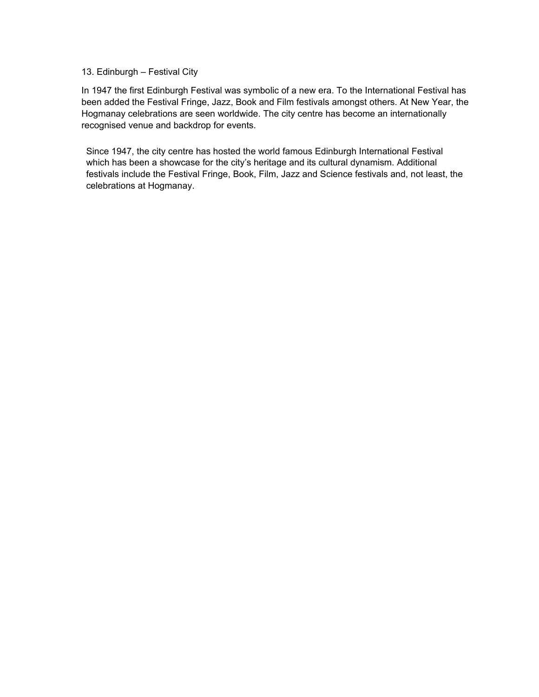#### 13. Edinburgh – Festival City

In 1947 the first Edinburgh Festival was symbolic of a new era. To the International Festival has been added the Festival Fringe, Jazz, Book and Film festivals amongst others. At New Year, the Hogmanay celebrations are seen worldwide. The city centre has become an internationally recognised venue and backdrop for events.

Since 1947, the city centre has hosted the world famous Edinburgh International Festival which has been a showcase for the city's heritage and its cultural dynamism. Additional festivals include the Festival Fringe, Book, Film, Jazz and Science festivals and, not least, the celebrations at Hogmanay.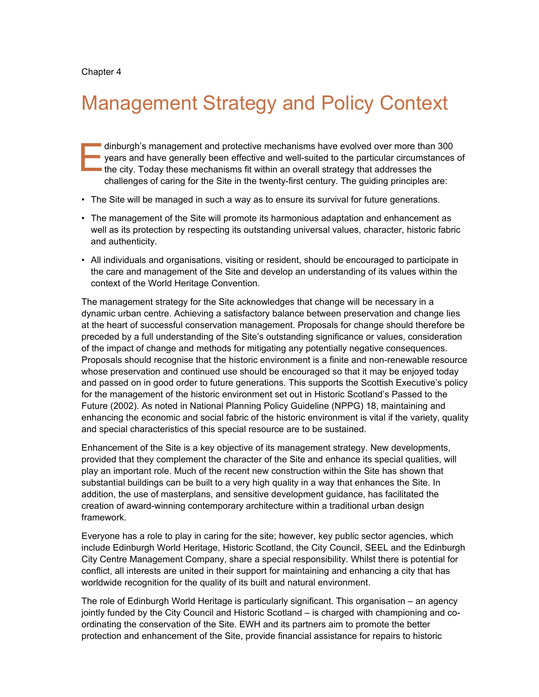# Management Strategy and Policy Context

dinburgh's management and protective mechanisms have evolved over more than 300 **vears and have generally been effective and well-suited to the particular circumstances of** the city. Today these mechanisms fit within an overall strategy that addresses the challenges of caring for the Site in the twenty-first century. The guiding principles are: E

- The Site will be managed in such a way as to ensure its survival for future generations.
- The management of the Site will promote its harmonious adaptation and enhancement as well as its protection by respecting its outstanding universal values, character, historic fabric and authenticity.
- All individuals and organisations, visiting or resident, should be encouraged to participate in the care and management of the Site and develop an understanding of its values within the context of the World Heritage Convention.

The management strategy for the Site acknowledges that change will be necessary in a dynamic urban centre. Achieving a satisfactory balance between preservation and change lies at the heart of successful conservation management. Proposals for change should therefore be preceded by a full understanding of the Site's outstanding significance or values, consideration of the impact of change and methods for mitigating any potentially negative consequences. Proposals should recognise that the historic environment is a finite and non-renewable resource whose preservation and continued use should be encouraged so that it may be enjoyed today and passed on in good order to future generations. This supports the Scottish Executive's policy for the management of the historic environment set out in Historic Scotland's Passed to the Future (2002). As noted in National Planning Policy Guideline (NPPG) 18, maintaining and enhancing the economic and social fabric of the historic environment is vital if the variety, quality and special characteristics of this special resource are to be sustained.

Enhancement of the Site is a key objective of its management strategy. New developments, provided that they complement the character of the Site and enhance its special qualities, will play an important role. Much of the recent new construction within the Site has shown that substantial buildings can be built to a very high quality in a way that enhances the Site. In addition, the use of masterplans, and sensitive development guidance, has facilitated the creation of award-winning contemporary architecture within a traditional urban design framework.

Everyone has a role to play in caring for the site; however, key public sector agencies, which include Edinburgh World Heritage, Historic Scotland, the City Council, SEEL and the Edinburgh City Centre Management Company, share a special responsibility. Whilst there is potential for conflict, all interests are united in their support for maintaining and enhancing a city that has worldwide recognition for the quality of its built and natural environment.

The role of Edinburgh World Heritage is particularly significant. This organisation – an agency jointly funded by the City Council and Historic Scotland – is charged with championing and coordinating the conservation of the Site. EWH and its partners aim to promote the better protection and enhancement of the Site, provide financial assistance for repairs to historic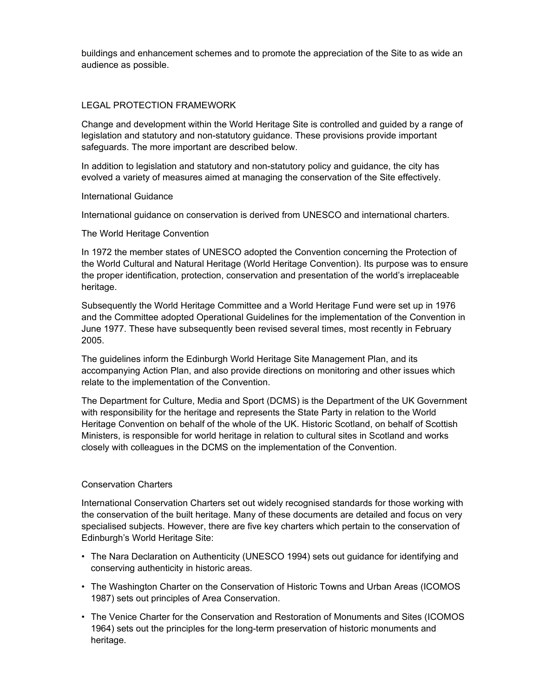buildings and enhancement schemes and to promote the appreciation of the Site to as wide an audience as possible.

#### LEGAL PROTECTION FRAMEWORK

Change and development within the World Heritage Site is controlled and guided by a range of legislation and statutory and non-statutory guidance. These provisions provide important safeguards. The more important are described below.

In addition to legislation and statutory and non-statutory policy and guidance, the city has evolved a variety of measures aimed at managing the conservation of the Site effectively.

#### International Guidance

International guidance on conservation is derived from UNESCO and international charters.

#### The World Heritage Convention

In 1972 the member states of UNESCO adopted the Convention concerning the Protection of the World Cultural and Natural Heritage (World Heritage Convention). Its purpose was to ensure the proper identification, protection, conservation and presentation of the world's irreplaceable heritage.

Subsequently the World Heritage Committee and a World Heritage Fund were set up in 1976 and the Committee adopted Operational Guidelines for the implementation of the Convention in June 1977. These have subsequently been revised several times, most recently in February 2005.

The guidelines inform the Edinburgh World Heritage Site Management Plan, and its accompanying Action Plan, and also provide directions on monitoring and other issues which relate to the implementation of the Convention.

The Department for Culture, Media and Sport (DCMS) is the Department of the UK Government with responsibility for the heritage and represents the State Party in relation to the World Heritage Convention on behalf of the whole of the UK. Historic Scotland, on behalf of Scottish Ministers, is responsible for world heritage in relation to cultural sites in Scotland and works closely with colleagues in the DCMS on the implementation of the Convention.

#### Conservation Charters

International Conservation Charters set out widely recognised standards for those working with the conservation of the built heritage. Many of these documents are detailed and focus on very specialised subjects. However, there are five key charters which pertain to the conservation of Edinburgh's World Heritage Site:

- The Nara Declaration on Authenticity (UNESCO 1994) sets out guidance for identifying and conserving authenticity in historic areas.
- The Washington Charter on the Conservation of Historic Towns and Urban Areas (ICOMOS 1987) sets out principles of Area Conservation.
- The Venice Charter for the Conservation and Restoration of Monuments and Sites (ICOMOS 1964) sets out the principles for the long-term preservation of historic monuments and heritage.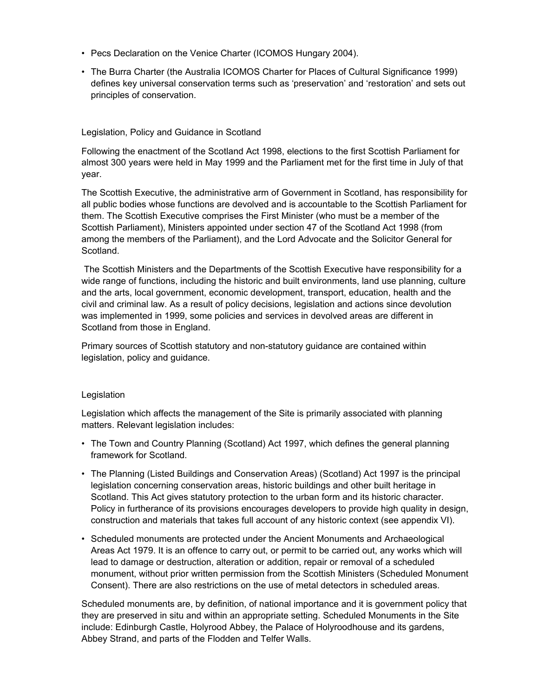- Pecs Declaration on the Venice Charter (ICOMOS Hungary 2004).
- The Burra Charter (the Australia ICOMOS Charter for Places of Cultural Significance 1999) defines key universal conservation terms such as 'preservation' and 'restoration' and sets out principles of conservation.

#### Legislation, Policy and Guidance in Scotland

Following the enactment of the Scotland Act 1998, elections to the first Scottish Parliament for almost 300 years were held in May 1999 and the Parliament met for the first time in July of that year.

The Scottish Executive, the administrative arm of Government in Scotland, has responsibility for all public bodies whose functions are devolved and is accountable to the Scottish Parliament for them. The Scottish Executive comprises the First Minister (who must be a member of the Scottish Parliament), Ministers appointed under section 47 of the Scotland Act 1998 (from among the members of the Parliament), and the Lord Advocate and the Solicitor General for Scotland.

 The Scottish Ministers and the Departments of the Scottish Executive have responsibility for a wide range of functions, including the historic and built environments, land use planning, culture and the arts, local government, economic development, transport, education, health and the civil and criminal law. As a result of policy decisions, legislation and actions since devolution was implemented in 1999, some policies and services in devolved areas are different in Scotland from those in England.

Primary sources of Scottish statutory and non-statutory guidance are contained within legislation, policy and guidance.

#### Legislation

Legislation which affects the management of the Site is primarily associated with planning matters. Relevant legislation includes:

- The Town and Country Planning (Scotland) Act 1997, which defines the general planning framework for Scotland.
- The Planning (Listed Buildings and Conservation Areas) (Scotland) Act 1997 is the principal legislation concerning conservation areas, historic buildings and other built heritage in Scotland. This Act gives statutory protection to the urban form and its historic character. Policy in furtherance of its provisions encourages developers to provide high quality in design, construction and materials that takes full account of any historic context (see appendix VI).
- Scheduled monuments are protected under the Ancient Monuments and Archaeological Areas Act 1979. It is an offence to carry out, or permit to be carried out, any works which will lead to damage or destruction, alteration or addition, repair or removal of a scheduled monument, without prior written permission from the Scottish Ministers (Scheduled Monument Consent). There are also restrictions on the use of metal detectors in scheduled areas.

Scheduled monuments are, by definition, of national importance and it is government policy that they are preserved in situ and within an appropriate setting. Scheduled Monuments in the Site include: Edinburgh Castle, Holyrood Abbey, the Palace of Holyroodhouse and its gardens, Abbey Strand, and parts of the Flodden and Telfer Walls.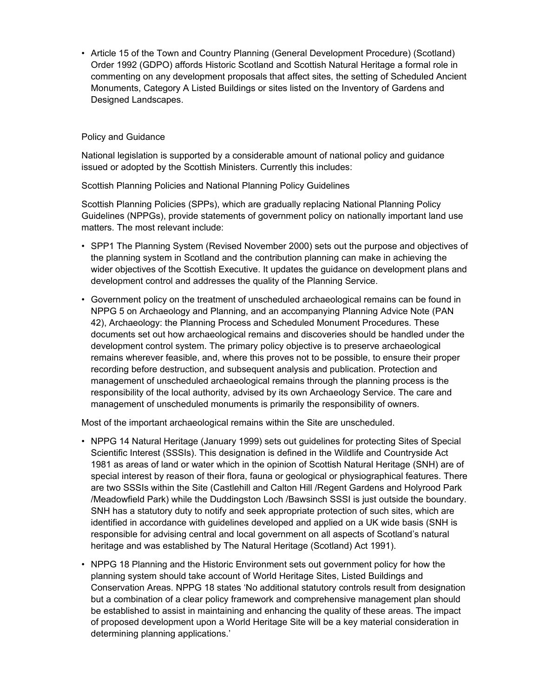• Article 15 of the Town and Country Planning (General Development Procedure) (Scotland) Order 1992 (GDPO) affords Historic Scotland and Scottish Natural Heritage a formal role in commenting on any development proposals that affect sites, the setting of Scheduled Ancient Monuments, Category A Listed Buildings or sites listed on the Inventory of Gardens and Designed Landscapes.

#### Policy and Guidance

National legislation is supported by a considerable amount of national policy and guidance issued or adopted by the Scottish Ministers. Currently this includes:

Scottish Planning Policies and National Planning Policy Guidelines

Scottish Planning Policies (SPPs), which are gradually replacing National Planning Policy Guidelines (NPPGs), provide statements of government policy on nationally important land use matters. The most relevant include:

- SPP1 The Planning System (Revised November 2000) sets out the purpose and objectives of the planning system in Scotland and the contribution planning can make in achieving the wider objectives of the Scottish Executive. It updates the guidance on development plans and development control and addresses the quality of the Planning Service.
- Government policy on the treatment of unscheduled archaeological remains can be found in NPPG 5 on Archaeology and Planning, and an accompanying Planning Advice Note (PAN 42), Archaeology: the Planning Process and Scheduled Monument Procedures. These documents set out how archaeological remains and discoveries should be handled under the development control system. The primary policy objective is to preserve archaeological remains wherever feasible, and, where this proves not to be possible, to ensure their proper recording before destruction, and subsequent analysis and publication. Protection and management of unscheduled archaeological remains through the planning process is the responsibility of the local authority, advised by its own Archaeology Service. The care and management of unscheduled monuments is primarily the responsibility of owners.

Most of the important archaeological remains within the Site are unscheduled.

- NPPG 14 Natural Heritage (January 1999) sets out guidelines for protecting Sites of Special Scientific Interest (SSSIs). This designation is defined in the Wildlife and Countryside Act 1981 as areas of land or water which in the opinion of Scottish Natural Heritage (SNH) are of special interest by reason of their flora, fauna or geological or physiographical features. There are two SSSIs within the Site (Castlehill and Calton Hill /Regent Gardens and Holyrood Park /Meadowfield Park) while the Duddingston Loch /Bawsinch SSSI is just outside the boundary. SNH has a statutory duty to notify and seek appropriate protection of such sites, which are identified in accordance with guidelines developed and applied on a UK wide basis (SNH is responsible for advising central and local government on all aspects of Scotland's natural heritage and was established by The Natural Heritage (Scotland) Act 1991).
- NPPG 18 Planning and the Historic Environment sets out government policy for how the planning system should take account of World Heritage Sites, Listed Buildings and Conservation Areas. NPPG 18 states 'No additional statutory controls result from designation but a combination of a clear policy framework and comprehensive management plan should be established to assist in maintaining and enhancing the quality of these areas. The impact of proposed development upon a World Heritage Site will be a key material consideration in determining planning applications.'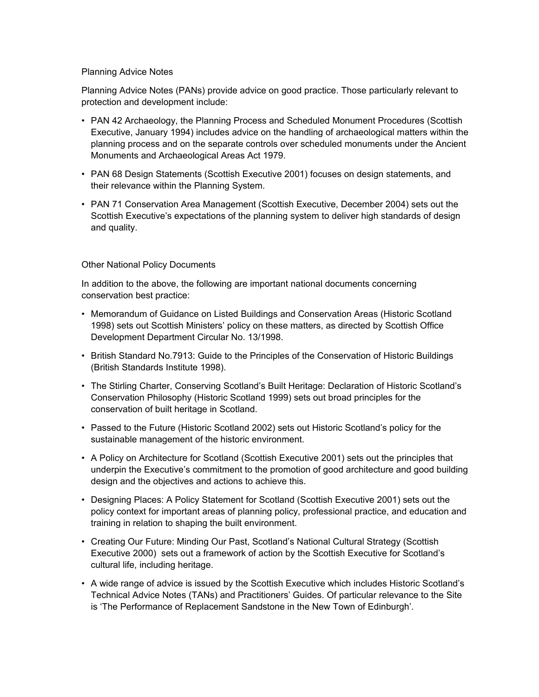#### Planning Advice Notes

Planning Advice Notes (PANs) provide advice on good practice. Those particularly relevant to protection and development include:

- PAN 42 Archaeology, the Planning Process and Scheduled Monument Procedures (Scottish Executive, January 1994) includes advice on the handling of archaeological matters within the planning process and on the separate controls over scheduled monuments under the Ancient Monuments and Archaeological Areas Act 1979.
- PAN 68 Design Statements (Scottish Executive 2001) focuses on design statements, and their relevance within the Planning System.
- PAN 71 Conservation Area Management (Scottish Executive, December 2004) sets out the Scottish Executive's expectations of the planning system to deliver high standards of design and quality.

#### Other National Policy Documents

In addition to the above, the following are important national documents concerning conservation best practice:

- Memorandum of Guidance on Listed Buildings and Conservation Areas (Historic Scotland 1998) sets out Scottish Ministers' policy on these matters, as directed by Scottish Office Development Department Circular No. 13/1998.
- British Standard No.7913: Guide to the Principles of the Conservation of Historic Buildings (British Standards Institute 1998).
- The Stirling Charter, Conserving Scotland's Built Heritage: Declaration of Historic Scotland's Conservation Philosophy (Historic Scotland 1999) sets out broad principles for the conservation of built heritage in Scotland.
- Passed to the Future (Historic Scotland 2002) sets out Historic Scotland's policy for the sustainable management of the historic environment.
- A Policy on Architecture for Scotland (Scottish Executive 2001) sets out the principles that underpin the Executive's commitment to the promotion of good architecture and good building design and the objectives and actions to achieve this.
- Designing Places: A Policy Statement for Scotland (Scottish Executive 2001) sets out the policy context for important areas of planning policy, professional practice, and education and training in relation to shaping the built environment.
- Creating Our Future: Minding Our Past, Scotland's National Cultural Strategy (Scottish Executive 2000) sets out a framework of action by the Scottish Executive for Scotland's cultural life, including heritage.
- A wide range of advice is issued by the Scottish Executive which includes Historic Scotland's Technical Advice Notes (TANs) and Practitioners' Guides. Of particular relevance to the Site is 'The Performance of Replacement Sandstone in the New Town of Edinburgh'.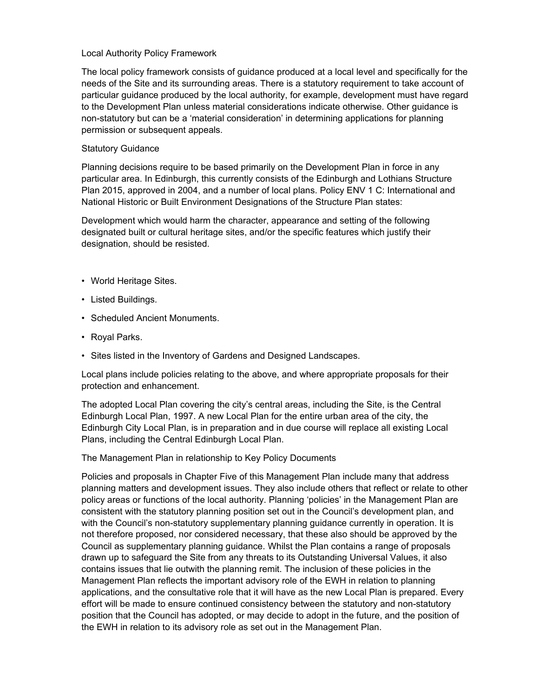#### Local Authority Policy Framework

The local policy framework consists of guidance produced at a local level and specifically for the needs of the Site and its surrounding areas. There is a statutory requirement to take account of particular guidance produced by the local authority, for example, development must have regard to the Development Plan unless material considerations indicate otherwise. Other guidance is non-statutory but can be a 'material consideration' in determining applications for planning permission or subsequent appeals.

#### Statutory Guidance

Planning decisions require to be based primarily on the Development Plan in force in any particular area. In Edinburgh, this currently consists of the Edinburgh and Lothians Structure Plan 2015, approved in 2004, and a number of local plans. Policy ENV 1 C: International and National Historic or Built Environment Designations of the Structure Plan states:

Development which would harm the character, appearance and setting of the following designated built or cultural heritage sites, and/or the specific features which justify their designation, should be resisted.

- World Heritage Sites.
- Listed Buildings.
- Scheduled Ancient Monuments.
- Royal Parks.
- Sites listed in the Inventory of Gardens and Designed Landscapes.

Local plans include policies relating to the above, and where appropriate proposals for their protection and enhancement.

The adopted Local Plan covering the city's central areas, including the Site, is the Central Edinburgh Local Plan, 1997. A new Local Plan for the entire urban area of the city, the Edinburgh City Local Plan, is in preparation and in due course will replace all existing Local Plans, including the Central Edinburgh Local Plan.

The Management Plan in relationship to Key Policy Documents

Policies and proposals in Chapter Five of this Management Plan include many that address planning matters and development issues. They also include others that reflect or relate to other policy areas or functions of the local authority. Planning 'policies' in the Management Plan are consistent with the statutory planning position set out in the Council's development plan, and with the Council's non-statutory supplementary planning guidance currently in operation. It is not therefore proposed, nor considered necessary, that these also should be approved by the Council as supplementary planning guidance. Whilst the Plan contains a range of proposals drawn up to safeguard the Site from any threats to its Outstanding Universal Values, it also contains issues that lie outwith the planning remit. The inclusion of these policies in the Management Plan reflects the important advisory role of the EWH in relation to planning applications, and the consultative role that it will have as the new Local Plan is prepared. Every effort will be made to ensure continued consistency between the statutory and non-statutory position that the Council has adopted, or may decide to adopt in the future, and the position of the EWH in relation to its advisory role as set out in the Management Plan.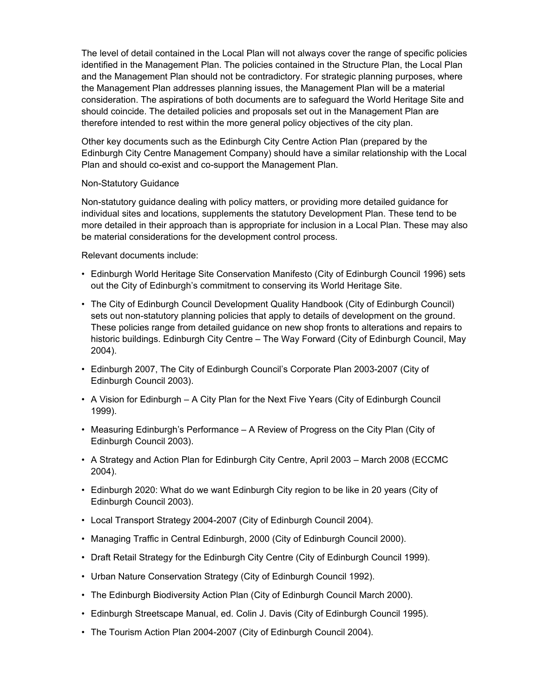The level of detail contained in the Local Plan will not always cover the range of specific policies identified in the Management Plan. The policies contained in the Structure Plan, the Local Plan and the Management Plan should not be contradictory. For strategic planning purposes, where the Management Plan addresses planning issues, the Management Plan will be a material consideration. The aspirations of both documents are to safeguard the World Heritage Site and should coincide. The detailed policies and proposals set out in the Management Plan are therefore intended to rest within the more general policy objectives of the city plan.

Other key documents such as the Edinburgh City Centre Action Plan (prepared by the Edinburgh City Centre Management Company) should have a similar relationship with the Local Plan and should co-exist and co-support the Management Plan.

#### Non-Statutory Guidance

Non-statutory guidance dealing with policy matters, or providing more detailed guidance for individual sites and locations, supplements the statutory Development Plan. These tend to be more detailed in their approach than is appropriate for inclusion in a Local Plan. These may also be material considerations for the development control process.

Relevant documents include:

- Edinburgh World Heritage Site Conservation Manifesto (City of Edinburgh Council 1996) sets out the City of Edinburgh's commitment to conserving its World Heritage Site.
- The City of Edinburgh Council Development Quality Handbook (City of Edinburgh Council) sets out non-statutory planning policies that apply to details of development on the ground. These policies range from detailed guidance on new shop fronts to alterations and repairs to historic buildings. Edinburgh City Centre – The Way Forward (City of Edinburgh Council, May 2004).
- Edinburgh 2007, The City of Edinburgh Council's Corporate Plan 2003-2007 (City of Edinburgh Council 2003).
- A Vision for Edinburgh A City Plan for the Next Five Years (City of Edinburgh Council 1999).
- Measuring Edinburgh's Performance A Review of Progress on the City Plan (City of Edinburgh Council 2003).
- A Strategy and Action Plan for Edinburgh City Centre, April 2003 March 2008 (ECCMC 2004).
- Edinburgh 2020: What do we want Edinburgh City region to be like in 20 years (City of Edinburgh Council 2003).
- Local Transport Strategy 2004-2007 (City of Edinburgh Council 2004).
- Managing Traffic in Central Edinburgh, 2000 (City of Edinburgh Council 2000).
- Draft Retail Strategy for the Edinburgh City Centre (City of Edinburgh Council 1999).
- Urban Nature Conservation Strategy (City of Edinburgh Council 1992).
- The Edinburgh Biodiversity Action Plan (City of Edinburgh Council March 2000).
- Edinburgh Streetscape Manual, ed. Colin J. Davis (City of Edinburgh Council 1995).
- The Tourism Action Plan 2004-2007 (City of Edinburgh Council 2004).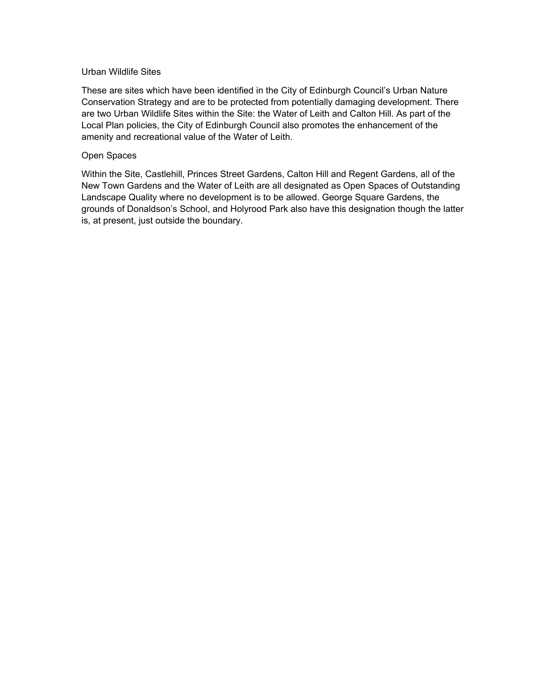#### Urban Wildlife Sites

These are sites which have been identified in the City of Edinburgh Council's Urban Nature Conservation Strategy and are to be protected from potentially damaging development. There are two Urban Wildlife Sites within the Site: the Water of Leith and Calton Hill. As part of the Local Plan policies, the City of Edinburgh Council also promotes the enhancement of the amenity and recreational value of the Water of Leith.

#### Open Spaces

Within the Site, Castlehill, Princes Street Gardens, Calton Hill and Regent Gardens, all of the New Town Gardens and the Water of Leith are all designated as Open Spaces of Outstanding Landscape Quality where no development is to be allowed. George Square Gardens, the grounds of Donaldson's School, and Holyrood Park also have this designation though the latter is, at present, just outside the boundary.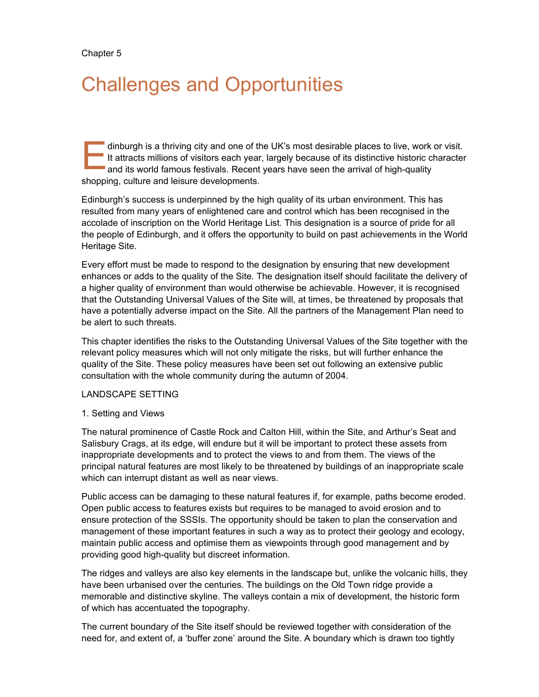# Challenges and Opportunities

dinburgh is a thriving city and one of the UK's most desirable places to live, work or visit. It attracts millions of visitors each year, largely because of its distinctive historic character and its world famous festivals. Recent years have seen the arrival of high-quality shopping, culture and leisure developments. E

Edinburgh's success is underpinned by the high quality of its urban environment. This has resulted from many years of enlightened care and control which has been recognised in the accolade of inscription on the World Heritage List. This designation is a source of pride for all the people of Edinburgh, and it offers the opportunity to build on past achievements in the World Heritage Site.

Every effort must be made to respond to the designation by ensuring that new development enhances or adds to the quality of the Site. The designation itself should facilitate the delivery of a higher quality of environment than would otherwise be achievable. However, it is recognised that the Outstanding Universal Values of the Site will, at times, be threatened by proposals that have a potentially adverse impact on the Site. All the partners of the Management Plan need to be alert to such threats.

This chapter identifies the risks to the Outstanding Universal Values of the Site together with the relevant policy measures which will not only mitigate the risks, but will further enhance the quality of the Site. These policy measures have been set out following an extensive public consultation with the whole community during the autumn of 2004.

# LANDSCAPE SETTING

1. Setting and Views

The natural prominence of Castle Rock and Calton Hill, within the Site, and Arthur's Seat and Salisbury Crags, at its edge, will endure but it will be important to protect these assets from inappropriate developments and to protect the views to and from them. The views of the principal natural features are most likely to be threatened by buildings of an inappropriate scale which can interrupt distant as well as near views.

Public access can be damaging to these natural features if, for example, paths become eroded. Open public access to features exists but requires to be managed to avoid erosion and to ensure protection of the SSSIs. The opportunity should be taken to plan the conservation and management of these important features in such a way as to protect their geology and ecology, maintain public access and optimise them as viewpoints through good management and by providing good high-quality but discreet information.

The ridges and valleys are also key elements in the landscape but, unlike the volcanic hills, they have been urbanised over the centuries. The buildings on the Old Town ridge provide a memorable and distinctive skyline. The valleys contain a mix of development, the historic form of which has accentuated the topography.

The current boundary of the Site itself should be reviewed together with consideration of the need for, and extent of, a 'buffer zone' around the Site. A boundary which is drawn too tightly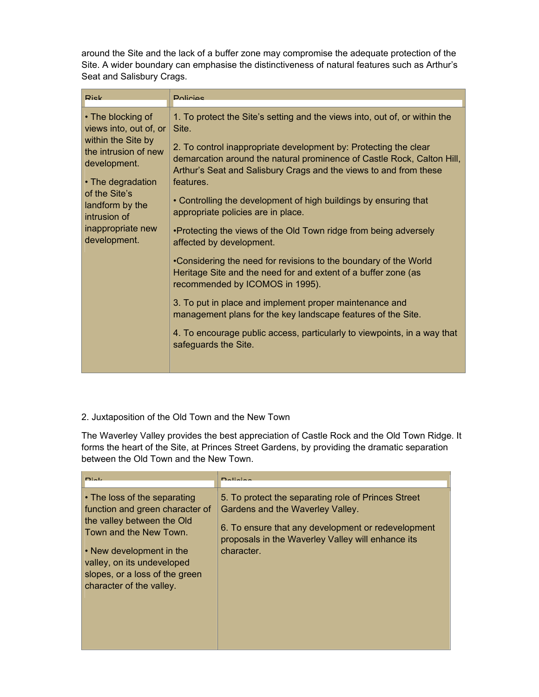around the Site and the lack of a buffer zone may compromise the adequate protection of the Site. A wider boundary can emphasise the distinctiveness of natural features such as Arthur's Seat and Salisbury Crags.

| <b>Rick</b>                                                                                                                                                                                                             | <b>Dolicipe</b>                                                                                                                                                                                                                                                                                                                                                                                                                                                                                                                                                                                                                                                                                                                                                                                                                                                                                                                       |
|-------------------------------------------------------------------------------------------------------------------------------------------------------------------------------------------------------------------------|---------------------------------------------------------------------------------------------------------------------------------------------------------------------------------------------------------------------------------------------------------------------------------------------------------------------------------------------------------------------------------------------------------------------------------------------------------------------------------------------------------------------------------------------------------------------------------------------------------------------------------------------------------------------------------------------------------------------------------------------------------------------------------------------------------------------------------------------------------------------------------------------------------------------------------------|
| • The blocking of<br>views into, out of, or<br>within the Site by<br>the intrusion of new<br>development.<br>• The degradation<br>of the Site's<br>landform by the<br>intrusion of<br>inappropriate new<br>development. | 1. To protect the Site's setting and the views into, out of, or within the<br>Site.<br>2. To control inappropriate development by: Protecting the clear<br>demarcation around the natural prominence of Castle Rock, Calton Hill,<br>Arthur's Seat and Salisbury Crags and the views to and from these<br>features.<br>• Controlling the development of high buildings by ensuring that<br>appropriate policies are in place.<br>•Protecting the views of the Old Town ridge from being adversely<br>affected by development.<br>•Considering the need for revisions to the boundary of the World<br>Heritage Site and the need for and extent of a buffer zone (as<br>recommended by ICOMOS in 1995).<br>3. To put in place and implement proper maintenance and<br>management plans for the key landscape features of the Site.<br>4. To encourage public access, particularly to viewpoints, in a way that<br>safeguards the Site. |

# 2. Juxtaposition of the Old Town and the New Town

The Waverley Valley provides the best appreciation of Castle Rock and the Old Town Ridge. It forms the heart of the Site, at Princes Street Gardens, by providing the dramatic separation between the Old Town and the New Town.

| $D1 - L$                                                                                                                                                                                                                                                    | $D = 0$                                                                                                                                                                                                          |
|-------------------------------------------------------------------------------------------------------------------------------------------------------------------------------------------------------------------------------------------------------------|------------------------------------------------------------------------------------------------------------------------------------------------------------------------------------------------------------------|
| $\cdot$ The loss of the separating<br>function and green character of<br>the valley between the Old<br>Town and the New Town.<br>$\cdot$ New development in the<br>valley, on its undeveloped<br>slopes, or a loss of the green<br>character of the valley. | 5. To protect the separating role of Princes Street<br>Gardens and the Waverley Valley.<br>6. To ensure that any development or redevelopment<br>proposals in the Waverley Valley will enhance its<br>character. |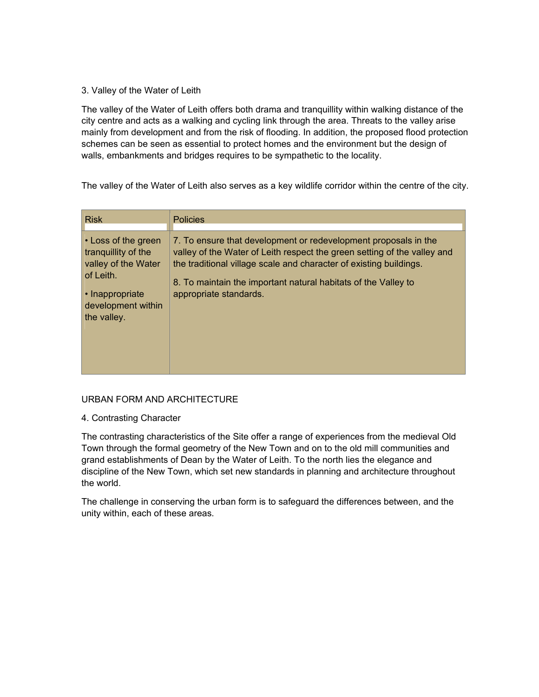# 3. Valley of the Water of Leith

The valley of the Water of Leith offers both drama and tranquillity within walking distance of the city centre and acts as a walking and cycling link through the area. Threats to the valley arise mainly from development and from the risk of flooding. In addition, the proposed flood protection schemes can be seen as essential to protect homes and the environment but the design of walls, embankments and bridges requires to be sympathetic to the locality.

The valley of the Water of Leith also serves as a key wildlife corridor within the centre of the city.

| <b>Risk</b>                                                                                                                                        | <b>Policies</b>                                                                                                                                                                                                                                                                                               |
|----------------------------------------------------------------------------------------------------------------------------------------------------|---------------------------------------------------------------------------------------------------------------------------------------------------------------------------------------------------------------------------------------------------------------------------------------------------------------|
| $\cdot$ Loss of the green<br>tranguillity of the<br>valley of the Water<br>of Leith.<br>$\cdot$ Inappropriate<br>development within<br>the valley. | 7. To ensure that development or redevelopment proposals in the<br>valley of the Water of Leith respect the green setting of the valley and<br>the traditional village scale and character of existing buildings.<br>8. To maintain the important natural habitats of the Valley to<br>appropriate standards. |

# URBAN FORM AND ARCHITECTURE

4. Contrasting Character

The contrasting characteristics of the Site offer a range of experiences from the medieval Old Town through the formal geometry of the New Town and on to the old mill communities and grand establishments of Dean by the Water of Leith. To the north lies the elegance and discipline of the New Town, which set new standards in planning and architecture throughout the world.

The challenge in conserving the urban form is to safeguard the differences between, and the unity within, each of these areas.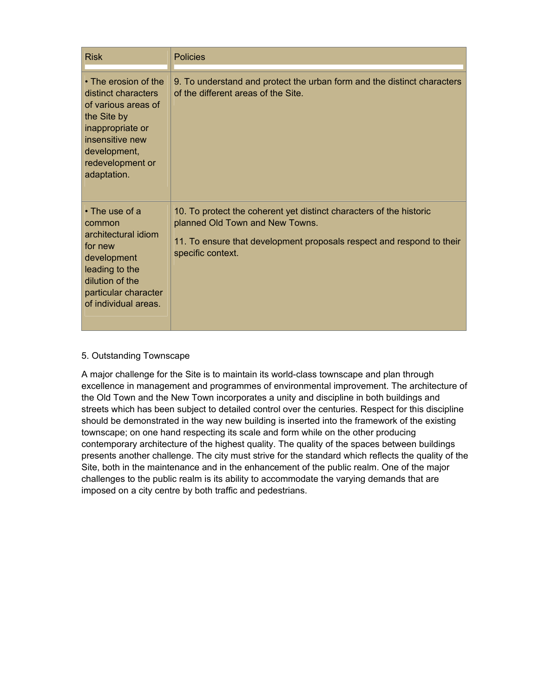| <b>Risk</b>                                                                                                                                                                 | <b>Policies</b>                                                                                                                                                                                      |
|-----------------------------------------------------------------------------------------------------------------------------------------------------------------------------|------------------------------------------------------------------------------------------------------------------------------------------------------------------------------------------------------|
| • The erosion of the<br>distinct characters<br>of various areas of<br>the Site by<br>inappropriate or<br>insensitive new<br>development,<br>redevelopment or<br>adaptation. | 9. To understand and protect the urban form and the distinct characters<br>of the different areas of the Site.                                                                                       |
| $\cdot$ The use of a<br>common<br>architectural idiom<br>for new<br>development<br>leading to the<br>dilution of the<br>particular character<br>of individual areas.        | 10. To protect the coherent yet distinct characters of the historic<br>planned Old Town and New Towns.<br>11. To ensure that development proposals respect and respond to their<br>specific context. |

# 5. Outstanding Townscape

A major challenge for the Site is to maintain its world-class townscape and plan through excellence in management and programmes of environmental improvement. The architecture of the Old Town and the New Town incorporates a unity and discipline in both buildings and streets which has been subject to detailed control over the centuries. Respect for this discipline should be demonstrated in the way new building is inserted into the framework of the existing townscape; on one hand respecting its scale and form while on the other producing contemporary architecture of the highest quality. The quality of the spaces between buildings presents another challenge. The city must strive for the standard which reflects the quality of the Site, both in the maintenance and in the enhancement of the public realm. One of the major challenges to the public realm is its ability to accommodate the varying demands that are imposed on a city centre by both traffic and pedestrians.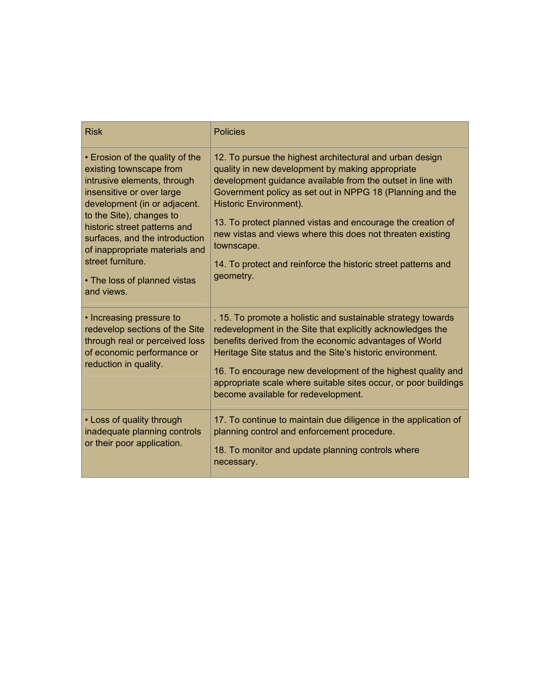| <b>Risk</b>                                                                                                                                                                                                                                                                                                                                               | <b>Policies</b>                                                                                                                                                                                                                                                                                                                                                                                                                                                                             |
|-----------------------------------------------------------------------------------------------------------------------------------------------------------------------------------------------------------------------------------------------------------------------------------------------------------------------------------------------------------|---------------------------------------------------------------------------------------------------------------------------------------------------------------------------------------------------------------------------------------------------------------------------------------------------------------------------------------------------------------------------------------------------------------------------------------------------------------------------------------------|
| • Erosion of the quality of the<br>existing townscape from<br>intrusive elements, through<br>insensitive or over large<br>development (in or adjacent.<br>to the Site), changes to<br>historic street patterns and<br>surfaces, and the introduction<br>of inappropriate materials and<br>street furniture.<br>• The loss of planned vistas<br>and views. | 12. To pursue the highest architectural and urban design<br>quality in new development by making appropriate<br>development guidance available from the outset in line with<br>Government policy as set out in NPPG 18 (Planning and the<br>Historic Environment).<br>13. To protect planned vistas and encourage the creation of<br>new vistas and views where this does not threaten existing<br>townscape.<br>14. To protect and reinforce the historic street patterns and<br>geometry. |
| • Increasing pressure to<br>redevelop sections of the Site<br>through real or perceived loss<br>of economic performance or<br>reduction in quality.                                                                                                                                                                                                       | . 15. To promote a holistic and sustainable strategy towards<br>redevelopment in the Site that explicitly acknowledges the<br>benefits derived from the economic advantages of World<br>Heritage Site status and the Site's historic environment.<br>16. To encourage new development of the highest quality and<br>appropriate scale where suitable sites occur, or poor buildings<br>become available for redevelopment.                                                                  |
| • Loss of quality through<br>inadequate planning controls<br>or their poor application.                                                                                                                                                                                                                                                                   | 17. To continue to maintain due diligence in the application of<br>planning control and enforcement procedure.<br>18. To monitor and update planning controls where<br>necessary.                                                                                                                                                                                                                                                                                                           |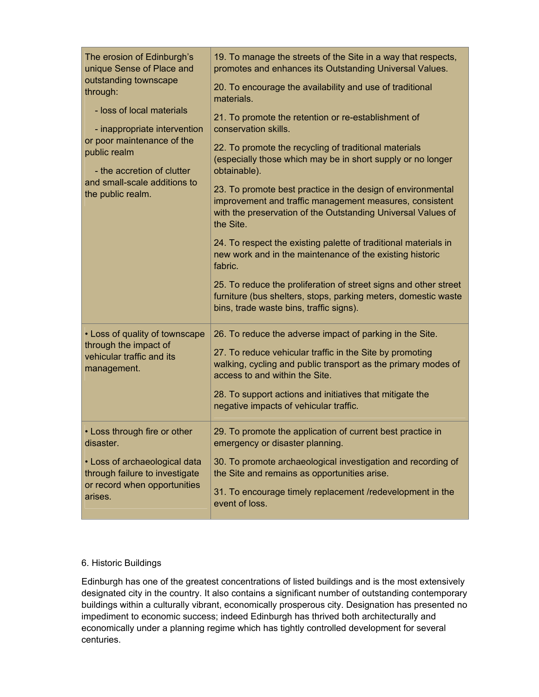| The erosion of Edinburgh's<br>unique Sense of Place and<br>outstanding townscape<br>through:<br>- loss of local materials<br>- inappropriate intervention<br>or poor maintenance of the<br>public realm<br>- the accretion of clutter<br>and small-scale additions to<br>the public realm. | 19. To manage the streets of the Site in a way that respects,<br>promotes and enhances its Outstanding Universal Values.<br>20. To encourage the availability and use of traditional<br>materials.<br>21. To promote the retention or re-establishment of<br>conservation skills.<br>22. To promote the recycling of traditional materials<br>(especially those which may be in short supply or no longer<br>obtainable).<br>23. To promote best practice in the design of environmental<br>improvement and traffic management measures, consistent<br>with the preservation of the Outstanding Universal Values of<br>the Site.<br>24. To respect the existing palette of traditional materials in<br>new work and in the maintenance of the existing historic<br>fabric.<br>25. To reduce the proliferation of street signs and other street<br>furniture (bus shelters, stops, parking meters, domestic waste<br>bins, trade waste bins, traffic signs). |
|--------------------------------------------------------------------------------------------------------------------------------------------------------------------------------------------------------------------------------------------------------------------------------------------|-------------------------------------------------------------------------------------------------------------------------------------------------------------------------------------------------------------------------------------------------------------------------------------------------------------------------------------------------------------------------------------------------------------------------------------------------------------------------------------------------------------------------------------------------------------------------------------------------------------------------------------------------------------------------------------------------------------------------------------------------------------------------------------------------------------------------------------------------------------------------------------------------------------------------------------------------------------|
| • Loss of quality of townscape<br>through the impact of<br>vehicular traffic and its<br>management.                                                                                                                                                                                        | 26. To reduce the adverse impact of parking in the Site.<br>27. To reduce vehicular traffic in the Site by promoting<br>walking, cycling and public transport as the primary modes of<br>access to and within the Site.<br>28. To support actions and initiatives that mitigate the<br>negative impacts of vehicular traffic.                                                                                                                                                                                                                                                                                                                                                                                                                                                                                                                                                                                                                               |
| • Loss through fire or other<br>disaster.<br>• Loss of archaeological data<br>through failure to investigate<br>or record when opportunities<br>arises.                                                                                                                                    | 29. To promote the application of current best practice in<br>emergency or disaster planning.<br>30. To promote archaeological investigation and recording of<br>the Site and remains as opportunities arise.<br>31. To encourage timely replacement /redevelopment in the<br>event of loss.                                                                                                                                                                                                                                                                                                                                                                                                                                                                                                                                                                                                                                                                |

# 6. Historic Buildings

Edinburgh has one of the greatest concentrations of listed buildings and is the most extensively designated city in the country. It also contains a significant number of outstanding contemporary buildings within a culturally vibrant, economically prosperous city. Designation has presented no impediment to economic success; indeed Edinburgh has thrived both architecturally and economically under a planning regime which has tightly controlled development for several centuries.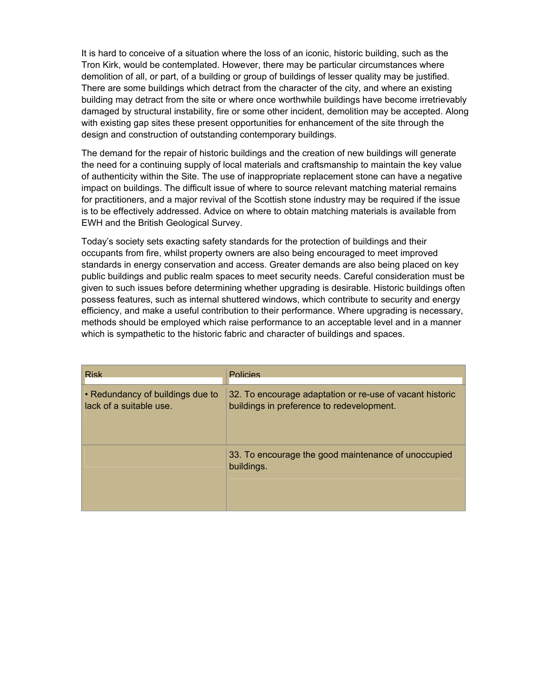It is hard to conceive of a situation where the loss of an iconic, historic building, such as the Tron Kirk, would be contemplated. However, there may be particular circumstances where demolition of all, or part, of a building or group of buildings of lesser quality may be justified. There are some buildings which detract from the character of the city, and where an existing building may detract from the site or where once worthwhile buildings have become irretrievably damaged by structural instability, fire or some other incident, demolition may be accepted. Along with existing gap sites these present opportunities for enhancement of the site through the design and construction of outstanding contemporary buildings.

The demand for the repair of historic buildings and the creation of new buildings will generate the need for a continuing supply of local materials and craftsmanship to maintain the key value of authenticity within the Site. The use of inappropriate replacement stone can have a negative impact on buildings. The difficult issue of where to source relevant matching material remains for practitioners, and a major revival of the Scottish stone industry may be required if the issue is to be effectively addressed. Advice on where to obtain matching materials is available from EWH and the British Geological Survey.

Today's society sets exacting safety standards for the protection of buildings and their occupants from fire, whilst property owners are also being encouraged to meet improved standards in energy conservation and access. Greater demands are also being placed on key public buildings and public realm spaces to meet security needs. Careful consideration must be given to such issues before determining whether upgrading is desirable. Historic buildings often possess features, such as internal shuttered windows, which contribute to security and energy efficiency, and make a useful contribution to their performance. Where upgrading is necessary, methods should be employed which raise performance to an acceptable level and in a manner which is sympathetic to the historic fabric and character of buildings and spaces.

| <b>Risk</b>                                                 | Policies                                                                                              |
|-------------------------------------------------------------|-------------------------------------------------------------------------------------------------------|
| • Redundancy of buildings due to<br>lack of a suitable use. | 32. To encourage adaptation or re-use of vacant historic<br>buildings in preference to redevelopment. |
|                                                             | 33. To encourage the good maintenance of unoccupied<br>buildings.                                     |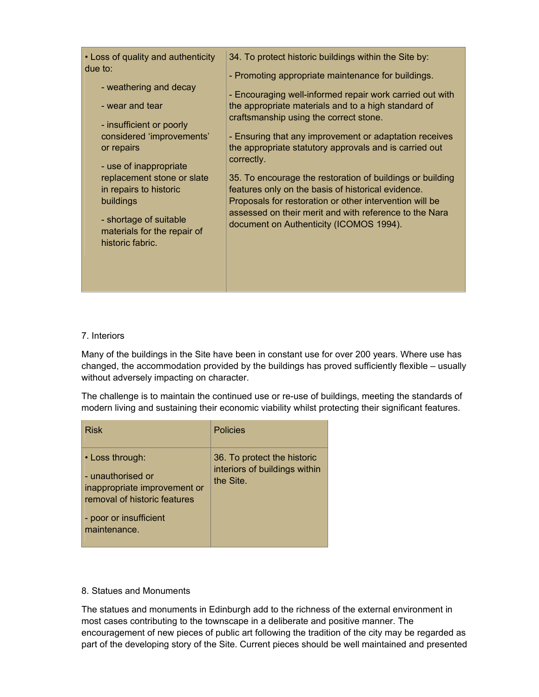|--|

# 7. Interiors

Many of the buildings in the Site have been in constant use for over 200 years. Where use has changed, the accommodation provided by the buildings has proved sufficiently flexible – usually without adversely impacting on character.

The challenge is to maintain the continued use or re-use of buildings, meeting the standards of modern living and sustaining their economic viability whilst protecting their significant features.

| <b>Risk</b>                                                                                                                                    | <b>Policies</b>                                                           |
|------------------------------------------------------------------------------------------------------------------------------------------------|---------------------------------------------------------------------------|
| • Loss through:<br>- unauthorised or<br>inappropriate improvement or<br>removal of historic features<br>- poor or insufficient<br>maintenance. | 36. To protect the historic<br>interiors of buildings within<br>the Site. |

# 8. Statues and Monuments

The statues and monuments in Edinburgh add to the richness of the external environment in most cases contributing to the townscape in a deliberate and positive manner. The encouragement of new pieces of public art following the tradition of the city may be regarded as part of the developing story of the Site. Current pieces should be well maintained and presented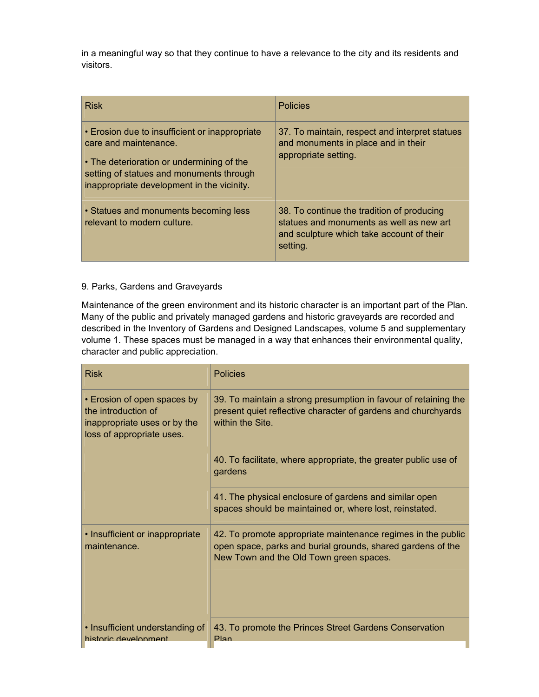in a meaningful way so that they continue to have a relevance to the city and its residents and visitors.

| <b>Risk</b>                                                                                                                                                                                                    | <b>Policies</b>                                                                                                                                 |
|----------------------------------------------------------------------------------------------------------------------------------------------------------------------------------------------------------------|-------------------------------------------------------------------------------------------------------------------------------------------------|
| • Erosion due to insufficient or inappropriate<br>care and maintenance.<br>• The deterioration or undermining of the<br>setting of statues and monuments through<br>inappropriate development in the vicinity. | 37. To maintain, respect and interpret statues<br>and monuments in place and in their<br>appropriate setting.                                   |
| • Statues and monuments becoming less<br>relevant to modern culture.                                                                                                                                           | 38. To continue the tradition of producing<br>statues and monuments as well as new art<br>and sculpture which take account of their<br>setting. |

# 9. Parks, Gardens and Graveyards

Maintenance of the green environment and its historic character is an important part of the Plan. Many of the public and privately managed gardens and historic graveyards are recorded and described in the Inventory of Gardens and Designed Landscapes, volume 5 and supplementary volume 1. These spaces must be managed in a way that enhances their environmental quality, character and public appreciation.

| <b>Risk</b>                                                                                                     | <b>Policies</b>                                                                                                                                                        |
|-----------------------------------------------------------------------------------------------------------------|------------------------------------------------------------------------------------------------------------------------------------------------------------------------|
| • Erosion of open spaces by<br>the introduction of<br>inappropriate uses or by the<br>loss of appropriate uses. | 39. To maintain a strong presumption in favour of retaining the<br>present quiet reflective character of gardens and churchyards<br>within the Site.                   |
|                                                                                                                 | 40. To facilitate, where appropriate, the greater public use of<br>gardens                                                                                             |
|                                                                                                                 | 41. The physical enclosure of gardens and similar open<br>spaces should be maintained or, where lost, reinstated.                                                      |
| • Insufficient or inappropriate<br>maintenance.                                                                 | 42. To promote appropriate maintenance regimes in the public<br>open space, parks and burial grounds, shared gardens of the<br>New Town and the Old Town green spaces. |
| • Insufficient understanding of<br>historic development                                                         | 43. To promote the Princes Street Gardens Conservation<br><b>Plan</b>                                                                                                  |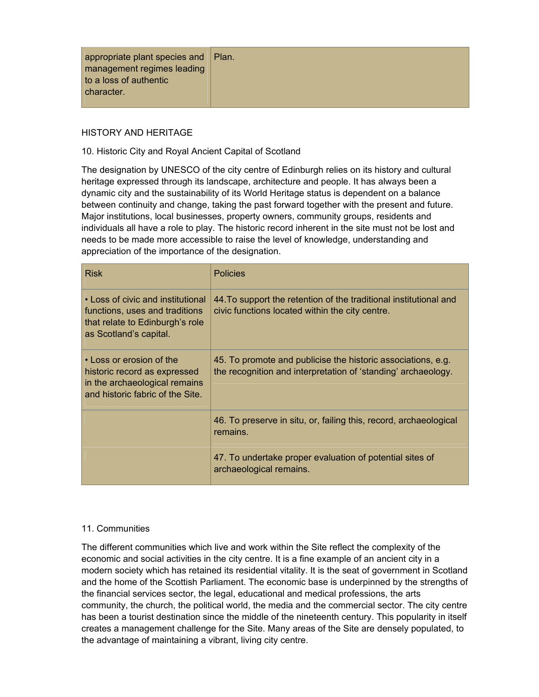| management regimes leading<br>to a loss of authentic<br>character. |
|--------------------------------------------------------------------|
|--------------------------------------------------------------------|

# HISTORY AND HERITAGE

#### 10. Historic City and Royal Ancient Capital of Scotland

The designation by UNESCO of the city centre of Edinburgh relies on its history and cultural heritage expressed through its landscape, architecture and people. It has always been a dynamic city and the sustainability of its World Heritage status is dependent on a balance between continuity and change, taking the past forward together with the present and future. Major institutions, local businesses, property owners, community groups, residents and individuals all have a role to play. The historic record inherent in the site must not be lost and needs to be made more accessible to raise the level of knowledge, understanding and appreciation of the importance of the designation.

| <b>Risk</b>                                                                                                                      | <b>Policies</b>                                                                                                               |
|----------------------------------------------------------------------------------------------------------------------------------|-------------------------------------------------------------------------------------------------------------------------------|
| • Loss of civic and institutional<br>functions, uses and traditions<br>that relate to Edinburgh's role<br>as Scotland's capital. | 44. To support the retention of the traditional institutional and<br>civic functions located within the city centre.          |
| • Loss or erosion of the<br>historic record as expressed<br>in the archaeological remains<br>and historic fabric of the Site.    | 45. To promote and publicise the historic associations, e.g.<br>the recognition and interpretation of 'standing' archaeology. |
|                                                                                                                                  | 46. To preserve in situ, or, failing this, record, archaeological<br>remains.                                                 |
|                                                                                                                                  | 47. To undertake proper evaluation of potential sites of<br>archaeological remains.                                           |

#### 11. Communities

The different communities which live and work within the Site reflect the complexity of the economic and social activities in the city centre. It is a fine example of an ancient city in a modern society which has retained its residential vitality. It is the seat of government in Scotland and the home of the Scottish Parliament. The economic base is underpinned by the strengths of the financial services sector, the legal, educational and medical professions, the arts community, the church, the political world, the media and the commercial sector. The city centre has been a tourist destination since the middle of the nineteenth century. This popularity in itself creates a management challenge for the Site. Many areas of the Site are densely populated, to the advantage of maintaining a vibrant, living city centre.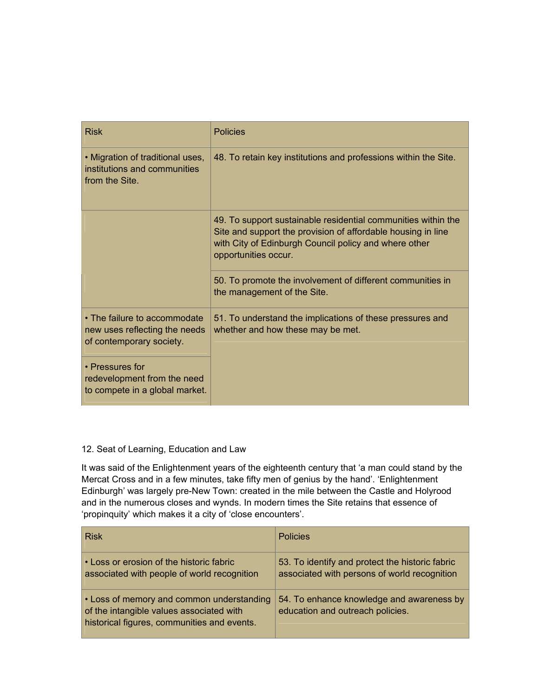| <b>Risk</b>                                                                               | <b>Policies</b>                                                                                                                                                                                                |
|-------------------------------------------------------------------------------------------|----------------------------------------------------------------------------------------------------------------------------------------------------------------------------------------------------------------|
| • Migration of traditional uses,<br>institutions and communities<br>from the Site.        | 48. To retain key institutions and professions within the Site.                                                                                                                                                |
|                                                                                           | 49. To support sustainable residential communities within the<br>Site and support the provision of affordable housing in line<br>with City of Edinburgh Council policy and where other<br>opportunities occur. |
|                                                                                           | 50. To promote the involvement of different communities in<br>the management of the Site.                                                                                                                      |
| • The failure to accommodate<br>new uses reflecting the needs<br>of contemporary society. | 51. To understand the implications of these pressures and<br>whether and how these may be met.                                                                                                                 |
| • Pressures for<br>redevelopment from the need<br>to compete in a global market.          |                                                                                                                                                                                                                |

# 12. Seat of Learning, Education and Law

It was said of the Enlightenment years of the eighteenth century that 'a man could stand by the Mercat Cross and in a few minutes, take fifty men of genius by the hand'. 'Enlightenment Edinburgh' was largely pre-New Town: created in the mile between the Castle and Holyrood and in the numerous closes and wynds. In modern times the Site retains that essence of 'propinquity' which makes it a city of 'close encounters'.

| <b>Risk</b>                                                                                                                          | <b>Policies</b>                                                                                 |
|--------------------------------------------------------------------------------------------------------------------------------------|-------------------------------------------------------------------------------------------------|
| • Loss or erosion of the historic fabric<br>associated with people of world recognition                                              | 53. To identify and protect the historic fabric<br>associated with persons of world recognition |
| • Loss of memory and common understanding<br>of the intangible values associated with<br>historical figures, communities and events. | 54. To enhance knowledge and awareness by<br>education and outreach policies.                   |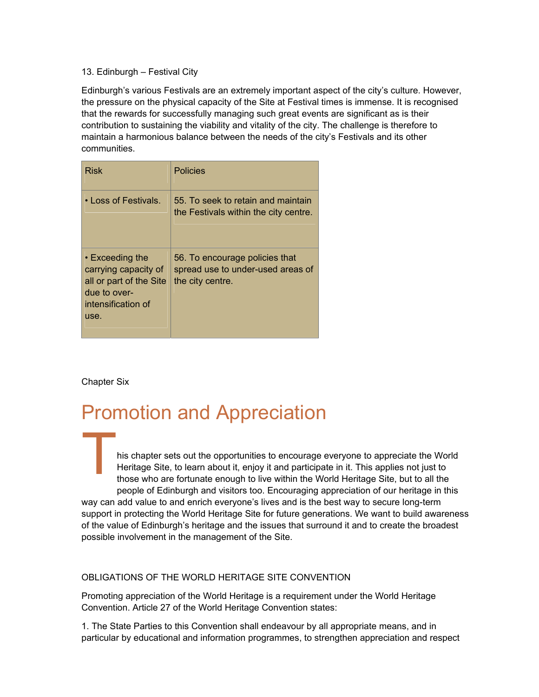# 13. Edinburgh – Festival City

Edinburgh's various Festivals are an extremely important aspect of the city's culture. However, the pressure on the physical capacity of the Site at Festival times is immense. It is recognised that the rewards for successfully managing such great events are significant as is their contribution to sustaining the viability and vitality of the city. The challenge is therefore to maintain a harmonious balance between the needs of the city's Festivals and its other communities.

| <b>Risk</b>                                                                                                            | <b>Policies</b>                                                                         |
|------------------------------------------------------------------------------------------------------------------------|-----------------------------------------------------------------------------------------|
| • Loss of Festivals.                                                                                                   | 55. To seek to retain and maintain<br>the Festivals within the city centre.             |
| $\cdot$ Exceeding the<br>carrying capacity of<br>all or part of the Site<br>due to over-<br>intensification of<br>use. | 56. To encourage policies that<br>spread use to under-used areas of<br>the city centre. |

Chapter Six

# Promotion and Appreciation

his chapter sets out the opportunities to encourage everyone to appreciate the World Heritage Site, to learn about it, enjoy it and participate in it. This applies not just to those who are fortunate enough to live within the World Heritage Site, but to all the people of Edinburgh and visitors too. Encouraging appreciation of our heritage in this way can add value to and enrich everyone's lives and is the best way to secure long-term support in protecting the World Heritage Site for future generations. We want to build awareness of the value of Edinburgh's heritage and the issues that surround it and to create the broadest possible involvement in the management of the Site. T

# OBLIGATIONS OF THE WORLD HERITAGE SITE CONVENTION

Promoting appreciation of the World Heritage is a requirement under the World Heritage Convention. Article 27 of the World Heritage Convention states:

1. The State Parties to this Convention shall endeavour by all appropriate means, and in particular by educational and information programmes, to strengthen appreciation and respect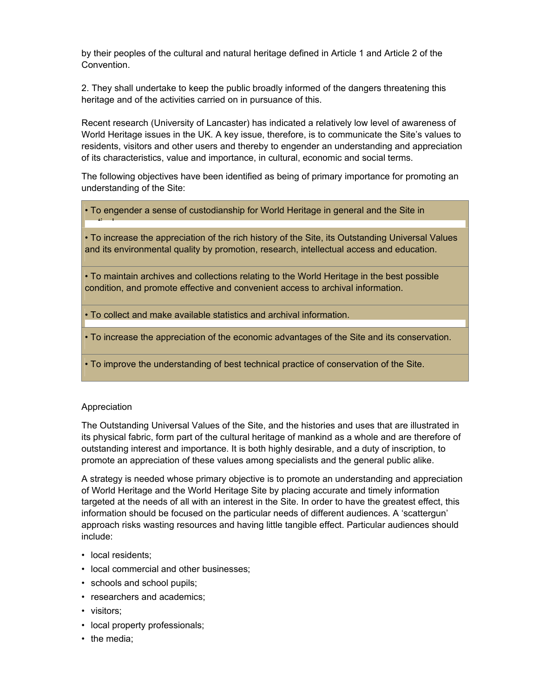by their peoples of the cultural and natural heritage defined in Article 1 and Article 2 of the Convention.

2. They shall undertake to keep the public broadly informed of the dangers threatening this heritage and of the activities carried on in pursuance of this.

Recent research (University of Lancaster) has indicated a relatively low level of awareness of World Heritage issues in the UK. A key issue, therefore, is to communicate the Site's values to residents, visitors and other users and thereby to engender an understanding and appreciation of its characteristics, value and importance, in cultural, economic and social terms.

The following objectives have been identified as being of primary importance for promoting an understanding of the Site:

• To engender a sense of custodianship for World Heritage in general and the Site in

• To increase the appreciation of the rich history of the Site, its Outstanding Universal Values and its environmental quality by promotion, research, intellectual access and education.

• To maintain archives and collections relating to the World Heritage in the best possible condition, and promote effective and convenient access to archival information.

• To collect and make available statistics and archival information.

• To increase the appreciation of the economic advantages of the Site and its conservation.

• To improve the understanding of best technical practice of conservation of the Site.

#### Appreciation

ti l

The Outstanding Universal Values of the Site, and the histories and uses that are illustrated in its physical fabric, form part of the cultural heritage of mankind as a whole and are therefore of outstanding interest and importance. It is both highly desirable, and a duty of inscription, to promote an appreciation of these values among specialists and the general public alike.

A strategy is needed whose primary objective is to promote an understanding and appreciation of World Heritage and the World Heritage Site by placing accurate and timely information targeted at the needs of all with an interest in the Site. In order to have the greatest effect, this information should be focused on the particular needs of different audiences. A 'scattergun' approach risks wasting resources and having little tangible effect. Particular audiences should include:

- local residents:
- local commercial and other businesses;
- schools and school pupils;
- researchers and academics;
- visitors;
- local property professionals;
- the media: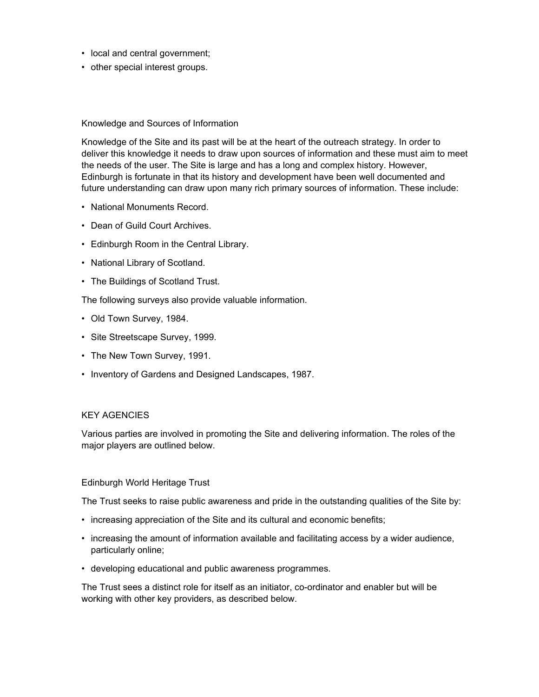- local and central government;
- other special interest groups.

# Knowledge and Sources of Information

Knowledge of the Site and its past will be at the heart of the outreach strategy. In order to deliver this knowledge it needs to draw upon sources of information and these must aim to meet the needs of the user. The Site is large and has a long and complex history. However, Edinburgh is fortunate in that its history and development have been well documented and future understanding can draw upon many rich primary sources of information. These include:

- National Monuments Record.
- Dean of Guild Court Archives.
- Edinburgh Room in the Central Library.
- National Library of Scotland.
- The Buildings of Scotland Trust.

The following surveys also provide valuable information.

- Old Town Survey, 1984.
- Site Streetscape Survey, 1999.
- The New Town Survey, 1991.
- Inventory of Gardens and Designed Landscapes, 1987.

# KEY AGENCIES

Various parties are involved in promoting the Site and delivering information. The roles of the major players are outlined below.

# Edinburgh World Heritage Trust

The Trust seeks to raise public awareness and pride in the outstanding qualities of the Site by:

- increasing appreciation of the Site and its cultural and economic benefits;
- increasing the amount of information available and facilitating access by a wider audience, particularly online;
- developing educational and public awareness programmes.

The Trust sees a distinct role for itself as an initiator, co-ordinator and enabler but will be working with other key providers, as described below.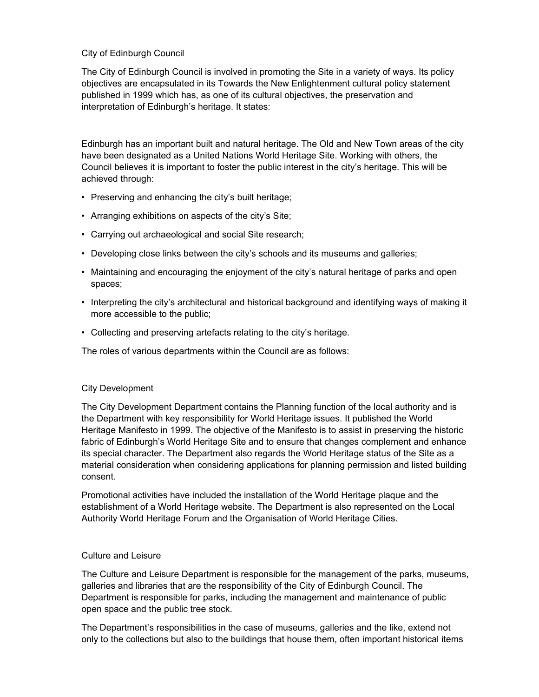# City of Edinburgh Council

The City of Edinburgh Council is involved in promoting the Site in a variety of ways. Its policy objectives are encapsulated in its Towards the New Enlightenment cultural policy statement published in 1999 which has, as one of its cultural objectives, the preservation and interpretation of Edinburgh's heritage. It states:

Edinburgh has an important built and natural heritage. The Old and New Town areas of the city have been designated as a United Nations World Heritage Site. Working with others, the Council believes it is important to foster the public interest in the city's heritage. This will be achieved through:

- Preserving and enhancing the city's built heritage;
- Arranging exhibitions on aspects of the city's Site;
- Carrying out archaeological and social Site research;
- Developing close links between the city's schools and its museums and galleries;
- Maintaining and encouraging the enjoyment of the city's natural heritage of parks and open spaces;
- Interpreting the city's architectural and historical background and identifying ways of making it more accessible to the public;
- Collecting and preserving artefacts relating to the city's heritage.

The roles of various departments within the Council are as follows:

# City Development

The City Development Department contains the Planning function of the local authority and is the Department with key responsibility for World Heritage issues. It published the World Heritage Manifesto in 1999. The objective of the Manifesto is to assist in preserving the historic fabric of Edinburgh's World Heritage Site and to ensure that changes complement and enhance its special character. The Department also regards the World Heritage status of the Site as a material consideration when considering applications for planning permission and listed building consent.

Promotional activities have included the installation of the World Heritage plaque and the establishment of a World Heritage website. The Department is also represented on the Local Authority World Heritage Forum and the Organisation of World Heritage Cities.

# Culture and Leisure

The Culture and Leisure Department is responsible for the management of the parks, museums, galleries and libraries that are the responsibility of the City of Edinburgh Council. The Department is responsible for parks, including the management and maintenance of public open space and the public tree stock.

The Department's responsibilities in the case of museums, galleries and the like, extend not only to the collections but also to the buildings that house them, often important historical items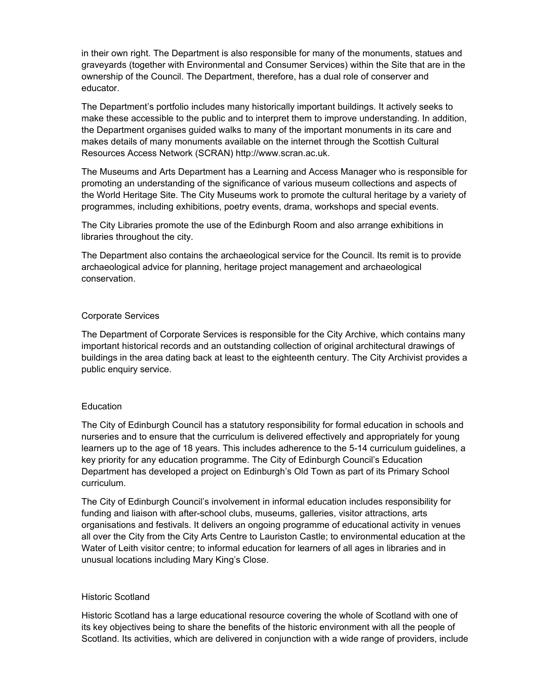in their own right. The Department is also responsible for many of the monuments, statues and graveyards (together with Environmental and Consumer Services) within the Site that are in the ownership of the Council. The Department, therefore, has a dual role of conserver and educator.

The Department's portfolio includes many historically important buildings. It actively seeks to make these accessible to the public and to interpret them to improve understanding. In addition, the Department organises guided walks to many of the important monuments in its care and makes details of many monuments available on the internet through the Scottish Cultural Resources Access Network (SCRAN) http://www.scran.ac.uk.

The Museums and Arts Department has a Learning and Access Manager who is responsible for promoting an understanding of the significance of various museum collections and aspects of the World Heritage Site. The City Museums work to promote the cultural heritage by a variety of programmes, including exhibitions, poetry events, drama, workshops and special events.

The City Libraries promote the use of the Edinburgh Room and also arrange exhibitions in libraries throughout the city.

The Department also contains the archaeological service for the Council. Its remit is to provide archaeological advice for planning, heritage project management and archaeological conservation.

#### Corporate Services

The Department of Corporate Services is responsible for the City Archive, which contains many important historical records and an outstanding collection of original architectural drawings of buildings in the area dating back at least to the eighteenth century. The City Archivist provides a public enquiry service.

# **Education**

The City of Edinburgh Council has a statutory responsibility for formal education in schools and nurseries and to ensure that the curriculum is delivered effectively and appropriately for young learners up to the age of 18 years. This includes adherence to the 5-14 curriculum guidelines, a key priority for any education programme. The City of Edinburgh Council's Education Department has developed a project on Edinburgh's Old Town as part of its Primary School curriculum.

The City of Edinburgh Council's involvement in informal education includes responsibility for funding and liaison with after-school clubs, museums, galleries, visitor attractions, arts organisations and festivals. It delivers an ongoing programme of educational activity in venues all over the City from the City Arts Centre to Lauriston Castle; to environmental education at the Water of Leith visitor centre; to informal education for learners of all ages in libraries and in unusual locations including Mary King's Close.

#### Historic Scotland

Historic Scotland has a large educational resource covering the whole of Scotland with one of its key objectives being to share the benefits of the historic environment with all the people of Scotland. Its activities, which are delivered in conjunction with a wide range of providers, include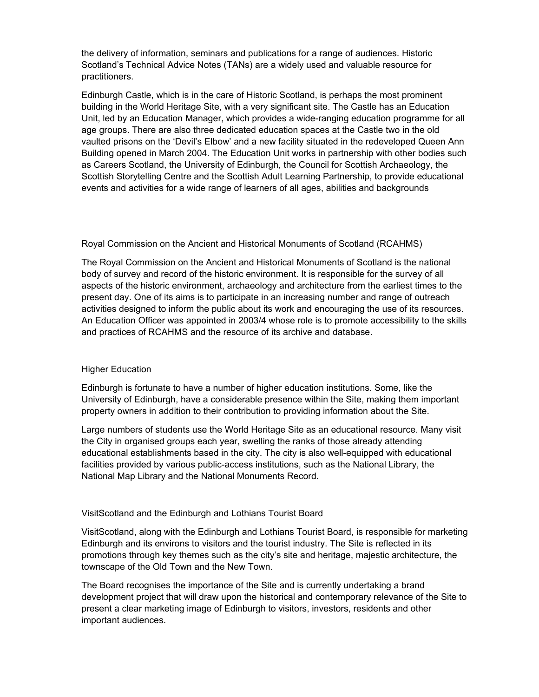the delivery of information, seminars and publications for a range of audiences. Historic Scotland's Technical Advice Notes (TANs) are a widely used and valuable resource for practitioners.

Edinburgh Castle, which is in the care of Historic Scotland, is perhaps the most prominent building in the World Heritage Site, with a very significant site. The Castle has an Education Unit, led by an Education Manager, which provides a wide-ranging education programme for all age groups. There are also three dedicated education spaces at the Castle two in the old vaulted prisons on the 'Devil's Elbow' and a new facility situated in the redeveloped Queen Ann Building opened in March 2004. The Education Unit works in partnership with other bodies such as Careers Scotland, the University of Edinburgh, the Council for Scottish Archaeology, the Scottish Storytelling Centre and the Scottish Adult Learning Partnership, to provide educational events and activities for a wide range of learners of all ages, abilities and backgrounds

#### Royal Commission on the Ancient and Historical Monuments of Scotland (RCAHMS)

The Royal Commission on the Ancient and Historical Monuments of Scotland is the national body of survey and record of the historic environment. It is responsible for the survey of all aspects of the historic environment, archaeology and architecture from the earliest times to the present day. One of its aims is to participate in an increasing number and range of outreach activities designed to inform the public about its work and encouraging the use of its resources. An Education Officer was appointed in 2003/4 whose role is to promote accessibility to the skills and practices of RCAHMS and the resource of its archive and database.

#### Higher Education

Edinburgh is fortunate to have a number of higher education institutions. Some, like the University of Edinburgh, have a considerable presence within the Site, making them important property owners in addition to their contribution to providing information about the Site.

Large numbers of students use the World Heritage Site as an educational resource. Many visit the City in organised groups each year, swelling the ranks of those already attending educational establishments based in the city. The city is also well-equipped with educational facilities provided by various public-access institutions, such as the National Library, the National Map Library and the National Monuments Record.

# VisitScotland and the Edinburgh and Lothians Tourist Board

VisitScotland, along with the Edinburgh and Lothians Tourist Board, is responsible for marketing Edinburgh and its environs to visitors and the tourist industry. The Site is reflected in its promotions through key themes such as the city's site and heritage, majestic architecture, the townscape of the Old Town and the New Town.

The Board recognises the importance of the Site and is currently undertaking a brand development project that will draw upon the historical and contemporary relevance of the Site to present a clear marketing image of Edinburgh to visitors, investors, residents and other important audiences.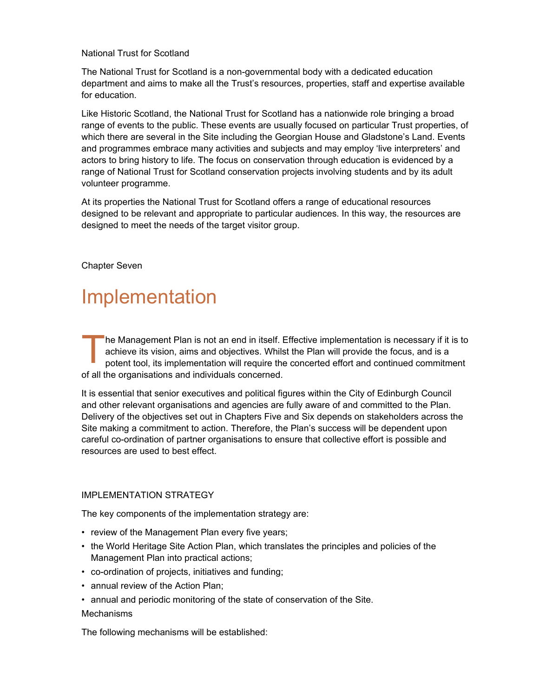# National Trust for Scotland

The National Trust for Scotland is a non-governmental body with a dedicated education department and aims to make all the Trust's resources, properties, staff and expertise available for education.

Like Historic Scotland, the National Trust for Scotland has a nationwide role bringing a broad range of events to the public. These events are usually focused on particular Trust properties, of which there are several in the Site including the Georgian House and Gladstone's Land. Events and programmes embrace many activities and subjects and may employ 'live interpreters' and actors to bring history to life. The focus on conservation through education is evidenced by a range of National Trust for Scotland conservation projects involving students and by its adult volunteer programme.

At its properties the National Trust for Scotland offers a range of educational resources designed to be relevant and appropriate to particular audiences. In this way, the resources are designed to meet the needs of the target visitor group.

Chapter Seven

# Implementation

he Management Plan is not an end in itself. Effective implementation is necessary if it is to achieve its vision, aims and objectives. Whilst the Plan will provide the focus, and is a potent tool, its implementation will require the concerted effort and continued commitment of all the organisations and individuals concerned.  $\prod_{\text{pc}}^{\text{he}}$ 

It is essential that senior executives and political figures within the City of Edinburgh Council and other relevant organisations and agencies are fully aware of and committed to the Plan. Delivery of the objectives set out in Chapters Five and Six depends on stakeholders across the Site making a commitment to action. Therefore, the Plan's success will be dependent upon careful co-ordination of partner organisations to ensure that collective effort is possible and resources are used to best effect.

# IMPLEMENTATION STRATEGY

The key components of the implementation strategy are:

- review of the Management Plan every five years;
- the World Heritage Site Action Plan, which translates the principles and policies of the Management Plan into practical actions;
- co-ordination of projects, initiatives and funding;
- annual review of the Action Plan;
- annual and periodic monitoring of the state of conservation of the Site.

#### Mechanisms

The following mechanisms will be established: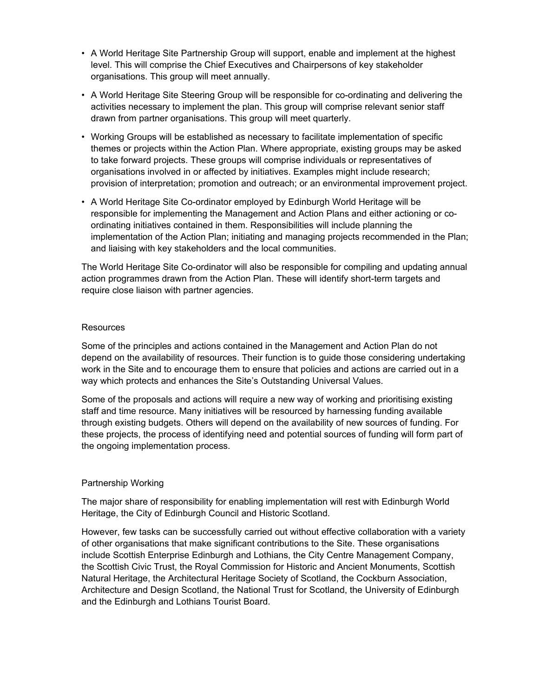- A World Heritage Site Partnership Group will support, enable and implement at the highest level. This will comprise the Chief Executives and Chairpersons of key stakeholder organisations. This group will meet annually.
- A World Heritage Site Steering Group will be responsible for co-ordinating and delivering the activities necessary to implement the plan. This group will comprise relevant senior staff drawn from partner organisations. This group will meet quarterly.
- Working Groups will be established as necessary to facilitate implementation of specific themes or projects within the Action Plan. Where appropriate, existing groups may be asked to take forward projects. These groups will comprise individuals or representatives of organisations involved in or affected by initiatives. Examples might include research; provision of interpretation; promotion and outreach; or an environmental improvement project.
- A World Heritage Site Co-ordinator employed by Edinburgh World Heritage will be responsible for implementing the Management and Action Plans and either actioning or coordinating initiatives contained in them. Responsibilities will include planning the implementation of the Action Plan; initiating and managing projects recommended in the Plan; and liaising with key stakeholders and the local communities.

The World Heritage Site Co-ordinator will also be responsible for compiling and updating annual action programmes drawn from the Action Plan. These will identify short-term targets and require close liaison with partner agencies.

#### **Resources**

Some of the principles and actions contained in the Management and Action Plan do not depend on the availability of resources. Their function is to guide those considering undertaking work in the Site and to encourage them to ensure that policies and actions are carried out in a way which protects and enhances the Site's Outstanding Universal Values.

Some of the proposals and actions will require a new way of working and prioritising existing staff and time resource. Many initiatives will be resourced by harnessing funding available through existing budgets. Others will depend on the availability of new sources of funding. For these projects, the process of identifying need and potential sources of funding will form part of the ongoing implementation process.

# Partnership Working

The major share of responsibility for enabling implementation will rest with Edinburgh World Heritage, the City of Edinburgh Council and Historic Scotland.

However, few tasks can be successfully carried out without effective collaboration with a variety of other organisations that make significant contributions to the Site. These organisations include Scottish Enterprise Edinburgh and Lothians, the City Centre Management Company, the Scottish Civic Trust, the Royal Commission for Historic and Ancient Monuments, Scottish Natural Heritage, the Architectural Heritage Society of Scotland, the Cockburn Association, Architecture and Design Scotland, the National Trust for Scotland, the University of Edinburgh and the Edinburgh and Lothians Tourist Board.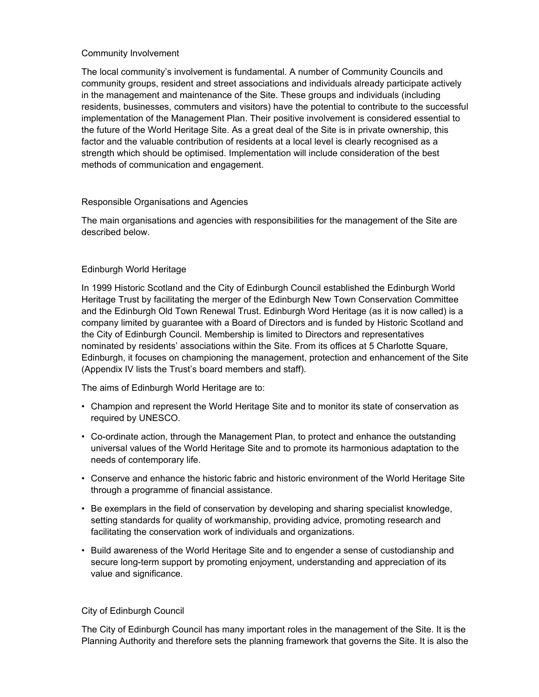# Community Involvement

The local community's involvement is fundamental. A number of Community Councils and community groups, resident and street associations and individuals already participate actively in the management and maintenance of the Site. These groups and individuals (including residents, businesses, commuters and visitors) have the potential to contribute to the successful implementation of the Management Plan. Their positive involvement is considered essential to the future of the World Heritage Site. As a great deal of the Site is in private ownership, this factor and the valuable contribution of residents at a local level is clearly recognised as a strength which should be optimised. Implementation will include consideration of the best methods of communication and engagement.

# Responsible Organisations and Agencies

The main organisations and agencies with responsibilities for the management of the Site are described below.

# Edinburgh World Heritage

In 1999 Historic Scotland and the City of Edinburgh Council established the Edinburgh World Heritage Trust by facilitating the merger of the Edinburgh New Town Conservation Committee and the Edinburgh Old Town Renewal Trust. Edinburgh Word Heritage (as it is now called) is a company limited by guarantee with a Board of Directors and is funded by Historic Scotland and the City of Edinburgh Council. Membership is limited to Directors and representatives nominated by residents' associations within the Site. From its offices at 5 Charlotte Square, Edinburgh, it focuses on championing the management, protection and enhancement of the Site (Appendix IV lists the Trust's board members and staff).

The aims of Edinburgh World Heritage are to:

- Champion and represent the World Heritage Site and to monitor its state of conservation as required by UNESCO.
- Co-ordinate action, through the Management Plan, to protect and enhance the outstanding universal values of the World Heritage Site and to promote its harmonious adaptation to the needs of contemporary life.
- Conserve and enhance the historic fabric and historic environment of the World Heritage Site through a programme of financial assistance.
- Be exemplars in the field of conservation by developing and sharing specialist knowledge, setting standards for quality of workmanship, providing advice, promoting research and facilitating the conservation work of individuals and organizations.
- Build awareness of the World Heritage Site and to engender a sense of custodianship and secure long-term support by promoting enjoyment, understanding and appreciation of its value and significance.

# City of Edinburgh Council

The City of Edinburgh Council has many important roles in the management of the Site. It is the Planning Authority and therefore sets the planning framework that governs the Site. It is also the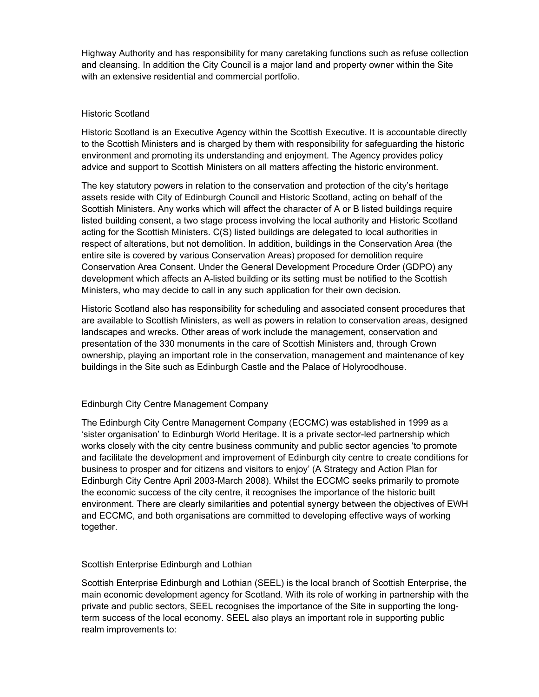Highway Authority and has responsibility for many caretaking functions such as refuse collection and cleansing. In addition the City Council is a major land and property owner within the Site with an extensive residential and commercial portfolio.

#### Historic Scotland

Historic Scotland is an Executive Agency within the Scottish Executive. It is accountable directly to the Scottish Ministers and is charged by them with responsibility for safeguarding the historic environment and promoting its understanding and enjoyment. The Agency provides policy advice and support to Scottish Ministers on all matters affecting the historic environment.

The key statutory powers in relation to the conservation and protection of the city's heritage assets reside with City of Edinburgh Council and Historic Scotland, acting on behalf of the Scottish Ministers. Any works which will affect the character of A or B listed buildings require listed building consent, a two stage process involving the local authority and Historic Scotland acting for the Scottish Ministers. C(S) listed buildings are delegated to local authorities in respect of alterations, but not demolition. In addition, buildings in the Conservation Area (the entire site is covered by various Conservation Areas) proposed for demolition require Conservation Area Consent. Under the General Development Procedure Order (GDPO) any development which affects an A-listed building or its setting must be notified to the Scottish Ministers, who may decide to call in any such application for their own decision.

Historic Scotland also has responsibility for scheduling and associated consent procedures that are available to Scottish Ministers, as well as powers in relation to conservation areas, designed landscapes and wrecks. Other areas of work include the management, conservation and presentation of the 330 monuments in the care of Scottish Ministers and, through Crown ownership, playing an important role in the conservation, management and maintenance of key buildings in the Site such as Edinburgh Castle and the Palace of Holyroodhouse.

#### Edinburgh City Centre Management Company

The Edinburgh City Centre Management Company (ECCMC) was established in 1999 as a 'sister organisation' to Edinburgh World Heritage. It is a private sector-led partnership which works closely with the city centre business community and public sector agencies 'to promote and facilitate the development and improvement of Edinburgh city centre to create conditions for business to prosper and for citizens and visitors to enjoy' (A Strategy and Action Plan for Edinburgh City Centre April 2003-March 2008). Whilst the ECCMC seeks primarily to promote the economic success of the city centre, it recognises the importance of the historic built environment. There are clearly similarities and potential synergy between the objectives of EWH and ECCMC, and both organisations are committed to developing effective ways of working together.

#### Scottish Enterprise Edinburgh and Lothian

Scottish Enterprise Edinburgh and Lothian (SEEL) is the local branch of Scottish Enterprise, the main economic development agency for Scotland. With its role of working in partnership with the private and public sectors, SEEL recognises the importance of the Site in supporting the longterm success of the local economy. SEEL also plays an important role in supporting public realm improvements to: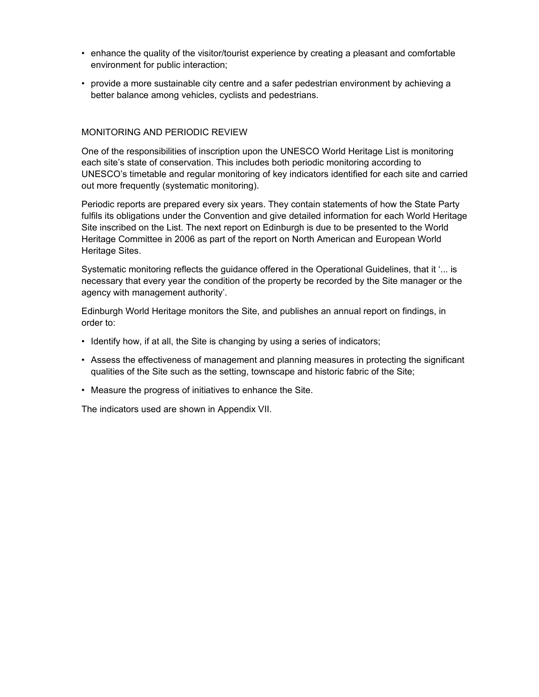- enhance the quality of the visitor/tourist experience by creating a pleasant and comfortable environment for public interaction;
- provide a more sustainable city centre and a safer pedestrian environment by achieving a better balance among vehicles, cyclists and pedestrians.

# MONITORING AND PERIODIC REVIEW

One of the responsibilities of inscription upon the UNESCO World Heritage List is monitoring each site's state of conservation. This includes both periodic monitoring according to UNESCO's timetable and regular monitoring of key indicators identified for each site and carried out more frequently (systematic monitoring).

Periodic reports are prepared every six years. They contain statements of how the State Party fulfils its obligations under the Convention and give detailed information for each World Heritage Site inscribed on the List. The next report on Edinburgh is due to be presented to the World Heritage Committee in 2006 as part of the report on North American and European World Heritage Sites.

Systematic monitoring reflects the guidance offered in the Operational Guidelines, that it '... is necessary that every year the condition of the property be recorded by the Site manager or the agency with management authority'.

Edinburgh World Heritage monitors the Site, and publishes an annual report on findings, in order to:

- Identify how, if at all, the Site is changing by using a series of indicators;
- Assess the effectiveness of management and planning measures in protecting the significant qualities of the Site such as the setting, townscape and historic fabric of the Site;
- Measure the progress of initiatives to enhance the Site.

The indicators used are shown in Appendix VII.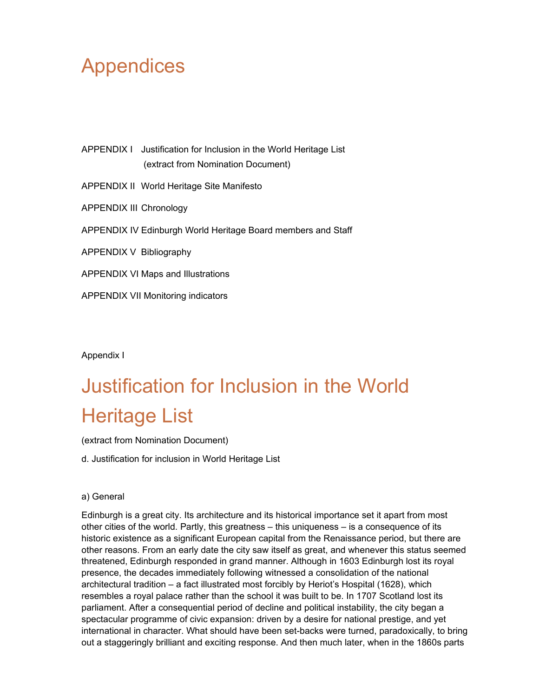# Appendices

APPENDIX I Justification for Inclusion in the World Heritage List (extract from Nomination Document) APPENDIX II World Heritage Site Manifesto APPENDIX III Chronology APPENDIX IV Edinburgh World Heritage Board members and Staff APPENDIX V Bibliography

APPENDIX VI Maps and Illustrations

APPENDIX VII Monitoring indicators

Appendix I

# Justification for Inclusion in the World Heritage List

(extract from Nomination Document)

d. Justification for inclusion in World Heritage List

# a) General

Edinburgh is a great city. Its architecture and its historical importance set it apart from most other cities of the world. Partly, this greatness – this uniqueness – is a consequence of its historic existence as a significant European capital from the Renaissance period, but there are other reasons. From an early date the city saw itself as great, and whenever this status seemed threatened, Edinburgh responded in grand manner. Although in 1603 Edinburgh lost its royal presence, the decades immediately following witnessed a consolidation of the national architectural tradition – a fact illustrated most forcibly by Heriot's Hospital (1628), which resembles a royal palace rather than the school it was built to be. In 1707 Scotland lost its parliament. After a consequential period of decline and political instability, the city began a spectacular programme of civic expansion: driven by a desire for national prestige, and yet international in character. What should have been set-backs were turned, paradoxically, to bring out a staggeringly brilliant and exciting response. And then much later, when in the 1860s parts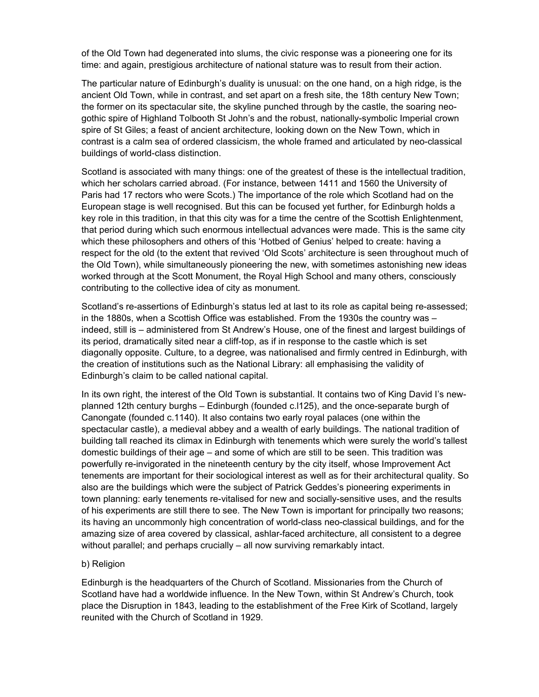of the Old Town had degenerated into slums, the civic response was a pioneering one for its time: and again, prestigious architecture of national stature was to result from their action.

The particular nature of Edinburgh's duality is unusual: on the one hand, on a high ridge, is the ancient Old Town, while in contrast, and set apart on a fresh site, the 18th century New Town; the former on its spectacular site, the skyline punched through by the castle, the soaring neogothic spire of Highland Tolbooth St John's and the robust, nationally-symbolic Imperial crown spire of St Giles; a feast of ancient architecture, looking down on the New Town, which in contrast is a calm sea of ordered classicism, the whole framed and articulated by neo-classical buildings of world-class distinction.

Scotland is associated with many things: one of the greatest of these is the intellectual tradition, which her scholars carried abroad. (For instance, between 1411 and 1560 the University of Paris had 17 rectors who were Scots.) The importance of the role which Scotland had on the European stage is well recognised. But this can be focused yet further, for Edinburgh holds a key role in this tradition, in that this city was for a time the centre of the Scottish Enlightenment, that period during which such enormous intellectual advances were made. This is the same city which these philosophers and others of this 'Hotbed of Genius' helped to create: having a respect for the old (to the extent that revived 'Old Scots' architecture is seen throughout much of the Old Town), while simultaneously pioneering the new, with sometimes astonishing new ideas worked through at the Scott Monument, the Royal High School and many others, consciously contributing to the collective idea of city as monument.

Scotland's re-assertions of Edinburgh's status led at last to its role as capital being re-assessed; in the 1880s, when a Scottish Office was established. From the 1930s the country was – indeed, still is – administered from St Andrew's House, one of the finest and largest buildings of its period, dramatically sited near a cliff-top, as if in response to the castle which is set diagonally opposite. Culture, to a degree, was nationalised and firmly centred in Edinburgh, with the creation of institutions such as the National Library: all emphasising the validity of Edinburgh's claim to be called national capital.

In its own right, the interest of the Old Town is substantial. It contains two of King David I's newplanned 12th century burghs – Edinburgh (founded c.l125), and the once-separate burgh of Canongate (founded c.1140). It also contains two early royal palaces (one within the spectacular castle), a medieval abbey and a wealth of early buildings. The national tradition of building tall reached its climax in Edinburgh with tenements which were surely the world's tallest domestic buildings of their age – and some of which are still to be seen. This tradition was powerfully re-invigorated in the nineteenth century by the city itself, whose Improvement Act tenements are important for their sociological interest as well as for their architectural quality. So also are the buildings which were the subject of Patrick Geddes's pioneering experiments in town planning: early tenements re-vitalised for new and socially-sensitive uses, and the results of his experiments are still there to see. The New Town is important for principally two reasons; its having an uncommonly high concentration of world-class neo-classical buildings, and for the amazing size of area covered by classical, ashlar-faced architecture, all consistent to a degree without parallel; and perhaps crucially – all now surviving remarkably intact.

#### b) Religion

Edinburgh is the headquarters of the Church of Scotland. Missionaries from the Church of Scotland have had a worldwide influence. In the New Town, within St Andrew's Church, took place the Disruption in 1843, leading to the establishment of the Free Kirk of Scotland, largely reunited with the Church of Scotland in 1929.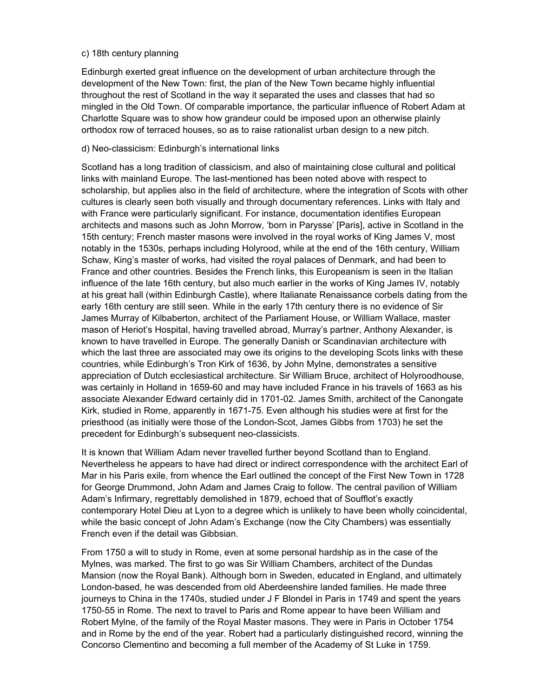#### c) 18th century planning

Edinburgh exerted great influence on the development of urban architecture through the development of the New Town: first, the plan of the New Town became highly influential throughout the rest of Scotland in the way it separated the uses and classes that had so mingled in the Old Town. Of comparable importance, the particular influence of Robert Adam at Charlotte Square was to show how grandeur could be imposed upon an otherwise plainly orthodox row of terraced houses, so as to raise rationalist urban design to a new pitch.

#### d) Neo-classicism: Edinburgh's international links

Scotland has a long tradition of classicism, and also of maintaining close cultural and political links with mainland Europe. The last-mentioned has been noted above with respect to scholarship, but applies also in the field of architecture, where the integration of Scots with other cultures is clearly seen both visually and through documentary references. Links with Italy and with France were particularly significant. For instance, documentation identifies European architects and masons such as John Morrow, 'born in Parysse' [Paris], active in Scotland in the 15th century; French master masons were involved in the royal works of King James V, most notably in the 1530s, perhaps including Holyrood, while at the end of the 16th century, William Schaw, King's master of works, had visited the royal palaces of Denmark, and had been to France and other countries. Besides the French links, this Europeanism is seen in the Italian influence of the late 16th century, but also much earlier in the works of King James IV, notably at his great hall (within Edinburgh Castle), where Italianate Renaissance corbels dating from the early 16th century are still seen. While in the early 17th century there is no evidence of Sir James Murray of Kilbaberton, architect of the Parliament House, or William Wallace, master mason of Heriot's Hospital, having travelled abroad, Murray's partner, Anthony Alexander, is known to have travelled in Europe. The generally Danish or Scandinavian architecture with which the last three are associated may owe its origins to the developing Scots links with these countries, while Edinburgh's Tron Kirk of 1636, by John Mylne, demonstrates a sensitive appreciation of Dutch ecclesiastical architecture. Sir William Bruce, architect of Holyroodhouse, was certainly in Holland in 1659-60 and may have included France in his travels of 1663 as his associate Alexander Edward certainly did in 1701-02. James Smith, architect of the Canongate Kirk, studied in Rome, apparently in 1671-75. Even although his studies were at first for the priesthood (as initially were those of the London-Scot, James Gibbs from 1703) he set the precedent for Edinburgh's subsequent neo-classicists.

It is known that William Adam never travelled further beyond Scotland than to England. Nevertheless he appears to have had direct or indirect correspondence with the architect Earl of Mar in his Paris exile, from whence the Earl outlined the concept of the First New Town in 1728 for George Drummond, John Adam and James Craig to follow. The central pavilion of William Adam's Infirmary, regrettably demolished in 1879, echoed that of Soufflot's exactly contemporary Hotel Dieu at Lyon to a degree which is unlikely to have been wholly coincidental, while the basic concept of John Adam's Exchange (now the City Chambers) was essentially French even if the detail was Gibbsian.

From 1750 a will to study in Rome, even at some personal hardship as in the case of the Mylnes, was marked. The first to go was Sir William Chambers, architect of the Dundas Mansion (now the Royal Bank). Although born in Sweden, educated in England, and ultimately London-based, he was descended from old Aberdeenshire landed families. He made three journeys to China in the 1740s, studied under J F Blondel in Paris in 1749 and spent the years 1750-55 in Rome. The next to travel to Paris and Rome appear to have been William and Robert Mylne, of the family of the Royal Master masons. They were in Paris in October 1754 and in Rome by the end of the year. Robert had a particularly distinguished record, winning the Concorso Clementino and becoming a full member of the Academy of St Luke in 1759.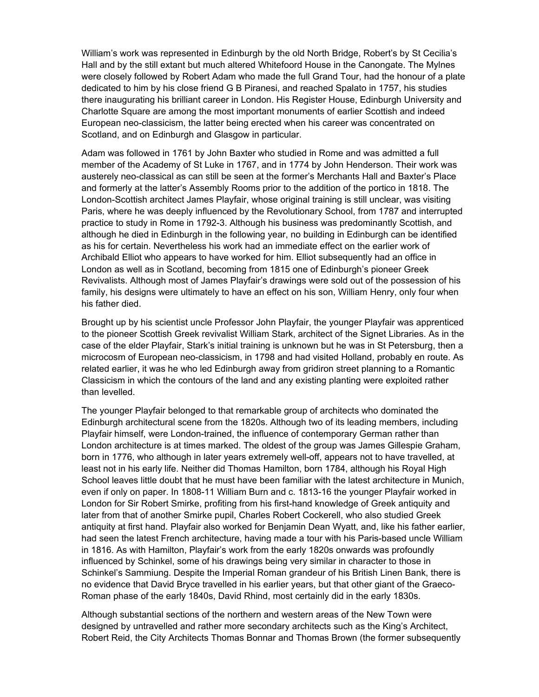William's work was represented in Edinburgh by the old North Bridge, Robert's by St Cecilia's Hall and by the still extant but much altered Whitefoord House in the Canongate. The Mylnes were closely followed by Robert Adam who made the full Grand Tour, had the honour of a plate dedicated to him by his close friend G B Piranesi, and reached Spalato in 1757, his studies there inaugurating his brilliant career in London. His Register House, Edinburgh University and Charlotte Square are among the most important monuments of earlier Scottish and indeed European neo-classicism, the latter being erected when his career was concentrated on Scotland, and on Edinburgh and Glasgow in particular.

Adam was followed in 1761 by John Baxter who studied in Rome and was admitted a full member of the Academy of St Luke in 1767, and in 1774 by John Henderson. Their work was austerely neo-classical as can still be seen at the former's Merchants Hall and Baxter's Place and formerly at the latter's Assembly Rooms prior to the addition of the portico in 1818. The London-Scottish architect James Playfair, whose original training is still unclear, was visiting Paris, where he was deeply influenced by the Revolutionary School, from 1787 and interrupted practice to study in Rome in 1792-3. Although his business was predominantly Scottish, and although he died in Edinburgh in the following year, no building in Edinburgh can be identified as his for certain. Nevertheless his work had an immediate effect on the earlier work of Archibald Elliot who appears to have worked for him. Elliot subsequently had an office in London as well as in Scotland, becoming from 1815 one of Edinburgh's pioneer Greek Revivalists. Although most of James Playfair's drawings were sold out of the possession of his family, his designs were ultimately to have an effect on his son, William Henry, only four when his father died.

Brought up by his scientist uncle Professor John Playfair, the younger Playfair was apprenticed to the pioneer Scottish Greek revivalist William Stark, architect of the Signet Libraries. As in the case of the elder Playfair, Stark's initial training is unknown but he was in St Petersburg, then a microcosm of European neo-classicism, in 1798 and had visited Holland, probably en route. As related earlier, it was he who led Edinburgh away from gridiron street planning to a Romantic Classicism in which the contours of the land and any existing planting were exploited rather than levelled.

The younger Playfair belonged to that remarkable group of architects who dominated the Edinburgh architectural scene from the 1820s. Although two of its leading members, including Playfair himself, were London-trained, the influence of contemporary German rather than London architecture is at times marked. The oldest of the group was James Gillespie Graham, born in 1776, who although in later years extremely well-off, appears not to have travelled, at least not in his early life. Neither did Thomas Hamilton, born 1784, although his Royal High School leaves little doubt that he must have been familiar with the latest architecture in Munich, even if only on paper. In 1808-11 William Burn and c. 1813-16 the younger Playfair worked in London for Sir Robert Smirke, profiting from his first-hand knowledge of Greek antiquity and later from that of another Smirke pupil, Charles Robert Cockerell, who also studied Greek antiquity at first hand. Playfair also worked for Benjamin Dean Wyatt, and, like his father earlier, had seen the latest French architecture, having made a tour with his Paris-based uncle William in 1816. As with Hamilton, Playfair's work from the early 1820s onwards was profoundly influenced by Schinkel, some of his drawings being very similar in character to those in Schinkel's Sammiung. Despite the Imperial Roman grandeur of his British Linen Bank, there is no evidence that David Bryce travelled in his earlier years, but that other giant of the Graeco-Roman phase of the early 1840s, David Rhind, most certainly did in the early 1830s.

Although substantial sections of the northern and western areas of the New Town were designed by untravelled and rather more secondary architects such as the King's Architect, Robert Reid, the City Architects Thomas Bonnar and Thomas Brown (the former subsequently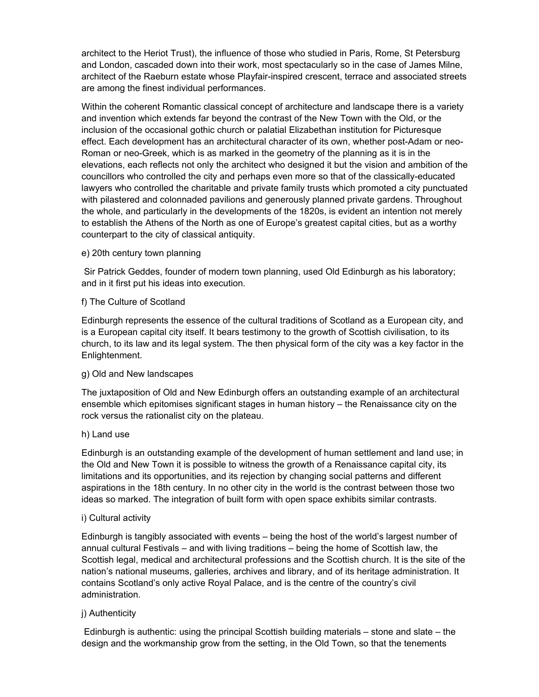architect to the Heriot Trust), the influence of those who studied in Paris, Rome, St Petersburg and London, cascaded down into their work, most spectacularly so in the case of James Milne, architect of the Raeburn estate whose Playfair-inspired crescent, terrace and associated streets are among the finest individual performances.

Within the coherent Romantic classical concept of architecture and landscape there is a variety and invention which extends far beyond the contrast of the New Town with the Old, or the inclusion of the occasional gothic church or palatial Elizabethan institution for Picturesque effect. Each development has an architectural character of its own, whether post-Adam or neo-Roman or neo-Greek, which is as marked in the geometry of the planning as it is in the elevations, each reflects not only the architect who designed it but the vision and ambition of the councillors who controlled the city and perhaps even more so that of the classically-educated lawyers who controlled the charitable and private family trusts which promoted a city punctuated with pilastered and colonnaded pavilions and generously planned private gardens. Throughout the whole, and particularly in the developments of the 1820s, is evident an intention not merely to establish the Athens of the North as one of Europe's greatest capital cities, but as a worthy counterpart to the city of classical antiquity.

e) 20th century town planning

 Sir Patrick Geddes, founder of modern town planning, used Old Edinburgh as his laboratory; and in it first put his ideas into execution.

#### f) The Culture of Scotland

Edinburgh represents the essence of the cultural traditions of Scotland as a European city, and is a European capital city itself. It bears testimony to the growth of Scottish civilisation, to its church, to its law and its legal system. The then physical form of the city was a key factor in the Enlightenment.

# g) Old and New landscapes

The juxtaposition of Old and New Edinburgh offers an outstanding example of an architectural ensemble which epitomises significant stages in human history – the Renaissance city on the rock versus the rationalist city on the plateau.

#### h) Land use

Edinburgh is an outstanding example of the development of human settlement and land use; in the Old and New Town it is possible to witness the growth of a Renaissance capital city, its limitations and its opportunities, and its rejection by changing social patterns and different aspirations in the 18th century. In no other city in the world is the contrast between those two ideas so marked. The integration of built form with open space exhibits similar contrasts.

#### i) Cultural activity

Edinburgh is tangibly associated with events – being the host of the world's largest number of annual cultural Festivals – and with living traditions – being the home of Scottish law, the Scottish legal, medical and architectural professions and the Scottish church. It is the site of the nation's national museums, galleries, archives and library, and of its heritage administration. It contains Scotland's only active Royal Palace, and is the centre of the country's civil administration.

# j) Authenticity

 Edinburgh is authentic: using the principal Scottish building materials – stone and slate – the design and the workmanship grow from the setting, in the Old Town, so that the tenements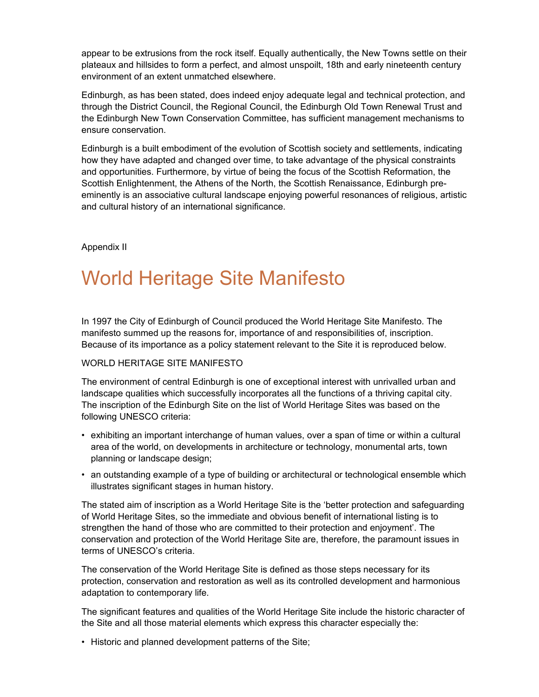appear to be extrusions from the rock itself. Equally authentically, the New Towns settle on their plateaux and hillsides to form a perfect, and almost unspoilt, 18th and early nineteenth century environment of an extent unmatched elsewhere.

Edinburgh, as has been stated, does indeed enjoy adequate legal and technical protection, and through the District Council, the Regional Council, the Edinburgh Old Town Renewal Trust and the Edinburgh New Town Conservation Committee, has sufficient management mechanisms to ensure conservation.

Edinburgh is a built embodiment of the evolution of Scottish society and settlements, indicating how they have adapted and changed over time, to take advantage of the physical constraints and opportunities. Furthermore, by virtue of being the focus of the Scottish Reformation, the Scottish Enlightenment, the Athens of the North, the Scottish Renaissance, Edinburgh preeminently is an associative cultural landscape enjoying powerful resonances of religious, artistic and cultural history of an international significance.

Appendix II

# World Heritage Site Manifesto

In 1997 the City of Edinburgh of Council produced the World Heritage Site Manifesto. The manifesto summed up the reasons for, importance of and responsibilities of, inscription. Because of its importance as a policy statement relevant to the Site it is reproduced below.

# WORLD HERITAGE SITE MANIFESTO

The environment of central Edinburgh is one of exceptional interest with unrivalled urban and landscape qualities which successfully incorporates all the functions of a thriving capital city. The inscription of the Edinburgh Site on the list of World Heritage Sites was based on the following UNESCO criteria:

- exhibiting an important interchange of human values, over a span of time or within a cultural area of the world, on developments in architecture or technology, monumental arts, town planning or landscape design;
- an outstanding example of a type of building or architectural or technological ensemble which illustrates significant stages in human history.

The stated aim of inscription as a World Heritage Site is the 'better protection and safeguarding of World Heritage Sites, so the immediate and obvious benefit of international listing is to strengthen the hand of those who are committed to their protection and enjoyment'. The conservation and protection of the World Heritage Site are, therefore, the paramount issues in terms of UNESCO's criteria.

The conservation of the World Heritage Site is defined as those steps necessary for its protection, conservation and restoration as well as its controlled development and harmonious adaptation to contemporary life.

The significant features and qualities of the World Heritage Site include the historic character of the Site and all those material elements which express this character especially the:

• Historic and planned development patterns of the Site;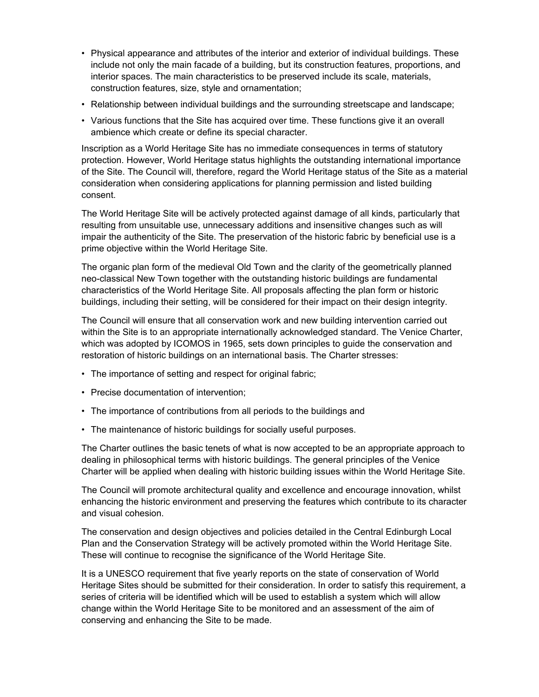- Physical appearance and attributes of the interior and exterior of individual buildings. These include not only the main facade of a building, but its construction features, proportions, and interior spaces. The main characteristics to be preserved include its scale, materials, construction features, size, style and ornamentation;
- Relationship between individual buildings and the surrounding streetscape and landscape;
- Various functions that the Site has acquired over time. These functions give it an overall ambience which create or define its special character.

Inscription as a World Heritage Site has no immediate consequences in terms of statutory protection. However, World Heritage status highlights the outstanding international importance of the Site. The Council will, therefore, regard the World Heritage status of the Site as a material consideration when considering applications for planning permission and listed building consent.

The World Heritage Site will be actively protected against damage of all kinds, particularly that resulting from unsuitable use, unnecessary additions and insensitive changes such as will impair the authenticity of the Site. The preservation of the historic fabric by beneficial use is a prime objective within the World Heritage Site.

The organic plan form of the medieval Old Town and the clarity of the geometrically planned neo-classical New Town together with the outstanding historic buildings are fundamental characteristics of the World Heritage Site. All proposals affecting the plan form or historic buildings, including their setting, will be considered for their impact on their design integrity.

The Council will ensure that all conservation work and new building intervention carried out within the Site is to an appropriate internationally acknowledged standard. The Venice Charter, which was adopted by ICOMOS in 1965, sets down principles to guide the conservation and restoration of historic buildings on an international basis. The Charter stresses:

- The importance of setting and respect for original fabric;
- Precise documentation of intervention;
- The importance of contributions from all periods to the buildings and
- The maintenance of historic buildings for socially useful purposes.

The Charter outlines the basic tenets of what is now accepted to be an appropriate approach to dealing in philosophical terms with historic buildings. The general principles of the Venice Charter will be applied when dealing with historic building issues within the World Heritage Site.

The Council will promote architectural quality and excellence and encourage innovation, whilst enhancing the historic environment and preserving the features which contribute to its character and visual cohesion.

The conservation and design objectives and policies detailed in the Central Edinburgh Local Plan and the Conservation Strategy will be actively promoted within the World Heritage Site. These will continue to recognise the significance of the World Heritage Site.

It is a UNESCO requirement that five yearly reports on the state of conservation of World Heritage Sites should be submitted for their consideration. In order to satisfy this requirement, a series of criteria will be identified which will be used to establish a system which will allow change within the World Heritage Site to be monitored and an assessment of the aim of conserving and enhancing the Site to be made.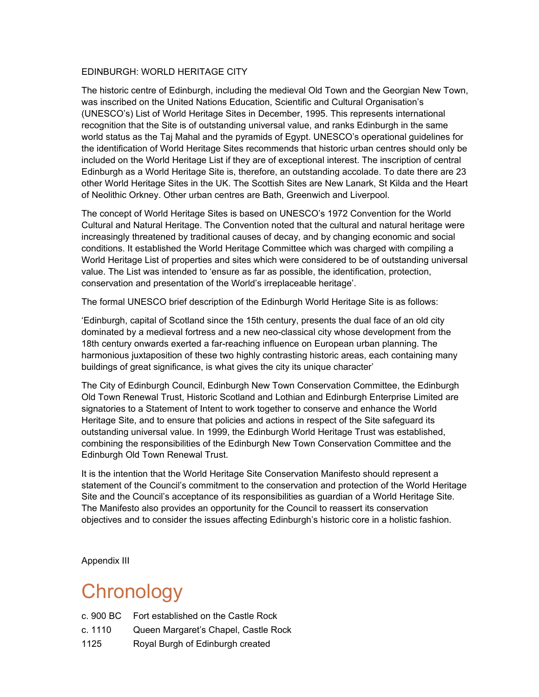#### EDINBURGH: WORLD HERITAGE CITY

The historic centre of Edinburgh, including the medieval Old Town and the Georgian New Town, was inscribed on the United Nations Education, Scientific and Cultural Organisation's (UNESCO's) List of World Heritage Sites in December, 1995. This represents international recognition that the Site is of outstanding universal value, and ranks Edinburgh in the same world status as the Taj Mahal and the pyramids of Egypt. UNESCO's operational guidelines for the identification of World Heritage Sites recommends that historic urban centres should only be included on the World Heritage List if they are of exceptional interest. The inscription of central Edinburgh as a World Heritage Site is, therefore, an outstanding accolade. To date there are 23 other World Heritage Sites in the UK. The Scottish Sites are New Lanark, St Kilda and the Heart of Neolithic Orkney. Other urban centres are Bath, Greenwich and Liverpool.

The concept of World Heritage Sites is based on UNESCO's 1972 Convention for the World Cultural and Natural Heritage. The Convention noted that the cultural and natural heritage were increasingly threatened by traditional causes of decay, and by changing economic and social conditions. It established the World Heritage Committee which was charged with compiling a World Heritage List of properties and sites which were considered to be of outstanding universal value. The List was intended to 'ensure as far as possible, the identification, protection, conservation and presentation of the World's irreplaceable heritage'.

The formal UNESCO brief description of the Edinburgh World Heritage Site is as follows:

'Edinburgh, capital of Scotland since the 15th century, presents the dual face of an old city dominated by a medieval fortress and a new neo-classical city whose development from the 18th century onwards exerted a far-reaching influence on European urban planning. The harmonious juxtaposition of these two highly contrasting historic areas, each containing many buildings of great significance, is what gives the city its unique character'

The City of Edinburgh Council, Edinburgh New Town Conservation Committee, the Edinburgh Old Town Renewal Trust, Historic Scotland and Lothian and Edinburgh Enterprise Limited are signatories to a Statement of Intent to work together to conserve and enhance the World Heritage Site, and to ensure that policies and actions in respect of the Site safeguard its outstanding universal value. In 1999, the Edinburgh World Heritage Trust was established, combining the responsibilities of the Edinburgh New Town Conservation Committee and the Edinburgh Old Town Renewal Trust.

It is the intention that the World Heritage Site Conservation Manifesto should represent a statement of the Council's commitment to the conservation and protection of the World Heritage Site and the Council's acceptance of its responsibilities as guardian of a World Heritage Site. The Manifesto also provides an opportunity for the Council to reassert its conservation objectives and to consider the issues affecting Edinburgh's historic core in a holistic fashion.

Appendix III

# **Chronology**

|           | c. 900 BC Fort established on the Castle Rock |
|-----------|-----------------------------------------------|
| c. 1110 . | Queen Margaret's Chapel, Castle Rock          |
| 1125      | Royal Burgh of Edinburgh created              |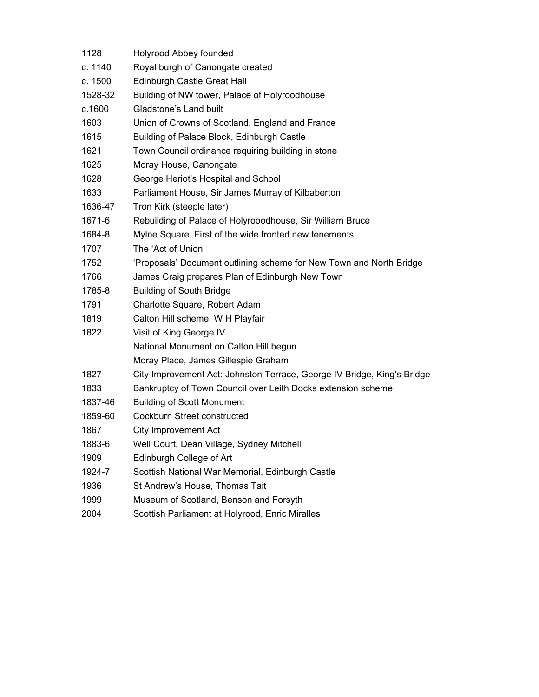| 1128    | Holyrood Abbey founded                                                  |
|---------|-------------------------------------------------------------------------|
| c. 1140 | Royal burgh of Canongate created                                        |
| c. 1500 | Edinburgh Castle Great Hall                                             |
| 1528-32 | Building of NW tower, Palace of Holyroodhouse                           |
| c.1600  | Gladstone's Land built                                                  |
| 1603    | Union of Crowns of Scotland, England and France                         |
| 1615    | Building of Palace Block, Edinburgh Castle                              |
| 1621    | Town Council ordinance requiring building in stone                      |
| 1625    | Moray House, Canongate                                                  |
| 1628    | George Heriot's Hospital and School                                     |
| 1633    | Parliament House, Sir James Murray of Kilbaberton                       |
| 1636-47 | Tron Kirk (steeple later)                                               |
| 1671-6  | Rebuilding of Palace of Holyrooodhouse, Sir William Bruce               |
| 1684-8  | Mylne Square. First of the wide fronted new tenements                   |
| 1707    | The 'Act of Union'                                                      |
| 1752    | 'Proposals' Document outlining scheme for New Town and North Bridge     |
| 1766    | James Craig prepares Plan of Edinburgh New Town                         |
| 1785-8  | <b>Building of South Bridge</b>                                         |
| 1791    | Charlotte Square, Robert Adam                                           |
| 1819    | Calton Hill scheme, W H Playfair                                        |
| 1822    | Visit of King George IV                                                 |
|         | National Monument on Calton Hill begun                                  |
|         | Moray Place, James Gillespie Graham                                     |
| 1827    | City Improvement Act: Johnston Terrace, George IV Bridge, King's Bridge |
| 1833    | Bankruptcy of Town Council over Leith Docks extension scheme            |
| 1837-46 | <b>Building of Scott Monument</b>                                       |
| 1859-60 | Cockburn Street constructed                                             |
| 1867    | <b>City Improvement Act</b>                                             |
| 1883-6  | Well Court, Dean Village, Sydney Mitchell                               |
| 1909    | Edinburgh College of Art                                                |
| 1924-7  | Scottish National War Memorial, Edinburgh Castle                        |
| 1936    | St Andrew's House, Thomas Tait                                          |
| 1999    | Museum of Scotland, Benson and Forsyth                                  |
| 2004    | Scottish Parliament at Holyrood, Enric Miralles                         |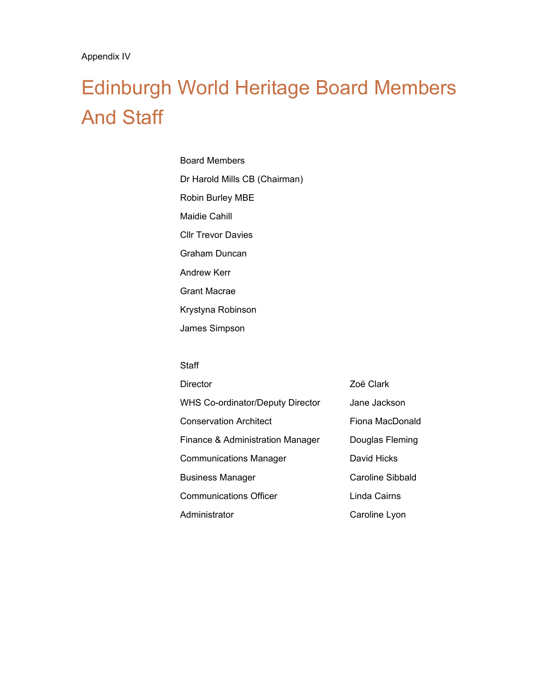# Edinburgh World Heritage Board Members And Staff

Board Members Dr Harold Mills CB (Chairman) Robin Burley MBE Maidie Cahill Cllr Trevor Davies Graham Duncan Andrew Kerr Grant Macrae Krystyna Robinson James Simpson

#### **Staff**

| <b>Director</b>                         | Zoë Clark        |
|-----------------------------------------|------------------|
| <b>WHS Co-ordinator/Deputy Director</b> | Jane Jackson     |
| <b>Conservation Architect</b>           | Fiona MacDonald  |
| Finance & Administration Manager        | Douglas Fleming  |
| <b>Communications Manager</b>           | David Hicks      |
| <b>Business Manager</b>                 | Caroline Sibbald |
| <b>Communications Officer</b>           | Linda Cairns     |
| Administrator                           | Caroline Lyon    |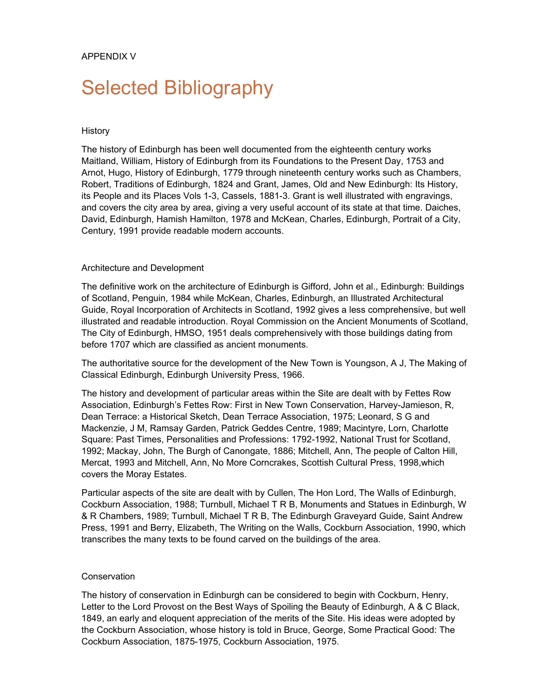# Selected Bibliography

#### **History**

The history of Edinburgh has been well documented from the eighteenth century works Maitland, William, History of Edinburgh from its Foundations to the Present Day, 1753 and Arnot, Hugo, History of Edinburgh, 1779 through nineteenth century works such as Chambers, Robert, Traditions of Edinburgh, 1824 and Grant, James, Old and New Edinburgh: Its History, its People and its Places Vols 1-3, Cassels, 1881-3. Grant is well illustrated with engravings, and covers the city area by area, giving a very useful account of its state at that time. Daiches, David, Edinburgh, Hamish Hamilton, 1978 and McKean, Charles, Edinburgh, Portrait of a City, Century, 1991 provide readable modern accounts.

#### Architecture and Development

The definitive work on the architecture of Edinburgh is Gifford, John et al., Edinburgh: Buildings of Scotland, Penguin, 1984 while McKean, Charles, Edinburgh, an Illustrated Architectural Guide, Royal Incorporation of Architects in Scotland, 1992 gives a less comprehensive, but well illustrated and readable introduction. Royal Commission on the Ancient Monuments of Scotland, The City of Edinburgh, HMSO, 1951 deals comprehensively with those buildings dating from before 1707 which are classified as ancient monuments.

The authoritative source for the development of the New Town is Youngson, A J, The Making of Classical Edinburgh, Edinburgh University Press, 1966.

The history and development of particular areas within the Site are dealt with by Fettes Row Association, Edinburgh's Fettes Row: First in New Town Conservation, Harvey-Jamieson, R, Dean Terrace: a Historical Sketch, Dean Terrace Association, 1975; Leonard, S G and Mackenzie, J M, Ramsay Garden, Patrick Geddes Centre, 1989; Macintyre, Lorn, Charlotte Square: Past Times, Personalities and Professions: 1792-1992, National Trust for Scotland, 1992; Mackay, John, The Burgh of Canongate, 1886; Mitchell, Ann, The people of Calton Hill, Mercat, 1993 and Mitchell, Ann, No More Corncrakes, Scottish Cultural Press, 1998,which covers the Moray Estates.

Particular aspects of the site are dealt with by Cullen, The Hon Lord, The Walls of Edinburgh, Cockburn Association, 1988; Turnbull, Michael T R B, Monuments and Statues in Edinburgh, W & R Chambers, 1989; Turnbull, Michael T R B, The Edinburgh Graveyard Guide, Saint Andrew Press, 1991 and Berry, Elizabeth, The Writing on the Walls, Cockburn Association, 1990, which transcribes the many texts to be found carved on the buildings of the area.

# **Conservation**

The history of conservation in Edinburgh can be considered to begin with Cockburn, Henry, Letter to the Lord Provost on the Best Ways of Spoiling the Beauty of Edinburgh, A & C Black, 1849, an early and eloquent appreciation of the merits of the Site. His ideas were adopted by the Cockburn Association, whose history is told in Bruce, George, Some Practical Good: The Cockburn Association, 1875-1975, Cockburn Association, 1975.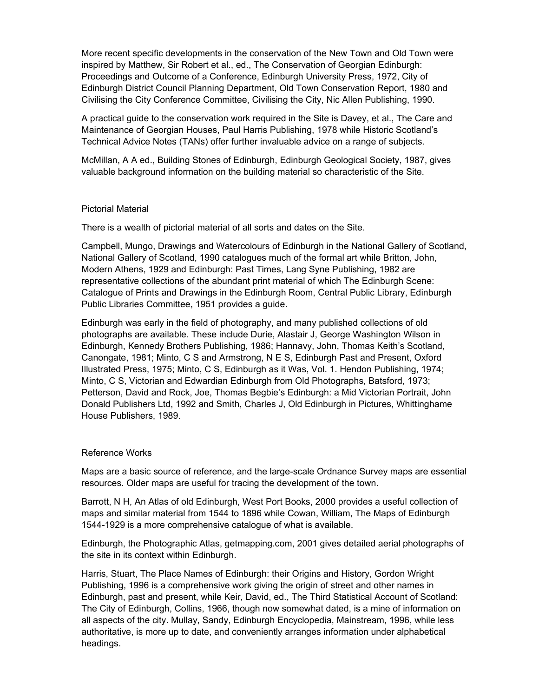More recent specific developments in the conservation of the New Town and Old Town were inspired by Matthew, Sir Robert et al., ed., The Conservation of Georgian Edinburgh: Proceedings and Outcome of a Conference, Edinburgh University Press, 1972, City of Edinburgh District Council Planning Department, Old Town Conservation Report, 1980 and Civilising the City Conference Committee, Civilising the City, Nic Allen Publishing, 1990.

A practical guide to the conservation work required in the Site is Davey, et al., The Care and Maintenance of Georgian Houses, Paul Harris Publishing, 1978 while Historic Scotland's Technical Advice Notes (TANs) offer further invaluable advice on a range of subjects.

McMillan, A A ed., Building Stones of Edinburgh, Edinburgh Geological Society, 1987, gives valuable background information on the building material so characteristic of the Site.

#### Pictorial Material

There is a wealth of pictorial material of all sorts and dates on the Site.

Campbell, Mungo, Drawings and Watercolours of Edinburgh in the National Gallery of Scotland, National Gallery of Scotland, 1990 catalogues much of the formal art while Britton, John, Modern Athens, 1929 and Edinburgh: Past Times, Lang Syne Publishing, 1982 are representative collections of the abundant print material of which The Edinburgh Scene: Catalogue of Prints and Drawings in the Edinburgh Room, Central Public Library, Edinburgh Public Libraries Committee, 1951 provides a guide.

Edinburgh was early in the field of photography, and many published collections of old photographs are available. These include Durie, Alastair J, George Washington Wilson in Edinburgh, Kennedy Brothers Publishing, 1986; Hannavy, John, Thomas Keith's Scotland, Canongate, 1981; Minto, C S and Armstrong, N E S, Edinburgh Past and Present, Oxford Illustrated Press, 1975; Minto, C S, Edinburgh as it Was, Vol. 1. Hendon Publishing, 1974; Minto, C S, Victorian and Edwardian Edinburgh from Old Photographs, Batsford, 1973; Petterson, David and Rock, Joe, Thomas Begbie's Edinburgh: a Mid Victorian Portrait, John Donald Publishers Ltd, 1992 and Smith, Charles J, Old Edinburgh in Pictures, Whittinghame House Publishers, 1989.

#### Reference Works

Maps are a basic source of reference, and the large-scale Ordnance Survey maps are essential resources. Older maps are useful for tracing the development of the town.

Barrott, N H, An Atlas of old Edinburgh, West Port Books, 2000 provides a useful collection of maps and similar material from 1544 to 1896 while Cowan, William, The Maps of Edinburgh 1544-1929 is a more comprehensive catalogue of what is available.

Edinburgh, the Photographic Atlas, getmapping.com, 2001 gives detailed aerial photographs of the site in its context within Edinburgh.

Harris, Stuart, The Place Names of Edinburgh: their Origins and History, Gordon Wright Publishing, 1996 is a comprehensive work giving the origin of street and other names in Edinburgh, past and present, while Keir, David, ed., The Third Statistical Account of Scotland: The City of Edinburgh, Collins, 1966, though now somewhat dated, is a mine of information on all aspects of the city. Mullay, Sandy, Edinburgh Encyclopedia, Mainstream, 1996, while less authoritative, is more up to date, and conveniently arranges information under alphabetical headings.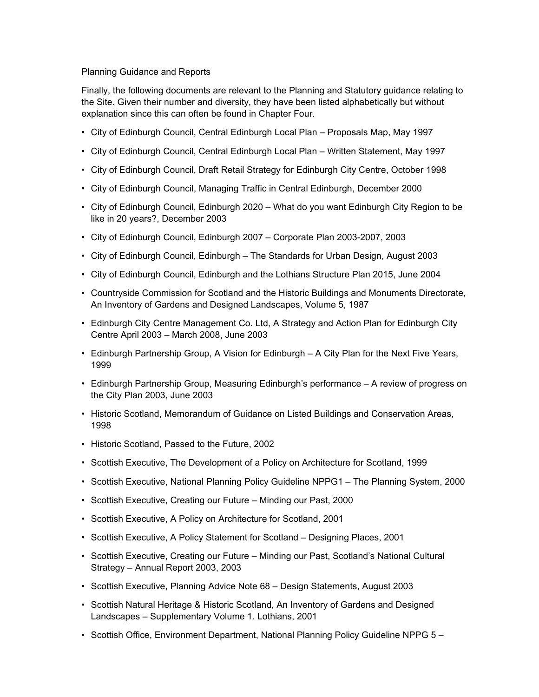## Planning Guidance and Reports

Finally, the following documents are relevant to the Planning and Statutory guidance relating to the Site. Given their number and diversity, they have been listed alphabetically but without explanation since this can often be found in Chapter Four.

- City of Edinburgh Council, Central Edinburgh Local Plan Proposals Map, May 1997
- City of Edinburgh Council, Central Edinburgh Local Plan Written Statement, May 1997
- City of Edinburgh Council, Draft Retail Strategy for Edinburgh City Centre, October 1998
- City of Edinburgh Council, Managing Traffic in Central Edinburgh, December 2000
- City of Edinburgh Council, Edinburgh 2020 What do you want Edinburgh City Region to be like in 20 years?, December 2003
- City of Edinburgh Council, Edinburgh 2007 Corporate Plan 2003-2007, 2003
- City of Edinburgh Council, Edinburgh The Standards for Urban Design, August 2003
- City of Edinburgh Council, Edinburgh and the Lothians Structure Plan 2015, June 2004
- Countryside Commission for Scotland and the Historic Buildings and Monuments Directorate, An Inventory of Gardens and Designed Landscapes, Volume 5, 1987
- Edinburgh City Centre Management Co. Ltd, A Strategy and Action Plan for Edinburgh City Centre April 2003 – March 2008, June 2003
- Edinburgh Partnership Group, A Vision for Edinburgh A City Plan for the Next Five Years, 1999
- Edinburgh Partnership Group, Measuring Edinburgh's performance A review of progress on the City Plan 2003, June 2003
- Historic Scotland, Memorandum of Guidance on Listed Buildings and Conservation Areas, 1998
- Historic Scotland, Passed to the Future, 2002
- Scottish Executive, The Development of a Policy on Architecture for Scotland, 1999
- Scottish Executive, National Planning Policy Guideline NPPG1 The Planning System, 2000
- Scottish Executive, Creating our Future Minding our Past, 2000
- Scottish Executive, A Policy on Architecture for Scotland, 2001
- Scottish Executive, A Policy Statement for Scotland Designing Places, 2001
- Scottish Executive, Creating our Future Minding our Past, Scotland's National Cultural Strategy – Annual Report 2003, 2003
- Scottish Executive, Planning Advice Note 68 Design Statements, August 2003
- Scottish Natural Heritage & Historic Scotland, An Inventory of Gardens and Designed Landscapes – Supplementary Volume 1. Lothians, 2001
- Scottish Office, Environment Department, National Planning Policy Guideline NPPG 5 –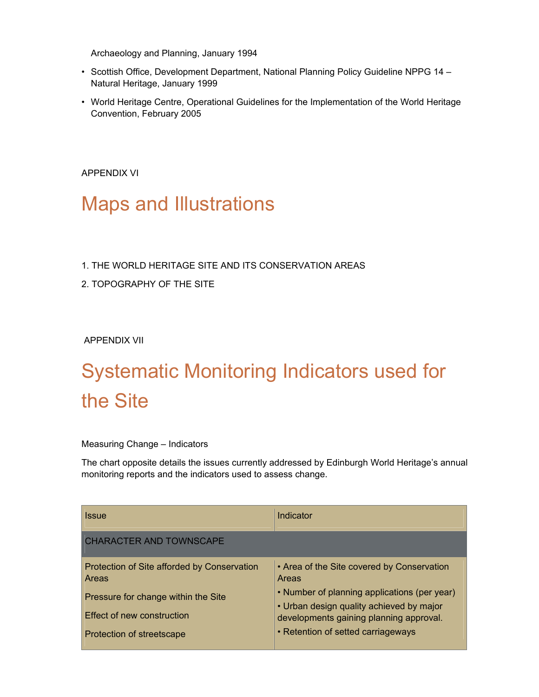Archaeology and Planning, January 1994

- Scottish Office, Development Department, National Planning Policy Guideline NPPG 14 Natural Heritage, January 1999
- World Heritage Centre, Operational Guidelines for the Implementation of the World Heritage Convention, February 2005

APPENDIX VI

## Maps and Illustrations

- 1. THE WORLD HERITAGE SITE AND ITS CONSERVATION AREAS
- 2. TOPOGRAPHY OF THE SITE

APPENDIX VII

## Systematic Monitoring Indicators used for the Site

## Measuring Change – Indicators

The chart opposite details the issues currently addressed by Edinburgh World Heritage's annual monitoring reports and the indicators used to assess change.

| <b>Issue</b>                                                                                                                                                  | Indicator                                                                                                                                                                                                                        |
|---------------------------------------------------------------------------------------------------------------------------------------------------------------|----------------------------------------------------------------------------------------------------------------------------------------------------------------------------------------------------------------------------------|
| <b>CHARACTER AND TOWNSCAPE</b>                                                                                                                                |                                                                                                                                                                                                                                  |
| Protection of Site afforded by Conservation<br><b>Areas</b><br>Pressure for change within the Site<br>Effect of new construction<br>Protection of streetscape | • Area of the Site covered by Conservation<br>Areas<br>• Number of planning applications (per year)<br>• Urban design quality achieved by major<br>developments gaining planning approval.<br>• Retention of setted carriageways |